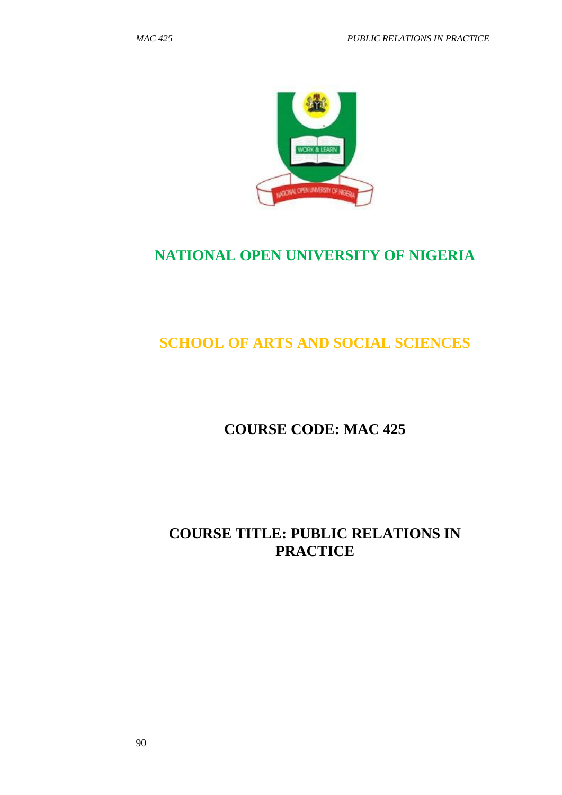

# **NATIONAL OPEN UNIVERSITY OF NIGERIA**

# **SCHOOL OF ARTS AND SOCIAL SCIENCES**

# **COURSE CODE: MAC 425**

# **COURSE TITLE: PUBLIC RELATIONS IN PRACTICE**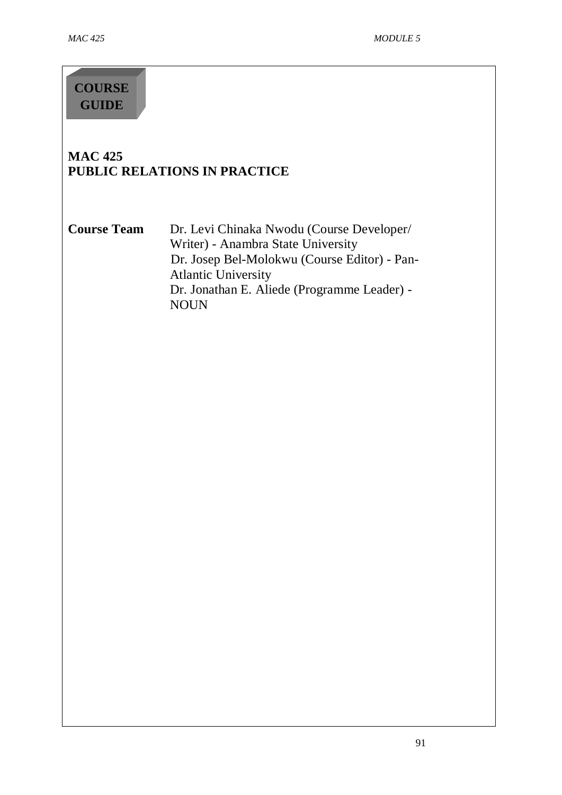# **COURSE GUIDE**

## **MAC 425 PUBLIC RELATIONS IN PRACTICE**

Course Team Dr. Levi Chinaka Nwodu (Course Developer/ Writer) - Anambra State University Dr. Josep Bel-Molokwu (Course Editor) - Pan-Atlantic University Dr. Jonathan E. Aliede (Programme Leader) - NOUN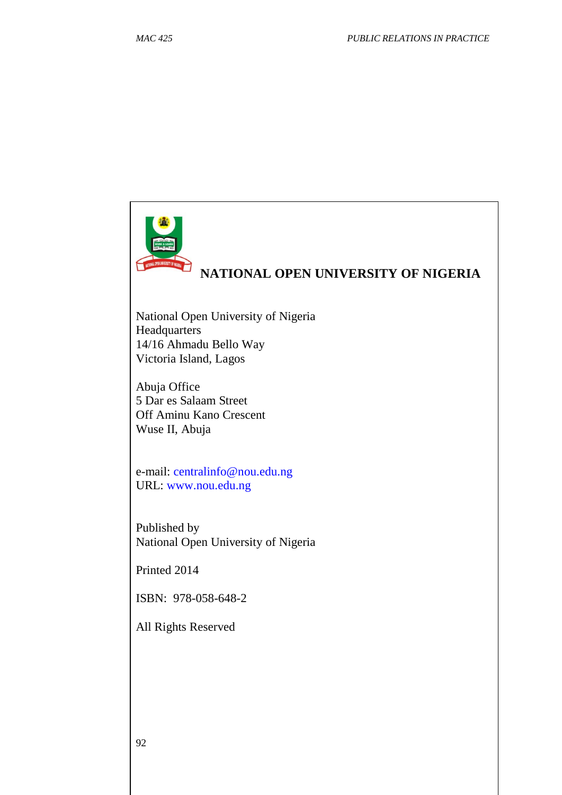

# **NATIONAL OPEN UNIVERSITY OF NIGERIA**

National Open University of Nigeria Headquarters 14/16 Ahmadu Bello Way Victoria Island, Lagos

Abuja Office 5 Dar es Salaam Street Off Aminu Kano Crescent Wuse II, Abuja

e-mail: centralinfo@nou.edu.ng URL: www.nou.edu.ng

Published by National Open University of Nigeria

Printed 2014

ISBN: 978-058-648-2

All Rights Reserved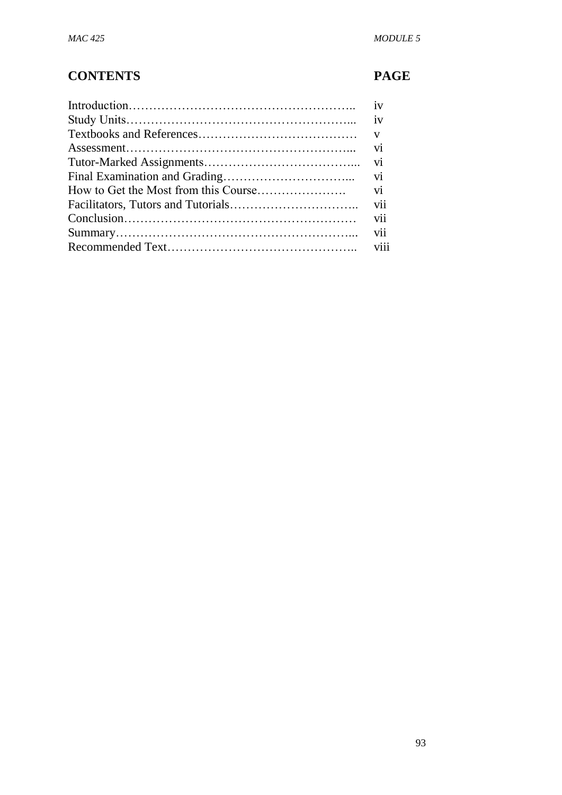# **CONTENTS PAGE**

| iv  |
|-----|
|     |
|     |
|     |
|     |
| vi  |
|     |
| vii |
|     |
|     |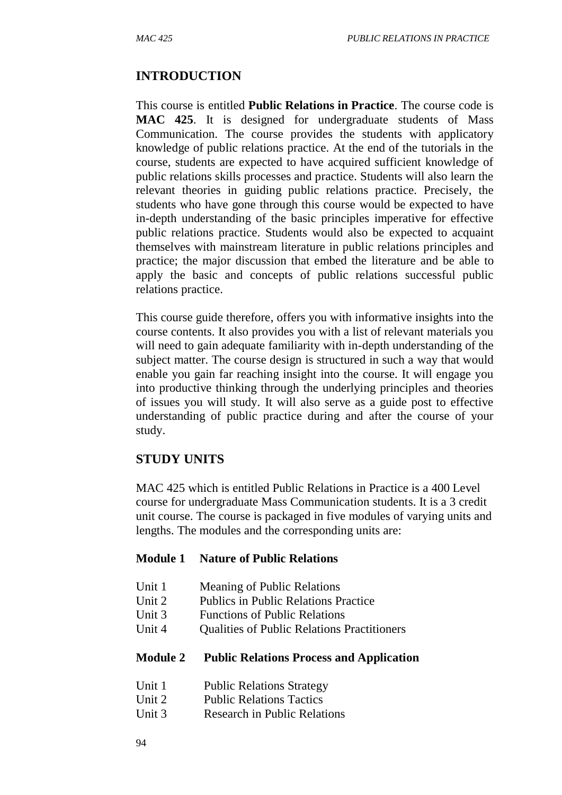#### **INTRODUCTION**

This course is entitled **Public Relations in Practice**. The course code is **MAC 425**. It is designed for undergraduate students of Mass Communication. The course provides the students with applicatory knowledge of public relations practice. At the end of the tutorials in the course, students are expected to have acquired sufficient knowledge of public relations skills processes and practice. Students will also learn the relevant theories in guiding public relations practice. Precisely, the students who have gone through this course would be expected to have in-depth understanding of the basic principles imperative for effective public relations practice. Students would also be expected to acquaint themselves with mainstream literature in public relations principles and practice; the major discussion that embed the literature and be able to apply the basic and concepts of public relations successful public relations practice.

This course guide therefore, offers you with informative insights into the course contents. It also provides you with a list of relevant materials you will need to gain adequate familiarity with in-depth understanding of the subject matter. The course design is structured in such a way that would enable you gain far reaching insight into the course. It will engage you into productive thinking through the underlying principles and theories of issues you will study. It will also serve as a guide post to effective understanding of public practice during and after the course of your study.

#### **STUDY UNITS**

MAC 425 which is entitled Public Relations in Practice is a 400 Level course for undergraduate Mass Communication students. It is a 3 credit unit course. The course is packaged in five modules of varying units and lengths. The modules and the corresponding units are:

#### **Module 1 Nature of Public Relations**

- Unit 1 Meaning of Public Relations
- Unit 2 Publics in Public Relations Practice
- Unit 3 Functions of Public Relations
- Unit 4 Cualities of Public Relations Practitioners

#### **Module 2 Public Relations Process and Application**

- Unit 1 Public Relations Strategy
- Unit 2 Public Relations Tactics
- Unit 3 Research in Public Relations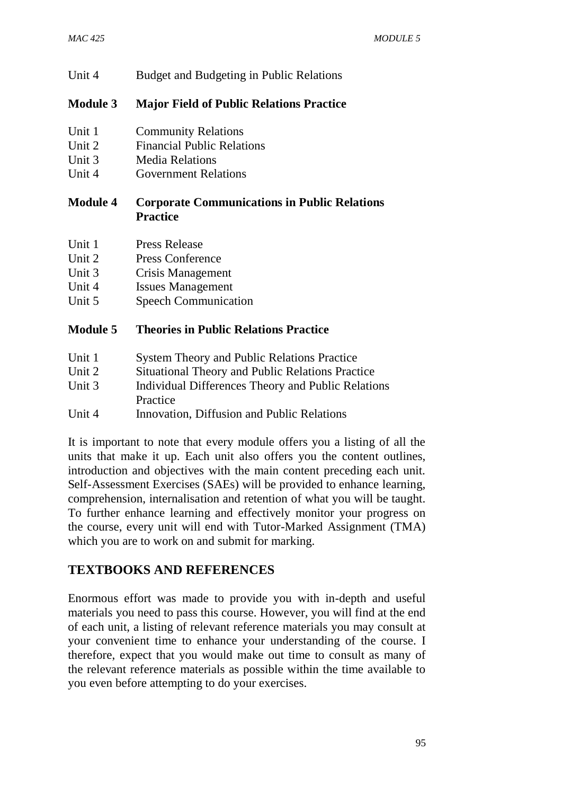Unit 4 Budget and Budgeting in Public Relations

## **Module 3 Major Field of Public Relations Practice**

- Unit 1 Community Relations
- Unit 2 Financial Public Relations
- Unit 3 Media Relations
- Unit 4 Government Relations

## **Module 4 Corporate Communications in Public Relations Practice**

- Unit 1 Press Release
- Unit 2 Press Conference
- Unit 3 Crisis Management
- Unit 4 Issues Management
- Unit 5 Speech Communication

| <b>Module 5</b> | <b>Theories in Public Relations Practice</b> |  |  |  |
|-----------------|----------------------------------------------|--|--|--|
|-----------------|----------------------------------------------|--|--|--|

| Unit 1 | <b>System Theory and Public Relations Practice</b> |
|--------|----------------------------------------------------|
| Unit 2 | Situational Theory and Public Relations Practice   |
| Unit 3 | Individual Differences Theory and Public Relations |
|        | Practice                                           |
| Unit 4 | Innovation, Diffusion and Public Relations         |

It is important to note that every module offers you a listing of all the units that make it up. Each unit also offers you the content outlines, introduction and objectives with the main content preceding each unit. Self-Assessment Exercises (SAEs) will be provided to enhance learning, comprehension, internalisation and retention of what you will be taught. To further enhance learning and effectively monitor your progress on the course, every unit will end with Tutor-Marked Assignment (TMA) which you are to work on and submit for marking.

## **TEXTBOOKS AND REFERENCES**

Enormous effort was made to provide you with in-depth and useful materials you need to pass this course. However, you will find at the end of each unit, a listing of relevant reference materials you may consult at your convenient time to enhance your understanding of the course. I therefore, expect that you would make out time to consult as many of the relevant reference materials as possible within the time available to you even before attempting to do your exercises.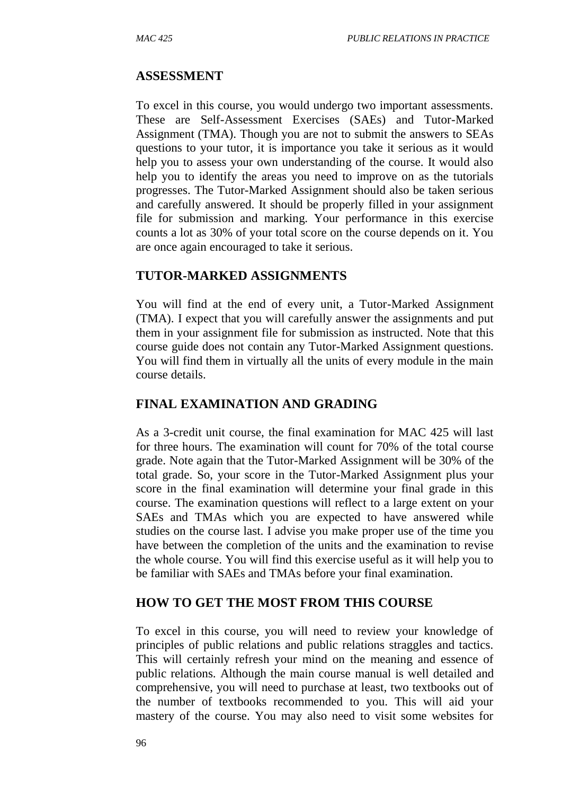#### **ASSESSMENT**

To excel in this course, you would undergo two important assessments. These are Self-Assessment Exercises (SAEs) and Tutor-Marked Assignment (TMA). Though you are not to submit the answers to SEAs questions to your tutor, it is importance you take it serious as it would help you to assess your own understanding of the course. It would also help you to identify the areas you need to improve on as the tutorials progresses. The Tutor-Marked Assignment should also be taken serious and carefully answered. It should be properly filled in your assignment file for submission and marking. Your performance in this exercise counts a lot as 30% of your total score on the course depends on it. You are once again encouraged to take it serious.

#### **TUTOR-MARKED ASSIGNMENTS**

You will find at the end of every unit, a Tutor-Marked Assignment (TMA). I expect that you will carefully answer the assignments and put them in your assignment file for submission as instructed. Note that this course guide does not contain any Tutor-Marked Assignment questions. You will find them in virtually all the units of every module in the main course details.

#### **FINAL EXAMINATION AND GRADING**

As a 3-credit unit course, the final examination for MAC 425 will last for three hours. The examination will count for 70% of the total course grade. Note again that the Tutor-Marked Assignment will be 30% of the total grade. So, your score in the Tutor-Marked Assignment plus your score in the final examination will determine your final grade in this course. The examination questions will reflect to a large extent on your SAEs and TMAs which you are expected to have answered while studies on the course last. I advise you make proper use of the time you have between the completion of the units and the examination to revise the whole course. You will find this exercise useful as it will help you to be familiar with SAEs and TMAs before your final examination.

#### **HOW TO GET THE MOST FROM THIS COURSE**

To excel in this course, you will need to review your knowledge of principles of public relations and public relations straggles and tactics. This will certainly refresh your mind on the meaning and essence of public relations. Although the main course manual is well detailed and comprehensive, you will need to purchase at least, two textbooks out of the number of textbooks recommended to you. This will aid your mastery of the course. You may also need to visit some websites for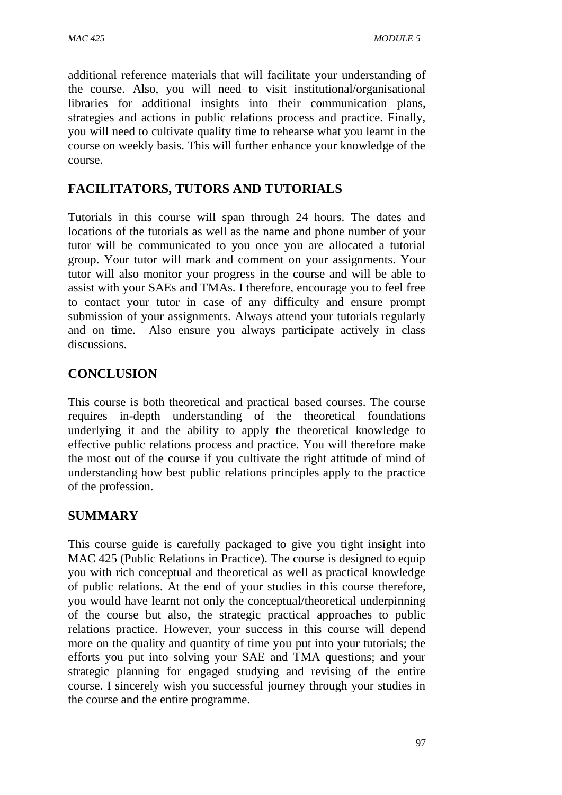additional reference materials that will facilitate your understanding of the course. Also, you will need to visit institutional/organisational libraries for additional insights into their communication plans, strategies and actions in public relations process and practice. Finally, you will need to cultivate quality time to rehearse what you learnt in the course on weekly basis. This will further enhance your knowledge of the course.

## **FACILITATORS, TUTORS AND TUTORIALS**

Tutorials in this course will span through 24 hours. The dates and locations of the tutorials as well as the name and phone number of your tutor will be communicated to you once you are allocated a tutorial group. Your tutor will mark and comment on your assignments. Your tutor will also monitor your progress in the course and will be able to assist with your SAEs and TMAs. I therefore, encourage you to feel free to contact your tutor in case of any difficulty and ensure prompt submission of your assignments. Always attend your tutorials regularly and on time. Also ensure you always participate actively in class discussions.

## **CONCLUSION**

This course is both theoretical and practical based courses. The course requires in-depth understanding of the theoretical foundations underlying it and the ability to apply the theoretical knowledge to effective public relations process and practice. You will therefore make the most out of the course if you cultivate the right attitude of mind of understanding how best public relations principles apply to the practice of the profession.

## **SUMMARY**

This course guide is carefully packaged to give you tight insight into MAC 425 (Public Relations in Practice). The course is designed to equip you with rich conceptual and theoretical as well as practical knowledge of public relations. At the end of your studies in this course therefore, you would have learnt not only the conceptual/theoretical underpinning of the course but also, the strategic practical approaches to public relations practice. However, your success in this course will depend more on the quality and quantity of time you put into your tutorials; the efforts you put into solving your SAE and TMA questions; and your strategic planning for engaged studying and revising of the entire course. I sincerely wish you successful journey through your studies in the course and the entire programme.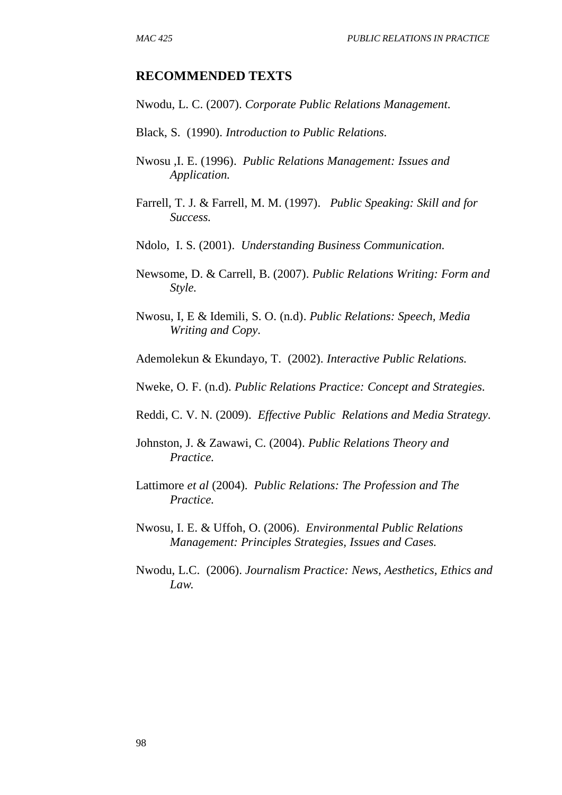#### **RECOMMENDED TEXTS**

Nwodu, L. C. (2007). *Corporate Public Relations Management.*

- Black, S. (1990). *Introduction to Public Relations.*
- Nwosu ,I. E. (1996). *Public Relations Management: Issues and Application.*
- Farrell, T. J. & Farrell, M. M. (1997). *Public Speaking: Skill and for Success.*
- Ndolo, I. S. (2001). *Understanding Business Communication.*
- Newsome, D. & Carrell, B. (2007). *Public Relations Writing: Form and Style.*
- Nwosu, I, E & Idemili, S. O. (n.d). *Public Relations: Speech, Media Writing and Copy.*
- Ademolekun & Ekundayo, T. (2002). *Interactive Public Relations.*

Nweke, O. F. (n.d). *Public Relations Practice: Concept and Strategies.*

- Reddi, C. V. N. (2009). *Effective Public Relations and Media Strategy.*
- Johnston, J. & Zawawi, C. (2004). *Public Relations Theory and Practice.*
- Lattimore *et al* (2004). *Public Relations: The Profession and The Practice.*
- Nwosu, I. E. & Uffoh, O. (2006). *Environmental Public Relations Management: Principles Strategies, Issues and Cases.*
- Nwodu, L.C. (2006). *Journalism Practice: News, Aesthetics, Ethics and Law.*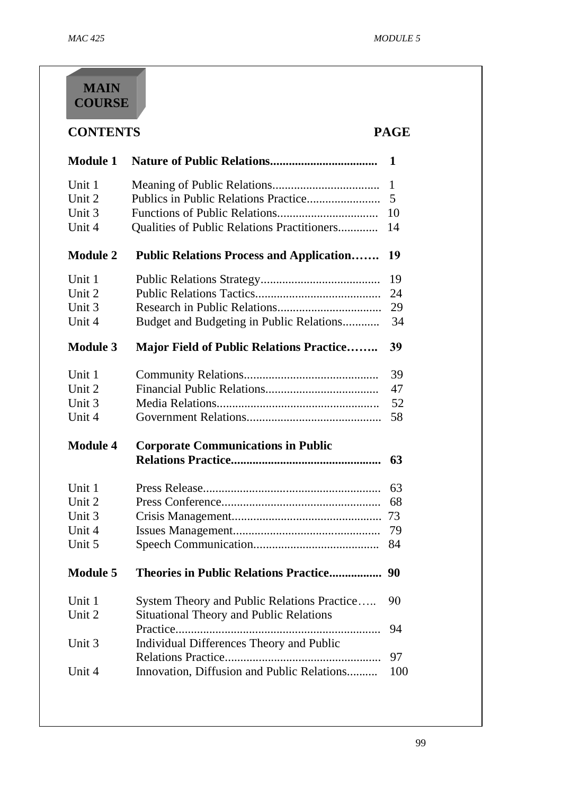# **MAIN COURSE**

| <b>CONTENTS</b><br><b>PAGE</b> |                                                 |     |  |  |
|--------------------------------|-------------------------------------------------|-----|--|--|
| <b>Module 1</b>                |                                                 | 1   |  |  |
| Unit 1                         |                                                 | 1   |  |  |
| Unit 2                         |                                                 | 5   |  |  |
| Unit 3                         |                                                 | 10  |  |  |
| Unit 4                         | Qualities of Public Relations Practitioners     | 14  |  |  |
| <b>Module 2</b>                | <b>Public Relations Process and Application</b> | 19  |  |  |
| Unit 1                         |                                                 | 19  |  |  |
| Unit 2                         |                                                 | 24  |  |  |
| Unit 3                         |                                                 | 29  |  |  |
| Unit 4                         | Budget and Budgeting in Public Relations        | 34  |  |  |
| <b>Module 3</b>                | <b>Major Field of Public Relations Practice</b> | 39  |  |  |
| Unit 1                         |                                                 | 39  |  |  |
| Unit 2                         |                                                 | 47  |  |  |
| Unit 3                         |                                                 | 52  |  |  |
| Unit 4                         |                                                 | 58  |  |  |
| <b>Module 4</b>                | <b>Corporate Communications in Public</b>       | 63  |  |  |
|                                |                                                 |     |  |  |
| Unit 1                         |                                                 | 63  |  |  |
| Unit 2                         |                                                 | 68  |  |  |
| Unit 3                         |                                                 | 73  |  |  |
| Unit 4                         |                                                 | 79  |  |  |
| Unit 5                         |                                                 | 84  |  |  |
| <b>Module 5</b>                |                                                 |     |  |  |
| Unit 1                         | System Theory and Public Relations Practice     | 90  |  |  |
| Unit 2                         | Situational Theory and Public Relations         |     |  |  |
|                                |                                                 | 94  |  |  |
| Unit 3                         | <b>Individual Differences Theory and Public</b> |     |  |  |
|                                |                                                 | 97  |  |  |
| Unit 4                         | Innovation, Diffusion and Public Relations      | 100 |  |  |
|                                |                                                 |     |  |  |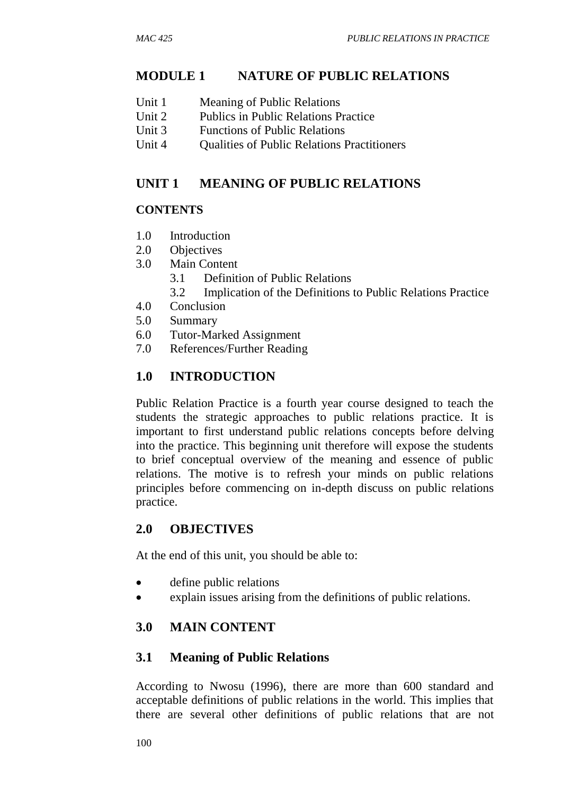## **MODULE 1 NATURE OF PUBLIC RELATIONS**

- Unit 2 Publics in Public Relations Practice
- Unit 3 Functions of Public Relations
- Unit 4 Oualities of Public Relations Practitioners

## **UNIT 1 MEANING OF PUBLIC RELATIONS**

## **CONTENTS**

- 1.0 Introduction
- 2.0 Objectives
- 3.0 Main Content
	- 3.1 Definition of Public Relations
	- 3.2 Implication of the Definitions to Public Relations Practice
- 4.0 Conclusion
- 5.0 Summary
- 6.0 Tutor-Marked Assignment
- 7.0 References/Further Reading

## **1.0 INTRODUCTION**

Public Relation Practice is a fourth year course designed to teach the students the strategic approaches to public relations practice. It is important to first understand public relations concepts before delving into the practice. This beginning unit therefore will expose the students to brief conceptual overview of the meaning and essence of public relations. The motive is to refresh your minds on public relations principles before commencing on in-depth discuss on public relations practice.

## **2.0 OBJECTIVES**

At the end of this unit, you should be able to:

- define public relations
- explain issues arising from the definitions of public relations.

## **3.0 MAIN CONTENT**

## **3.1 Meaning of Public Relations**

According to Nwosu (1996), there are more than 600 standard and acceptable definitions of public relations in the world. This implies that there are several other definitions of public relations that are not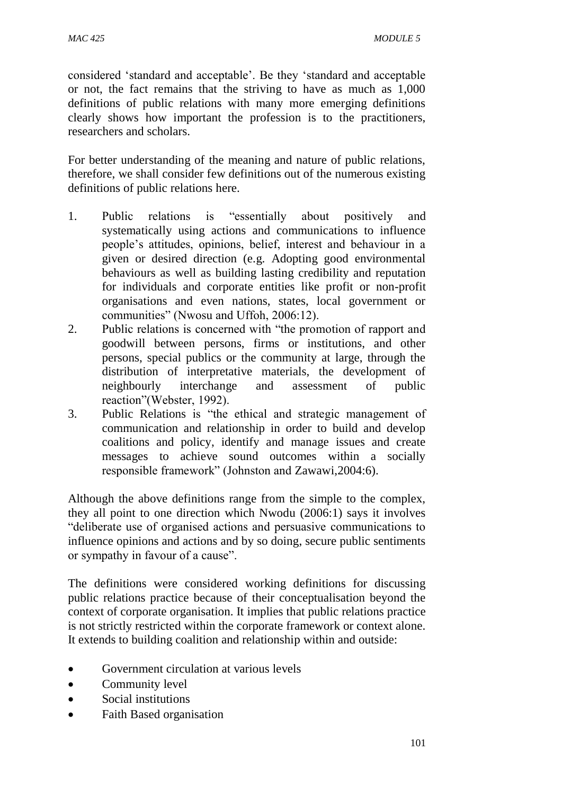considered 'standard and acceptable'. Be they 'standard and acceptable or not, the fact remains that the striving to have as much as 1,000 definitions of public relations with many more emerging definitions clearly shows how important the profession is to the practitioners, researchers and scholars.

For better understanding of the meaning and nature of public relations, therefore, we shall consider few definitions out of the numerous existing definitions of public relations here.

- 1. Public relations is "essentially about positively and systematically using actions and communications to influence people's attitudes, opinions, belief, interest and behaviour in a given or desired direction (e.g. Adopting good environmental behaviours as well as building lasting credibility and reputation for individuals and corporate entities like profit or non-profit organisations and even nations, states, local government or communities" (Nwosu and Uffoh, 2006:12).
- 2. Public relations is concerned with "the promotion of rapport and goodwill between persons, firms or institutions, and other persons, special publics or the community at large, through the distribution of interpretative materials, the development of neighbourly interchange and assessment of public reaction"(Webster, 1992).
- 3. Public Relations is "the ethical and strategic management of communication and relationship in order to build and develop coalitions and policy, identify and manage issues and create messages to achieve sound outcomes within a socially responsible framework" (Johnston and Zawawi,2004:6).

Although the above definitions range from the simple to the complex, they all point to one direction which Nwodu (2006:1) says it involves "deliberate use of organised actions and persuasive communications to influence opinions and actions and by so doing, secure public sentiments or sympathy in favour of a cause".

The definitions were considered working definitions for discussing public relations practice because of their conceptualisation beyond the context of corporate organisation. It implies that public relations practice is not strictly restricted within the corporate framework or context alone. It extends to building coalition and relationship within and outside:

- Government circulation at various levels
- Community level
- Social institutions
- Faith Based organisation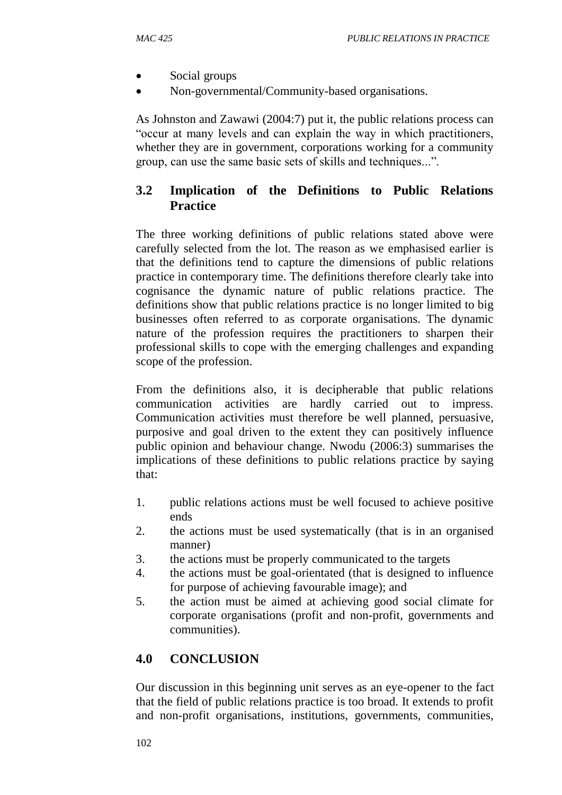- Social groups
- Non-governmental/Community-based organisations.

As Johnston and Zawawi (2004:7) put it, the public relations process can "occur at many levels and can explain the way in which practitioners, whether they are in government, corporations working for a community group, can use the same basic sets of skills and techniques...".

## **3.2 Implication of the Definitions to Public Relations Practice**

The three working definitions of public relations stated above were carefully selected from the lot. The reason as we emphasised earlier is that the definitions tend to capture the dimensions of public relations practice in contemporary time. The definitions therefore clearly take into cognisance the dynamic nature of public relations practice. The definitions show that public relations practice is no longer limited to big businesses often referred to as corporate organisations. The dynamic nature of the profession requires the practitioners to sharpen their professional skills to cope with the emerging challenges and expanding scope of the profession.

From the definitions also, it is decipherable that public relations communication activities are hardly carried out to impress. Communication activities must therefore be well planned, persuasive, purposive and goal driven to the extent they can positively influence public opinion and behaviour change. Nwodu (2006:3) summarises the implications of these definitions to public relations practice by saying that:

- 1. public relations actions must be well focused to achieve positive ends
- 2. the actions must be used systematically (that is in an organised manner)
- 3. the actions must be properly communicated to the targets
- 4. the actions must be goal-orientated (that is designed to influence for purpose of achieving favourable image); and
- 5. the action must be aimed at achieving good social climate for corporate organisations (profit and non-profit, governments and communities).

## **4.0 CONCLUSION**

Our discussion in this beginning unit serves as an eye-opener to the fact that the field of public relations practice is too broad. It extends to profit and non-profit organisations, institutions, governments, communities,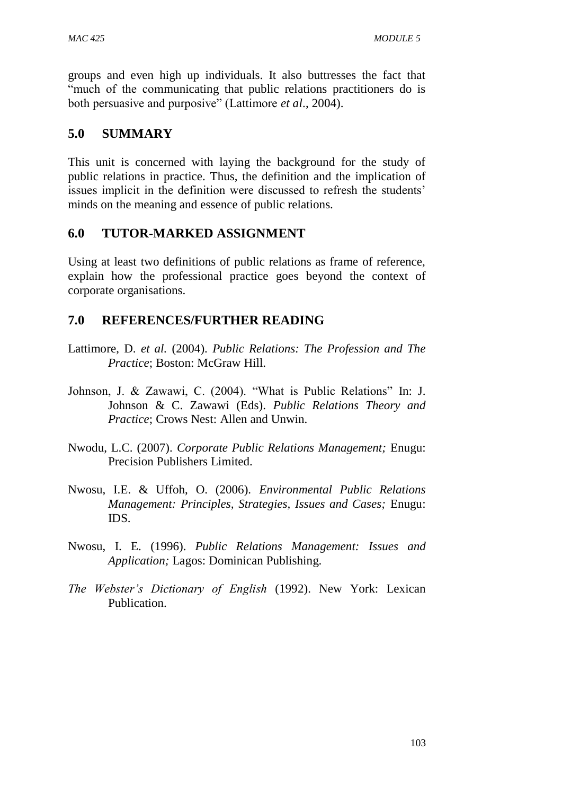groups and even high up individuals. It also buttresses the fact that "much of the communicating that public relations practitioners do is both persuasive and purposive" (Lattimore *et al*., 2004).

## **5.0 SUMMARY**

This unit is concerned with laying the background for the study of public relations in practice. Thus, the definition and the implication of issues implicit in the definition were discussed to refresh the students' minds on the meaning and essence of public relations.

## **6.0 TUTOR-MARKED ASSIGNMENT**

Using at least two definitions of public relations as frame of reference, explain how the professional practice goes beyond the context of corporate organisations.

## **7.0 REFERENCES/FURTHER READING**

- Lattimore, D. *et al.* (2004). *Public Relations: The Profession and The Practice*; Boston: McGraw Hill.
- Johnson, J. & Zawawi, C. (2004). "What is Public Relations" In: J. Johnson & C. Zawawi (Eds). *Public Relations Theory and Practice*; Crows Nest: Allen and Unwin.
- Nwodu, L.C. (2007). *Corporate Public Relations Management;* Enugu: Precision Publishers Limited.
- Nwosu, I.E. & Uffoh, O. (2006). *Environmental Public Relations Management: Principles, Strategies, Issues and Cases;* Enugu: IDS.
- Nwosu, I. E. (1996). *Public Relations Management: Issues and Application;* Lagos: Dominican Publishing.
- *The Webster's Dictionary of English* (1992). New York: Lexican Publication.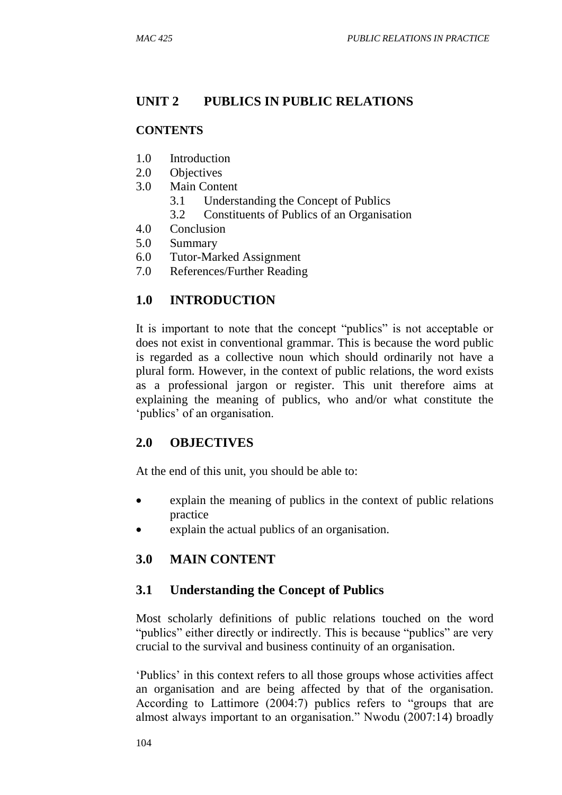## **UNIT 2 PUBLICS IN PUBLIC RELATIONS**

#### **CONTENTS**

- 1.0 Introduction
- 2.0 Objectives
- 3.0 Main Content
	- 3.1 Understanding the Concept of Publics
	- 3.2 Constituents of Publics of an Organisation
- 4.0 Conclusion
- 5.0 Summary
- 6.0 Tutor-Marked Assignment
- 7.0 References/Further Reading

## **1.0 INTRODUCTION**

It is important to note that the concept "publics" is not acceptable or does not exist in conventional grammar. This is because the word public is regarded as a collective noun which should ordinarily not have a plural form. However, in the context of public relations, the word exists as a professional jargon or register. This unit therefore aims at explaining the meaning of publics, who and/or what constitute the 'publics' of an organisation.

## **2.0 OBJECTIVES**

At the end of this unit, you should be able to:

- explain the meaning of publics in the context of public relations practice
- explain the actual publics of an organisation.

## **3.0 MAIN CONTENT**

## **3.1 Understanding the Concept of Publics**

Most scholarly definitions of public relations touched on the word "publics" either directly or indirectly. This is because "publics" are very crucial to the survival and business continuity of an organisation.

'Publics' in this context refers to all those groups whose activities affect an organisation and are being affected by that of the organisation. According to Lattimore (2004:7) publics refers to "groups that are almost always important to an organisation." Nwodu (2007:14) broadly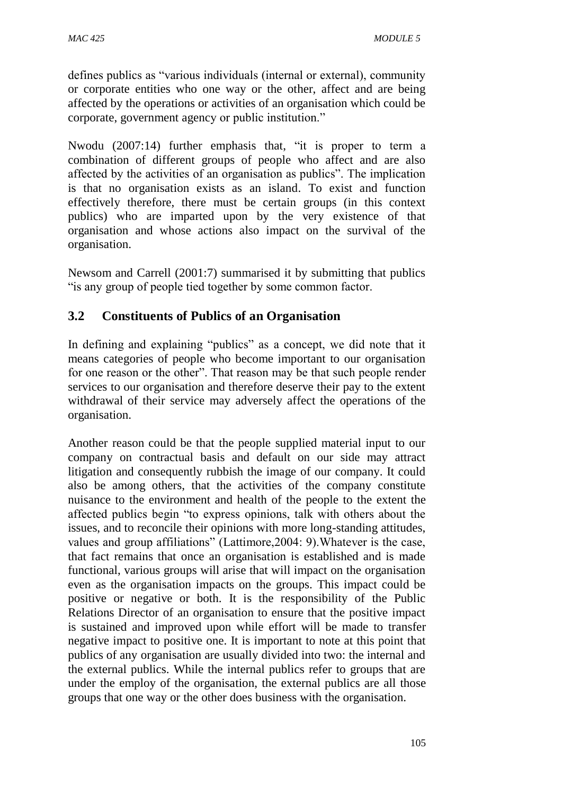defines publics as "various individuals (internal or external), community or corporate entities who one way or the other, affect and are being affected by the operations or activities of an organisation which could be corporate, government agency or public institution."

Nwodu (2007:14) further emphasis that, "it is proper to term a combination of different groups of people who affect and are also affected by the activities of an organisation as publics". The implication is that no organisation exists as an island. To exist and function effectively therefore, there must be certain groups (in this context publics) who are imparted upon by the very existence of that organisation and whose actions also impact on the survival of the organisation.

Newsom and Carrell (2001:7) summarised it by submitting that publics "is any group of people tied together by some common factor.

## **3.2 Constituents of Publics of an Organisation**

In defining and explaining "publics" as a concept, we did note that it means categories of people who become important to our organisation for one reason or the other". That reason may be that such people render services to our organisation and therefore deserve their pay to the extent withdrawal of their service may adversely affect the operations of the organisation.

Another reason could be that the people supplied material input to our company on contractual basis and default on our side may attract litigation and consequently rubbish the image of our company. It could also be among others, that the activities of the company constitute nuisance to the environment and health of the people to the extent the affected publics begin "to express opinions, talk with others about the issues, and to reconcile their opinions with more long-standing attitudes, values and group affiliations" (Lattimore,2004: 9).Whatever is the case, that fact remains that once an organisation is established and is made functional, various groups will arise that will impact on the organisation even as the organisation impacts on the groups. This impact could be positive or negative or both. It is the responsibility of the Public Relations Director of an organisation to ensure that the positive impact is sustained and improved upon while effort will be made to transfer negative impact to positive one. It is important to note at this point that publics of any organisation are usually divided into two: the internal and the external publics. While the internal publics refer to groups that are under the employ of the organisation, the external publics are all those groups that one way or the other does business with the organisation.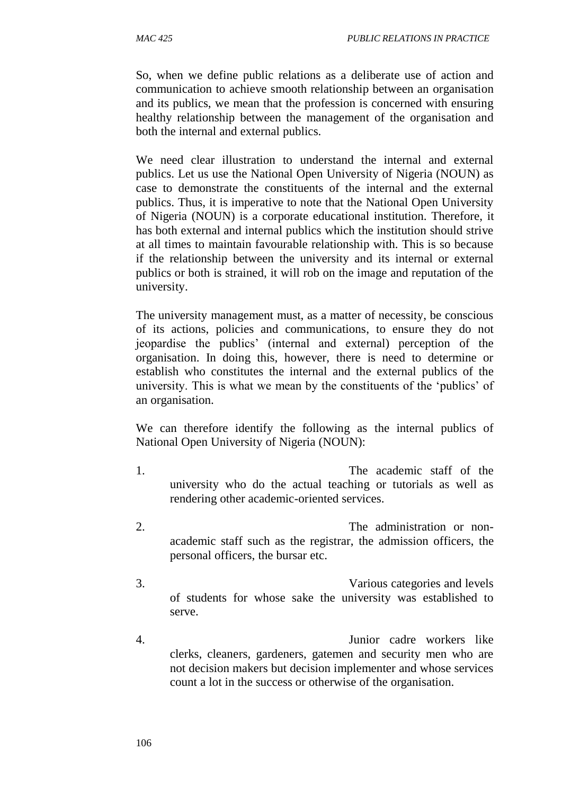So, when we define public relations as a deliberate use of action and communication to achieve smooth relationship between an organisation and its publics, we mean that the profession is concerned with ensuring healthy relationship between the management of the organisation and both the internal and external publics.

We need clear illustration to understand the internal and external publics. Let us use the National Open University of Nigeria (NOUN) as case to demonstrate the constituents of the internal and the external publics. Thus, it is imperative to note that the National Open University of Nigeria (NOUN) is a corporate educational institution. Therefore, it has both external and internal publics which the institution should strive at all times to maintain favourable relationship with. This is so because if the relationship between the university and its internal or external publics or both is strained, it will rob on the image and reputation of the university.

The university management must, as a matter of necessity, be conscious of its actions, policies and communications, to ensure they do not jeopardise the publics' (internal and external) perception of the organisation. In doing this, however, there is need to determine or establish who constitutes the internal and the external publics of the university. This is what we mean by the constituents of the 'publics' of an organisation.

We can therefore identify the following as the internal publics of National Open University of Nigeria (NOUN):

- 1. The academic staff of the university who do the actual teaching or tutorials as well as rendering other academic-oriented services.
- 2. The administration or nonacademic staff such as the registrar, the admission officers, the personal officers, the bursar etc.
- 3. Various categories and levels of students for whose sake the university was established to serve.
- 4. Junior cadre workers like clerks, cleaners, gardeners, gatemen and security men who are not decision makers but decision implementer and whose services count a lot in the success or otherwise of the organisation.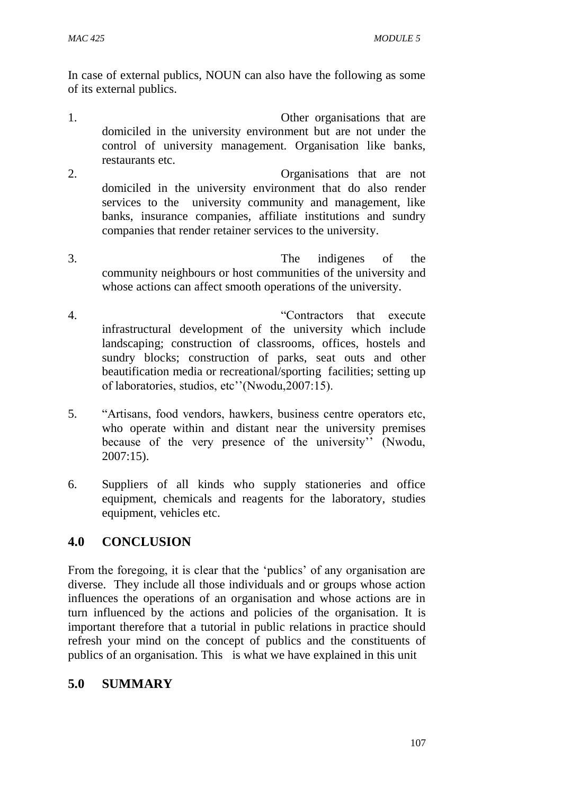In case of external publics, NOUN can also have the following as some of its external publics.

- 1. Other organisations that are domiciled in the university environment but are not under the control of university management. Organisation like banks, restaurants etc.
- 2. Organisations that are not domiciled in the university environment that do also render services to the university community and management, like banks, insurance companies, affiliate institutions and sundry companies that render retainer services to the university.
- 3. The indigenes of the community neighbours or host communities of the university and whose actions can affect smooth operations of the university.
- 4. "Contractors that execute infrastructural development of the university which include landscaping; construction of classrooms, offices, hostels and sundry blocks; construction of parks, seat outs and other beautification media or recreational/sporting facilities; setting up of laboratories, studios, etc''(Nwodu,2007:15).
- 5. "Artisans, food vendors, hawkers, business centre operators etc, who operate within and distant near the university premises because of the very presence of the university'' (Nwodu, 2007:15).
- 6. Suppliers of all kinds who supply stationeries and office equipment, chemicals and reagents for the laboratory, studies equipment, vehicles etc.

## **4.0 CONCLUSION**

From the foregoing, it is clear that the 'publics' of any organisation are diverse. They include all those individuals and or groups whose action influences the operations of an organisation and whose actions are in turn influenced by the actions and policies of the organisation. It is important therefore that a tutorial in public relations in practice should refresh your mind on the concept of publics and the constituents of publics of an organisation. This is what we have explained in this unit

## **5.0 SUMMARY**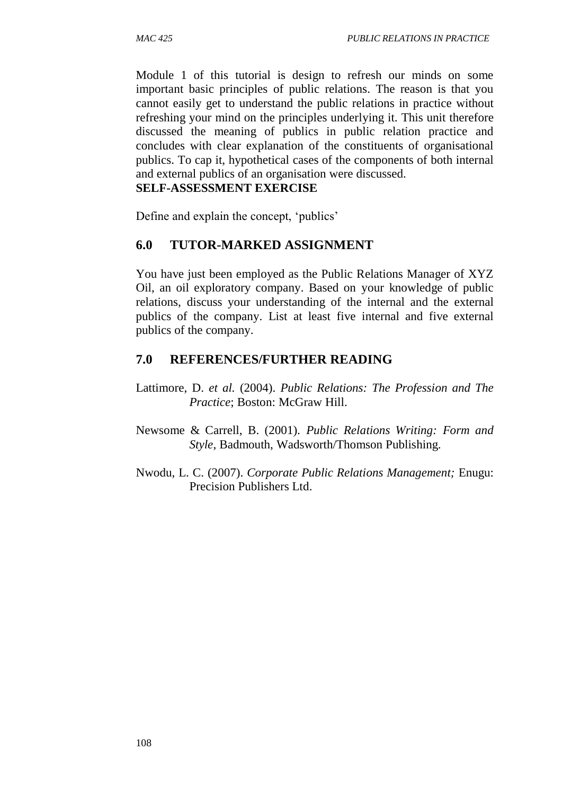Module 1 of this tutorial is design to refresh our minds on some important basic principles of public relations. The reason is that you cannot easily get to understand the public relations in practice without refreshing your mind on the principles underlying it. This unit therefore discussed the meaning of publics in public relation practice and concludes with clear explanation of the constituents of organisational publics. To cap it, hypothetical cases of the components of both internal and external publics of an organisation were discussed.

#### **SELF-ASSESSMENT EXERCISE**

Define and explain the concept, 'publics'

#### **6.0 TUTOR-MARKED ASSIGNMENT**

You have just been employed as the Public Relations Manager of XYZ Oil, an oil exploratory company. Based on your knowledge of public relations, discuss your understanding of the internal and the external publics of the company. List at least five internal and five external publics of the company.

#### **7.0 REFERENCES/FURTHER READING**

- Lattimore, D. *et al.* (2004). *Public Relations: The Profession and The Practice*; Boston: McGraw Hill.
- Newsome & Carrell, B. (2001). *Public Relations Writing: Form and Style*, Badmouth, Wadsworth/Thomson Publishing.
- Nwodu, L. C. (2007). *Corporate Public Relations Management;* Enugu: Precision Publishers Ltd.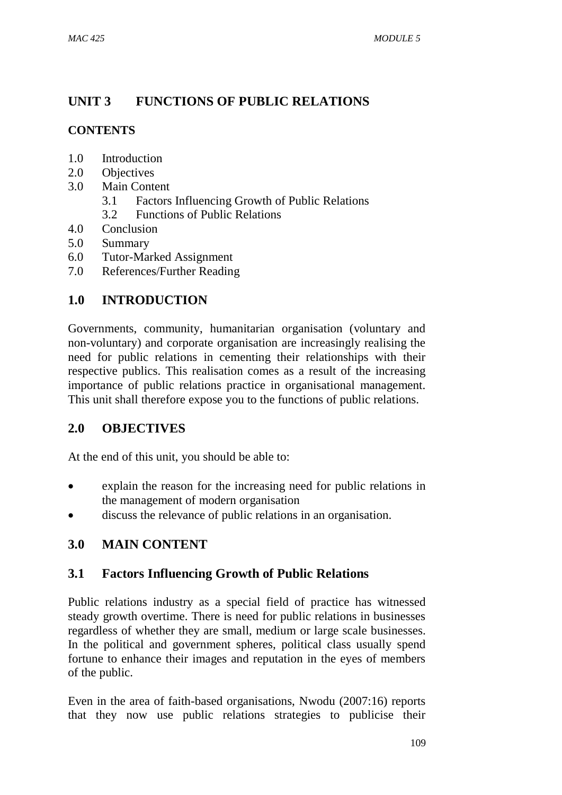## **UNIT 3 FUNCTIONS OF PUBLIC RELATIONS**

## **CONTENTS**

- 1.0 Introduction
- 2.0 Objectives
- 3.0 Main Content
	- 3.1 Factors Influencing Growth of Public Relations
	- 3.2 Functions of Public Relations
- 4.0 Conclusion
- 5.0 Summary
- 6.0 Tutor-Marked Assignment
- 7.0 References/Further Reading

## **1.0 INTRODUCTION**

Governments, community, humanitarian organisation (voluntary and non-voluntary) and corporate organisation are increasingly realising the need for public relations in cementing their relationships with their respective publics. This realisation comes as a result of the increasing importance of public relations practice in organisational management. This unit shall therefore expose you to the functions of public relations.

## **2.0 OBJECTIVES**

At the end of this unit, you should be able to:

- explain the reason for the increasing need for public relations in the management of modern organisation
- discuss the relevance of public relations in an organisation.

## **3.0 MAIN CONTENT**

## **3.1 Factors Influencing Growth of Public Relations**

Public relations industry as a special field of practice has witnessed steady growth overtime. There is need for public relations in businesses regardless of whether they are small, medium or large scale businesses. In the political and government spheres, political class usually spend fortune to enhance their images and reputation in the eyes of members of the public.

Even in the area of faith-based organisations, Nwodu (2007:16) reports that they now use public relations strategies to publicise their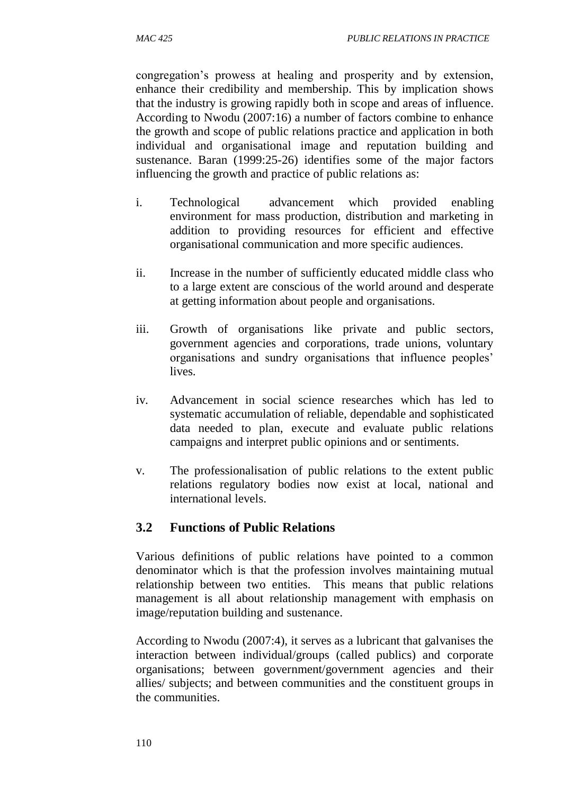congregation's prowess at healing and prosperity and by extension, enhance their credibility and membership. This by implication shows that the industry is growing rapidly both in scope and areas of influence. According to Nwodu (2007:16) a number of factors combine to enhance the growth and scope of public relations practice and application in both individual and organisational image and reputation building and sustenance. Baran (1999:25-26) identifies some of the major factors influencing the growth and practice of public relations as:

- i. Technological advancement which provided enabling environment for mass production, distribution and marketing in addition to providing resources for efficient and effective organisational communication and more specific audiences.
- ii. Increase in the number of sufficiently educated middle class who to a large extent are conscious of the world around and desperate at getting information about people and organisations.
- iii. Growth of organisations like private and public sectors, government agencies and corporations, trade unions, voluntary organisations and sundry organisations that influence peoples' lives.
- iv. Advancement in social science researches which has led to systematic accumulation of reliable, dependable and sophisticated data needed to plan, execute and evaluate public relations campaigns and interpret public opinions and or sentiments.
- v. The professionalisation of public relations to the extent public relations regulatory bodies now exist at local, national and international levels.

## **3.2 Functions of Public Relations**

Various definitions of public relations have pointed to a common denominator which is that the profession involves maintaining mutual relationship between two entities. This means that public relations management is all about relationship management with emphasis on image/reputation building and sustenance.

According to Nwodu (2007:4), it serves as a lubricant that galvanises the interaction between individual/groups (called publics) and corporate organisations; between government/government agencies and their allies/ subjects; and between communities and the constituent groups in the communities.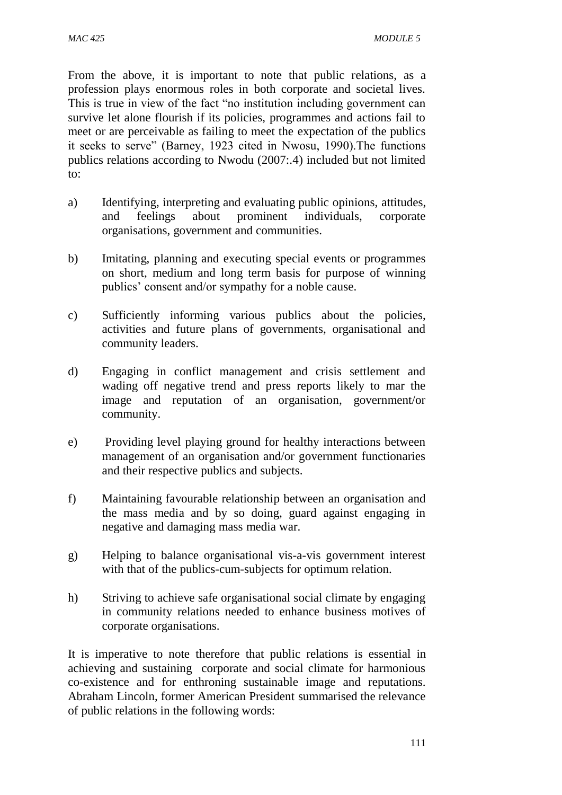From the above, it is important to note that public relations, as a profession plays enormous roles in both corporate and societal lives. This is true in view of the fact "no institution including government can survive let alone flourish if its policies, programmes and actions fail to meet or are perceivable as failing to meet the expectation of the publics it seeks to serve" (Barney, 1923 cited in Nwosu, 1990).The functions publics relations according to Nwodu (2007:.4) included but not limited to:

- a) Identifying, interpreting and evaluating public opinions, attitudes, and feelings about prominent individuals, corporate organisations, government and communities.
- b) Imitating, planning and executing special events or programmes on short, medium and long term basis for purpose of winning publics' consent and/or sympathy for a noble cause.
- c) Sufficiently informing various publics about the policies, activities and future plans of governments, organisational and community leaders.
- d) Engaging in conflict management and crisis settlement and wading off negative trend and press reports likely to mar the image and reputation of an organisation, government/or community.
- e) Providing level playing ground for healthy interactions between management of an organisation and/or government functionaries and their respective publics and subjects.
- f) Maintaining favourable relationship between an organisation and the mass media and by so doing, guard against engaging in negative and damaging mass media war.
- g) Helping to balance organisational vis-a-vis government interest with that of the publics-cum-subjects for optimum relation.
- h) Striving to achieve safe organisational social climate by engaging in community relations needed to enhance business motives of corporate organisations.

It is imperative to note therefore that public relations is essential in achieving and sustaining corporate and social climate for harmonious co-existence and for enthroning sustainable image and reputations. Abraham Lincoln, former American President summarised the relevance of public relations in the following words: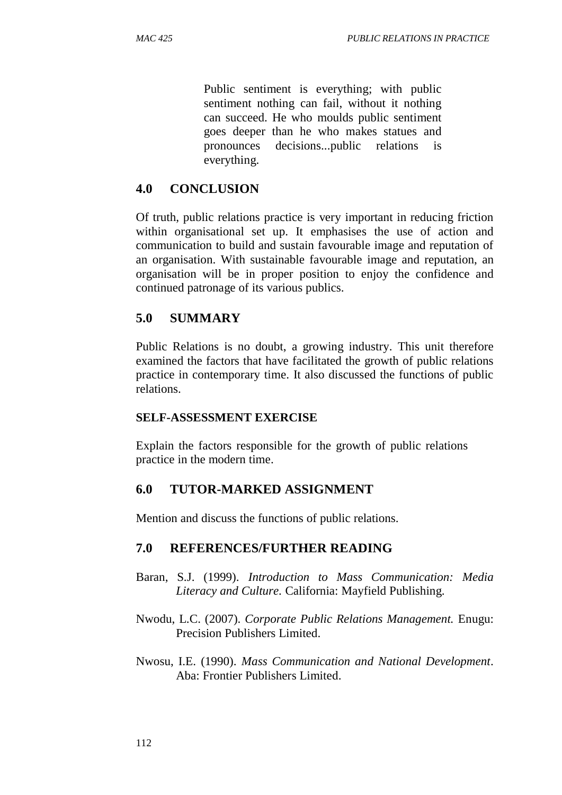Public sentiment is everything; with public sentiment nothing can fail, without it nothing can succeed. He who moulds public sentiment goes deeper than he who makes statues and pronounces decisions...public relations is everything.

#### **4.0 CONCLUSION**

Of truth, public relations practice is very important in reducing friction within organisational set up. It emphasises the use of action and communication to build and sustain favourable image and reputation of an organisation. With sustainable favourable image and reputation, an organisation will be in proper position to enjoy the confidence and continued patronage of its various publics.

#### **5.0 SUMMARY**

Public Relations is no doubt, a growing industry. This unit therefore examined the factors that have facilitated the growth of public relations practice in contemporary time. It also discussed the functions of public relations.

#### **SELF-ASSESSMENT EXERCISE**

Explain the factors responsible for the growth of public relations practice in the modern time.

#### **6.0 TUTOR-MARKED ASSIGNMENT**

Mention and discuss the functions of public relations.

#### **7.0 REFERENCES/FURTHER READING**

- Baran, S.J. (1999). *Introduction to Mass Communication: Media Literacy and Culture.* California: Mayfield Publishing.
- Nwodu, L.C. (2007). *Corporate Public Relations Management.* Enugu: Precision Publishers Limited.
- Nwosu, I.E. (1990). *Mass Communication and National Development*. Aba: Frontier Publishers Limited.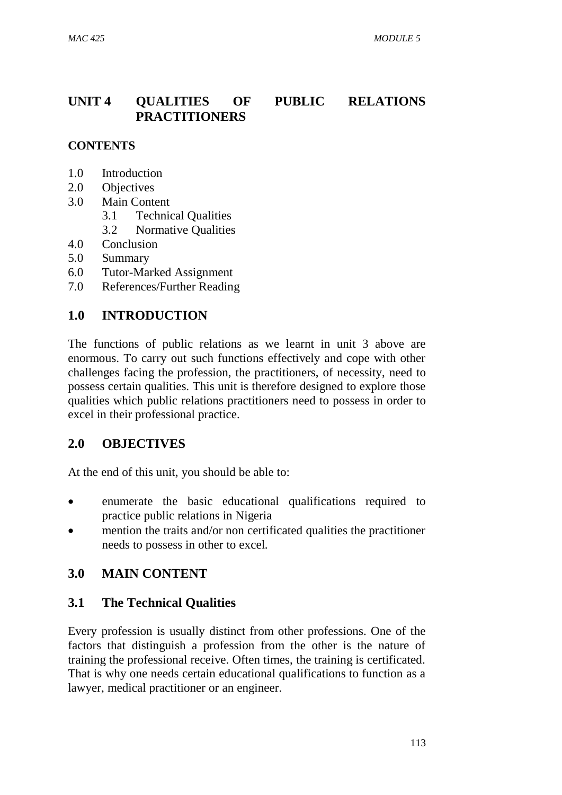## **UNIT 4 QUALITIES OF PUBLIC RELATIONS PRACTITIONERS**

## **CONTENTS**

- 1.0 Introduction
- 2.0 Objectives
- 3.0 Main Content
	- 3.1 Technical Qualities
	- 3.2 Normative Qualities
- 4.0 Conclusion
- 5.0 Summary
- 6.0 Tutor-Marked Assignment
- 7.0 References/Further Reading

## **1.0 INTRODUCTION**

The functions of public relations as we learnt in unit 3 above are enormous. To carry out such functions effectively and cope with other challenges facing the profession, the practitioners, of necessity, need to possess certain qualities. This unit is therefore designed to explore those qualities which public relations practitioners need to possess in order to excel in their professional practice.

#### **2.0 OBJECTIVES**

At the end of this unit, you should be able to:

- enumerate the basic educational qualifications required to practice public relations in Nigeria
- mention the traits and/or non certificated qualities the practitioner needs to possess in other to excel.

## **3.0 MAIN CONTENT**

## **3.1 The Technical Qualities**

Every profession is usually distinct from other professions. One of the factors that distinguish a profession from the other is the nature of training the professional receive. Often times, the training is certificated. That is why one needs certain educational qualifications to function as a lawyer, medical practitioner or an engineer.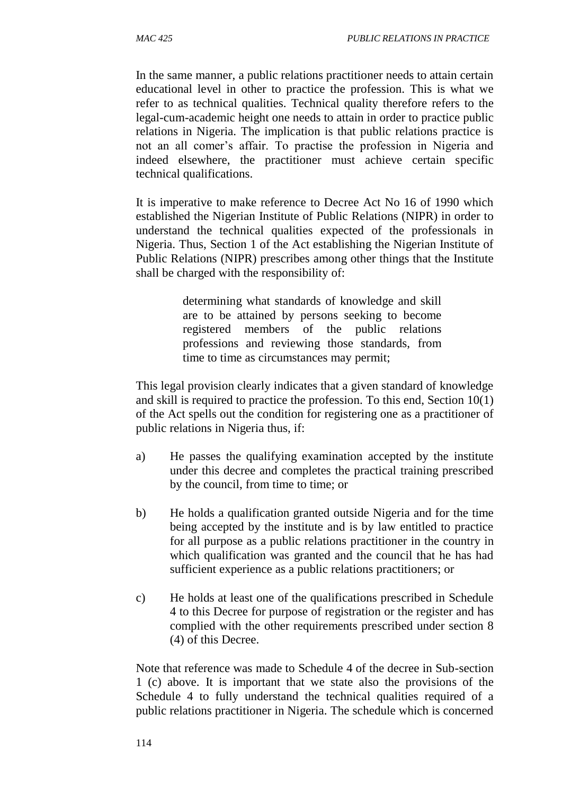In the same manner, a public relations practitioner needs to attain certain educational level in other to practice the profession. This is what we refer to as technical qualities. Technical quality therefore refers to the legal-cum-academic height one needs to attain in order to practice public relations in Nigeria. The implication is that public relations practice is not an all comer's affair. To practise the profession in Nigeria and indeed elsewhere, the practitioner must achieve certain specific technical qualifications.

It is imperative to make reference to Decree Act No 16 of 1990 which established the Nigerian Institute of Public Relations (NIPR) in order to understand the technical qualities expected of the professionals in Nigeria. Thus, Section 1 of the Act establishing the Nigerian Institute of Public Relations (NIPR) prescribes among other things that the Institute shall be charged with the responsibility of:

> determining what standards of knowledge and skill are to be attained by persons seeking to become registered members of the public relations professions and reviewing those standards, from time to time as circumstances may permit;

This legal provision clearly indicates that a given standard of knowledge and skill is required to practice the profession. To this end, Section 10(1) of the Act spells out the condition for registering one as a practitioner of public relations in Nigeria thus, if:

- a) He passes the qualifying examination accepted by the institute under this decree and completes the practical training prescribed by the council, from time to time; or
- b) He holds a qualification granted outside Nigeria and for the time being accepted by the institute and is by law entitled to practice for all purpose as a public relations practitioner in the country in which qualification was granted and the council that he has had sufficient experience as a public relations practitioners; or
- c) He holds at least one of the qualifications prescribed in Schedule 4 to this Decree for purpose of registration or the register and has complied with the other requirements prescribed under section 8 (4) of this Decree.

Note that reference was made to Schedule 4 of the decree in Sub-section 1 (c) above. It is important that we state also the provisions of the Schedule 4 to fully understand the technical qualities required of a public relations practitioner in Nigeria. The schedule which is concerned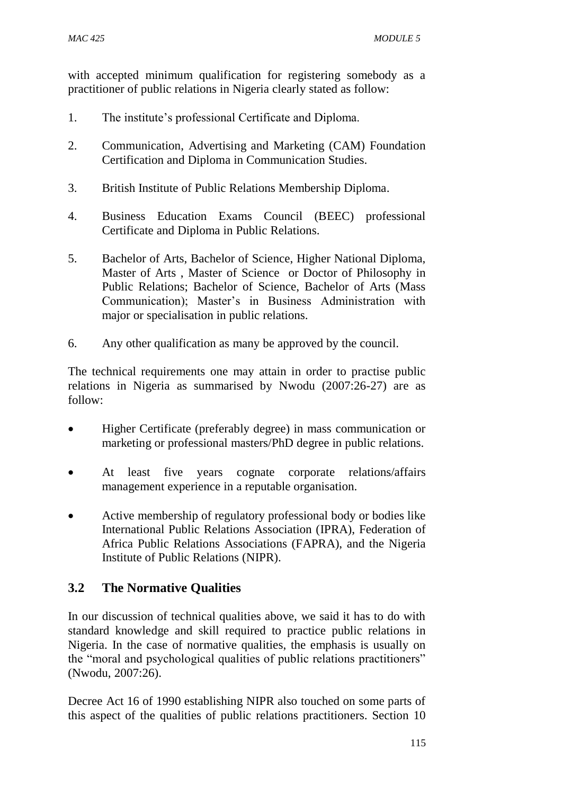with accepted minimum qualification for registering somebody as a practitioner of public relations in Nigeria clearly stated as follow:

- 1. The institute's professional Certificate and Diploma.
- 2. Communication, Advertising and Marketing (CAM) Foundation Certification and Diploma in Communication Studies.
- 3. British Institute of Public Relations Membership Diploma.
- 4. Business Education Exams Council (BEEC) professional Certificate and Diploma in Public Relations.
- 5. Bachelor of Arts, Bachelor of Science, Higher National Diploma, Master of Arts , Master of Science or Doctor of Philosophy in Public Relations; Bachelor of Science, Bachelor of Arts (Mass Communication); Master's in Business Administration with major or specialisation in public relations.
- 6. Any other qualification as many be approved by the council.

The technical requirements one may attain in order to practise public relations in Nigeria as summarised by Nwodu (2007:26-27) are as follow:

- Higher Certificate (preferably degree) in mass communication or marketing or professional masters/PhD degree in public relations.
- At least five years cognate corporate relations/affairs management experience in a reputable organisation.
- Active membership of regulatory professional body or bodies like International Public Relations Association (IPRA), Federation of Africa Public Relations Associations (FAPRA), and the Nigeria Institute of Public Relations (NIPR).

## **3.2 The Normative Qualities**

In our discussion of technical qualities above, we said it has to do with standard knowledge and skill required to practice public relations in Nigeria. In the case of normative qualities, the emphasis is usually on the "moral and psychological qualities of public relations practitioners" (Nwodu, 2007:26).

Decree Act 16 of 1990 establishing NIPR also touched on some parts of this aspect of the qualities of public relations practitioners. Section 10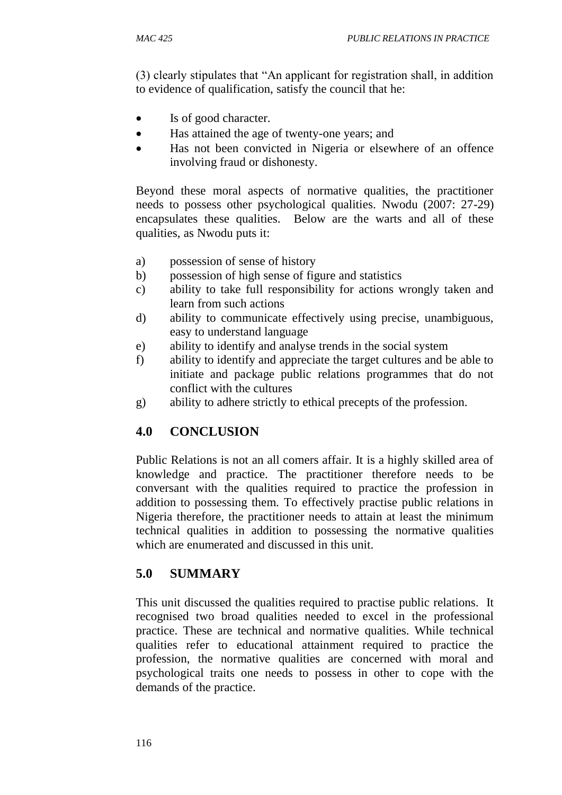(3) clearly stipulates that "An applicant for registration shall, in addition to evidence of qualification, satisfy the council that he:

- Is of good character.
- Has attained the age of twenty-one years; and
- Has not been convicted in Nigeria or elsewhere of an offence involving fraud or dishonesty.

Beyond these moral aspects of normative qualities, the practitioner needs to possess other psychological qualities. Nwodu (2007: 27-29) encapsulates these qualities. Below are the warts and all of these qualities, as Nwodu puts it:

- a) possession of sense of history
- b) possession of high sense of figure and statistics
- c) ability to take full responsibility for actions wrongly taken and learn from such actions
- d) ability to communicate effectively using precise, unambiguous, easy to understand language
- e) ability to identify and analyse trends in the social system
- f) ability to identify and appreciate the target cultures and be able to initiate and package public relations programmes that do not conflict with the cultures
- g) ability to adhere strictly to ethical precepts of the profession.

## **4.0 CONCLUSION**

Public Relations is not an all comers affair. It is a highly skilled area of knowledge and practice. The practitioner therefore needs to be conversant with the qualities required to practice the profession in addition to possessing them. To effectively practise public relations in Nigeria therefore, the practitioner needs to attain at least the minimum technical qualities in addition to possessing the normative qualities which are enumerated and discussed in this unit.

## **5.0 SUMMARY**

This unit discussed the qualities required to practise public relations. It recognised two broad qualities needed to excel in the professional practice. These are technical and normative qualities. While technical qualities refer to educational attainment required to practice the profession, the normative qualities are concerned with moral and psychological traits one needs to possess in other to cope with the demands of the practice.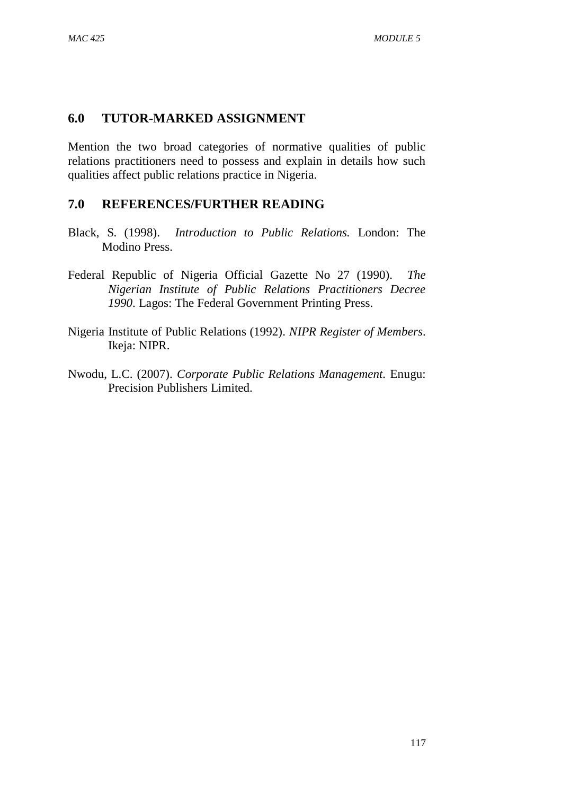## **6.0 TUTOR-MARKED ASSIGNMENT**

Mention the two broad categories of normative qualities of public relations practitioners need to possess and explain in details how such qualities affect public relations practice in Nigeria.

#### **7.0 REFERENCES/FURTHER READING**

- Black, S. (1998). *Introduction to Public Relations.* London: The Modino Press.
- Federal Republic of Nigeria Official Gazette No 27 (1990). *The Nigerian Institute of Public Relations Practitioners Decree 1990*. Lagos: The Federal Government Printing Press.
- Nigeria Institute of Public Relations (1992). *NIPR Register of Members*. Ikeja: NIPR.
- Nwodu, L.C. (2007). *Corporate Public Relations Management.* Enugu: Precision Publishers Limited.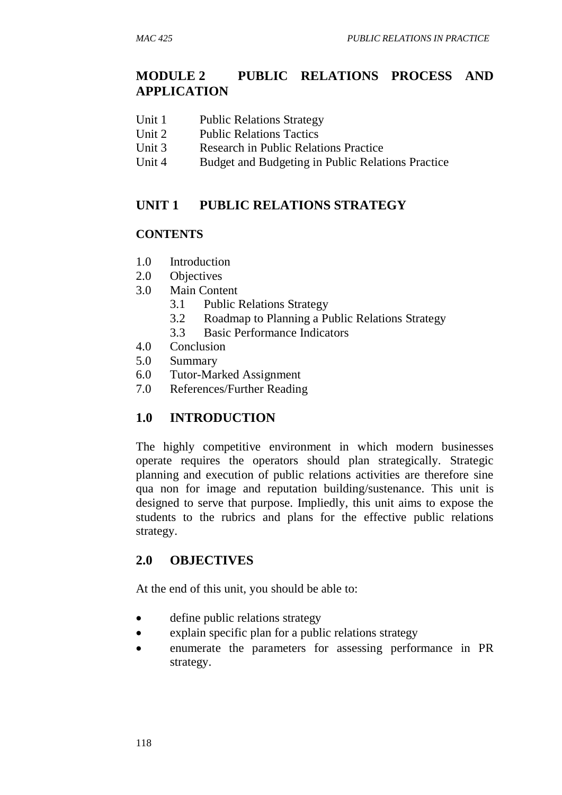## **MODULE 2 PUBLIC RELATIONS PROCESS AND APPLICATION**

- Unit 1 Public Relations Strategy
- Unit 2 Public Relations Tactics
- Unit 3 Research in Public Relations Practice
- Unit 4 Budget and Budgeting in Public Relations Practice

## **UNIT 1 PUBLIC RELATIONS STRATEGY**

#### **CONTENTS**

- 1.0 Introduction
- 2.0 Objectives
- 3.0 Main Content
	- 3.1 Public Relations Strategy
	- 3.2 Roadmap to Planning a Public Relations Strategy
	- 3.3 Basic Performance Indicators
- 4.0 Conclusion
- 5.0 Summary
- 6.0 Tutor-Marked Assignment
- 7.0 References/Further Reading

## **1.0 INTRODUCTION**

The highly competitive environment in which modern businesses operate requires the operators should plan strategically. Strategic planning and execution of public relations activities are therefore sine qua non for image and reputation building/sustenance. This unit is designed to serve that purpose. Impliedly, this unit aims to expose the students to the rubrics and plans for the effective public relations strategy.

#### **2.0 OBJECTIVES**

At the end of this unit, you should be able to:

- define public relations strategy
- explain specific plan for a public relations strategy
- enumerate the parameters for assessing performance in PR strategy.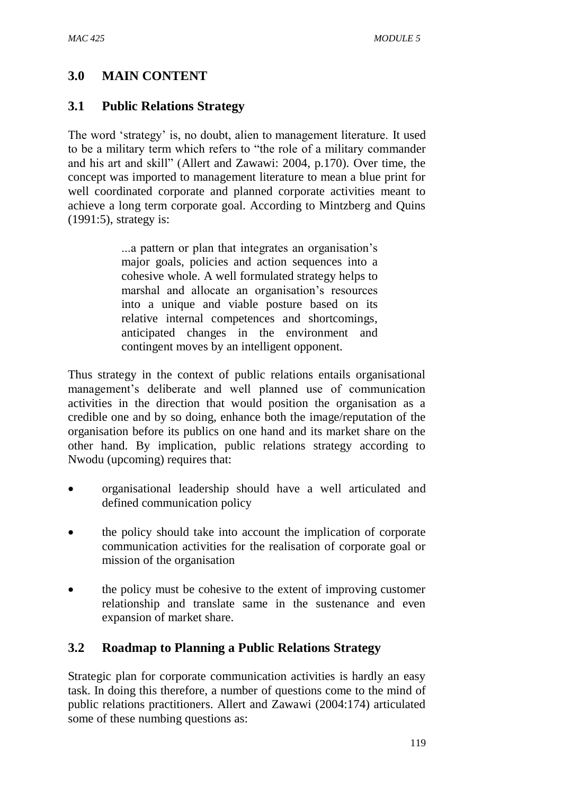## **3.0 MAIN CONTENT**

## **3.1 Public Relations Strategy**

The word 'strategy' is, no doubt, alien to management literature. It used to be a military term which refers to "the role of a military commander and his art and skill" (Allert and Zawawi: 2004, p.170). Over time, the concept was imported to management literature to mean a blue print for well coordinated corporate and planned corporate activities meant to achieve a long term corporate goal. According to Mintzberg and Quins (1991:5), strategy is:

> ...a pattern or plan that integrates an organisation's major goals, policies and action sequences into a cohesive whole. A well formulated strategy helps to marshal and allocate an organisation's resources into a unique and viable posture based on its relative internal competences and shortcomings, anticipated changes in the environment and contingent moves by an intelligent opponent.

Thus strategy in the context of public relations entails organisational management's deliberate and well planned use of communication activities in the direction that would position the organisation as a credible one and by so doing, enhance both the image/reputation of the organisation before its publics on one hand and its market share on the other hand. By implication, public relations strategy according to Nwodu (upcoming) requires that:

- organisational leadership should have a well articulated and defined communication policy
- the policy should take into account the implication of corporate communication activities for the realisation of corporate goal or mission of the organisation
- the policy must be cohesive to the extent of improving customer relationship and translate same in the sustenance and even expansion of market share.

## **3.2 Roadmap to Planning a Public Relations Strategy**

Strategic plan for corporate communication activities is hardly an easy task. In doing this therefore, a number of questions come to the mind of public relations practitioners. Allert and Zawawi (2004:174) articulated some of these numbing questions as: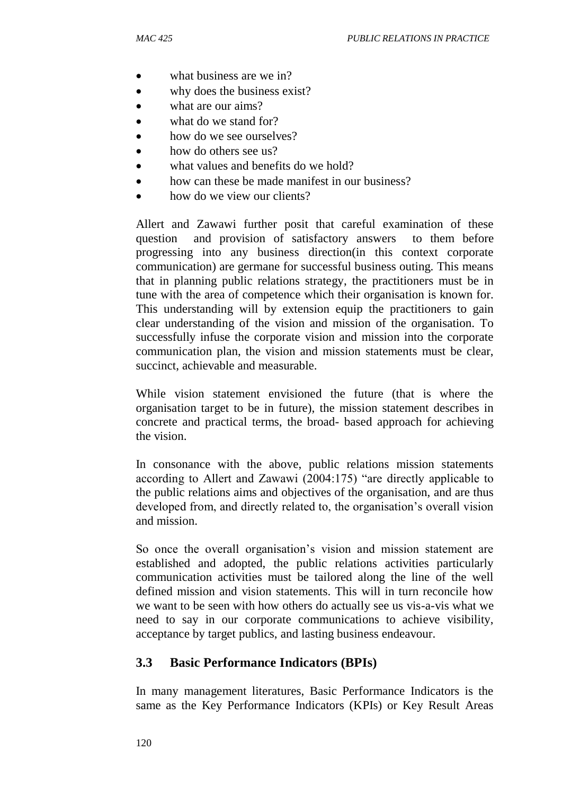- what business are we in?
- why does the business exist?
- what are our aims?
- what do we stand for?
- how do we see ourselves?
- how do others see us?
- what values and benefits do we hold?
- how can these be made manifest in our business?
- how do we view our clients?

Allert and Zawawi further posit that careful examination of these question and provision of satisfactory answers to them before progressing into any business direction(in this context corporate communication) are germane for successful business outing. This means that in planning public relations strategy, the practitioners must be in tune with the area of competence which their organisation is known for. This understanding will by extension equip the practitioners to gain clear understanding of the vision and mission of the organisation. To successfully infuse the corporate vision and mission into the corporate communication plan, the vision and mission statements must be clear, succinct, achievable and measurable.

While vision statement envisioned the future (that is where the organisation target to be in future), the mission statement describes in concrete and practical terms, the broad- based approach for achieving the vision.

In consonance with the above, public relations mission statements according to Allert and Zawawi (2004:175) "are directly applicable to the public relations aims and objectives of the organisation, and are thus developed from, and directly related to, the organisation's overall vision and mission.

So once the overall organisation's vision and mission statement are established and adopted, the public relations activities particularly communication activities must be tailored along the line of the well defined mission and vision statements. This will in turn reconcile how we want to be seen with how others do actually see us vis-a-vis what we need to say in our corporate communications to achieve visibility, acceptance by target publics, and lasting business endeavour.

#### **3.3 Basic Performance Indicators (BPIs)**

In many management literatures, Basic Performance Indicators is the same as the Key Performance Indicators (KPIs) or Key Result Areas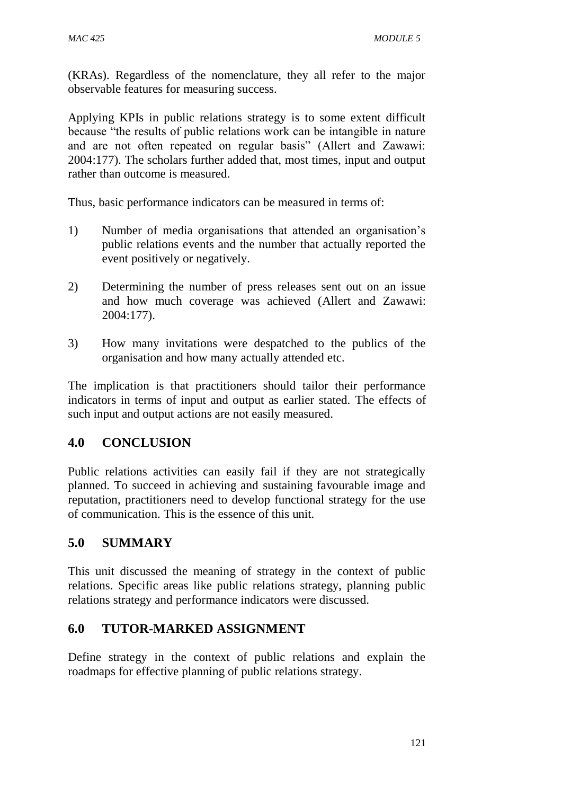(KRAs). Regardless of the nomenclature, they all refer to the major observable features for measuring success.

Applying KPIs in public relations strategy is to some extent difficult because "the results of public relations work can be intangible in nature and are not often repeated on regular basis" (Allert and Zawawi: 2004:177). The scholars further added that, most times, input and output rather than outcome is measured.

Thus, basic performance indicators can be measured in terms of:

- 1) Number of media organisations that attended an organisation's public relations events and the number that actually reported the event positively or negatively.
- 2) Determining the number of press releases sent out on an issue and how much coverage was achieved (Allert and Zawawi: 2004:177).
- 3) How many invitations were despatched to the publics of the organisation and how many actually attended etc.

The implication is that practitioners should tailor their performance indicators in terms of input and output as earlier stated. The effects of such input and output actions are not easily measured.

## **4.0 CONCLUSION**

Public relations activities can easily fail if they are not strategically planned. To succeed in achieving and sustaining favourable image and reputation, practitioners need to develop functional strategy for the use of communication. This is the essence of this unit.

## **5.0 SUMMARY**

This unit discussed the meaning of strategy in the context of public relations. Specific areas like public relations strategy, planning public relations strategy and performance indicators were discussed.

## **6.0 TUTOR-MARKED ASSIGNMENT**

Define strategy in the context of public relations and explain the roadmaps for effective planning of public relations strategy.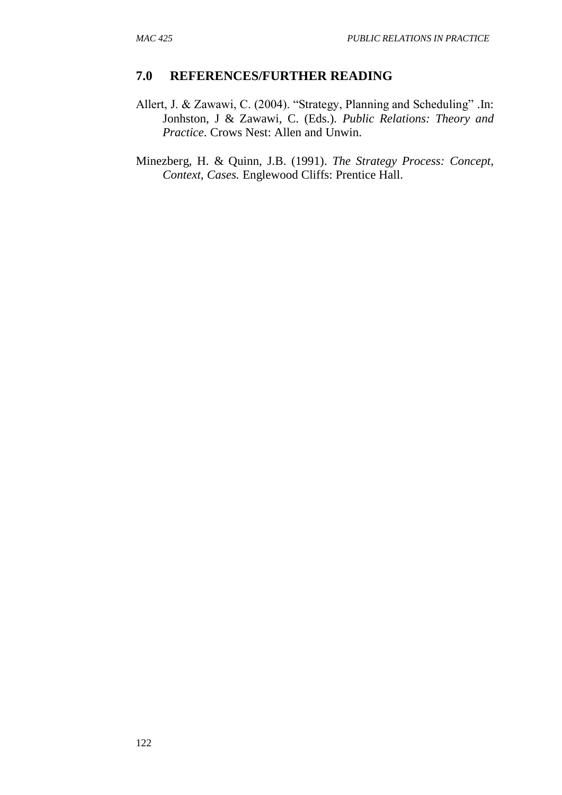#### **7.0 REFERENCES/FURTHER READING**

- Allert, J. & Zawawi, C. (2004). "Strategy, Planning and Scheduling" .In: Jonhston, J & Zawawi, C. (Eds.). *Public Relations: Theory and Practice*. Crows Nest: Allen and Unwin.
- Minezberg, H. & Quinn, J.B. (1991). *The Strategy Process: Concept, Context, Cases.* Englewood Cliffs: Prentice Hall.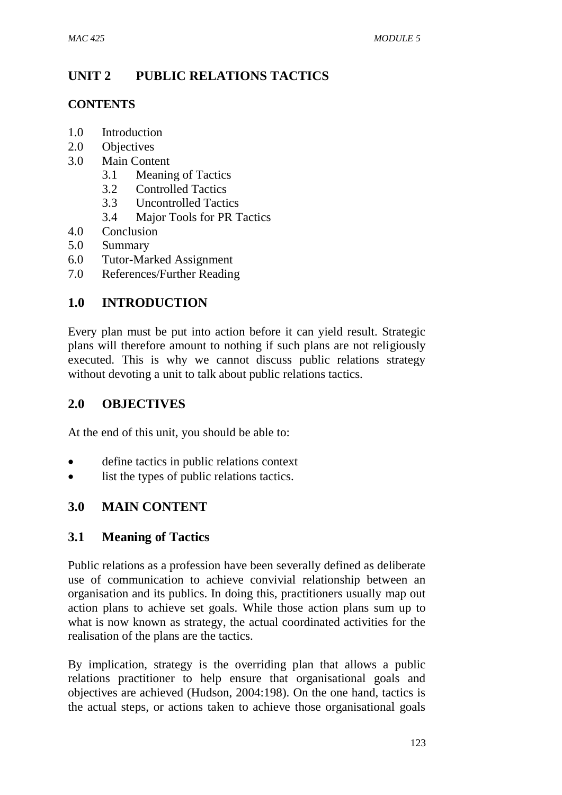## **UNIT 2 PUBLIC RELATIONS TACTICS**

## **CONTENTS**

- 1.0 Introduction
- 2.0 Objectives
- 3.0 Main Content
	- 3.1 Meaning of Tactics
	- 3.2 Controlled Tactics
	- 3.3 Uncontrolled Tactics
	- 3.4 Major Tools for PR Tactics
- 4.0 Conclusion
- 5.0 Summary
- 6.0 Tutor-Marked Assignment
- 7.0 References/Further Reading

## **1.0 INTRODUCTION**

Every plan must be put into action before it can yield result. Strategic plans will therefore amount to nothing if such plans are not religiously executed. This is why we cannot discuss public relations strategy without devoting a unit to talk about public relations tactics.

## **2.0 OBJECTIVES**

At the end of this unit, you should be able to:

- define tactics in public relations context
- list the types of public relations tactics.

## **3.0 MAIN CONTENT**

## **3.1 Meaning of Tactics**

Public relations as a profession have been severally defined as deliberate use of communication to achieve convivial relationship between an organisation and its publics. In doing this, practitioners usually map out action plans to achieve set goals. While those action plans sum up to what is now known as strategy, the actual coordinated activities for the realisation of the plans are the tactics.

By implication, strategy is the overriding plan that allows a public relations practitioner to help ensure that organisational goals and objectives are achieved (Hudson, 2004:198). On the one hand, tactics is the actual steps, or actions taken to achieve those organisational goals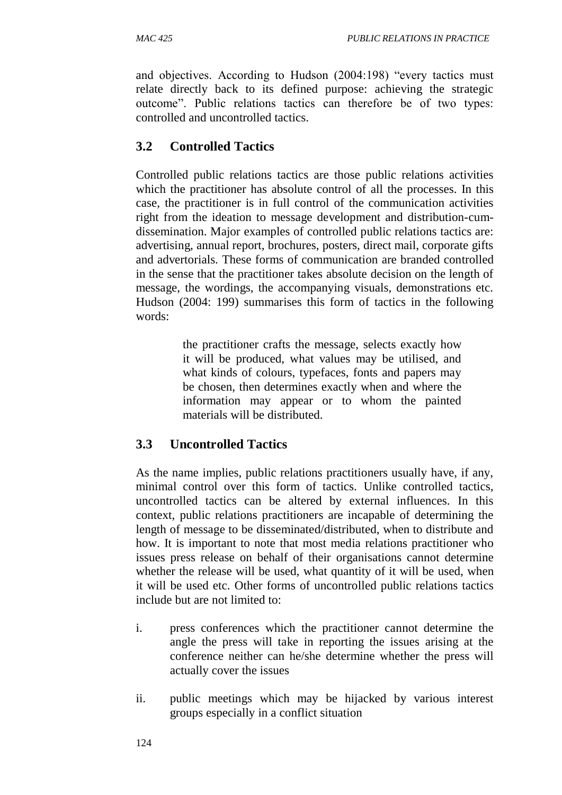and objectives. According to Hudson (2004:198) "every tactics must relate directly back to its defined purpose: achieving the strategic outcome". Public relations tactics can therefore be of two types: controlled and uncontrolled tactics.

## **3.2 Controlled Tactics**

Controlled public relations tactics are those public relations activities which the practitioner has absolute control of all the processes. In this case, the practitioner is in full control of the communication activities right from the ideation to message development and distribution-cumdissemination. Major examples of controlled public relations tactics are: advertising, annual report, brochures, posters, direct mail, corporate gifts and advertorials. These forms of communication are branded controlled in the sense that the practitioner takes absolute decision on the length of message, the wordings, the accompanying visuals, demonstrations etc. Hudson (2004: 199) summarises this form of tactics in the following words:

> the practitioner crafts the message, selects exactly how it will be produced, what values may be utilised, and what kinds of colours, typefaces, fonts and papers may be chosen, then determines exactly when and where the information may appear or to whom the painted materials will be distributed.

## **3.3 Uncontrolled Tactics**

As the name implies, public relations practitioners usually have, if any, minimal control over this form of tactics. Unlike controlled tactics, uncontrolled tactics can be altered by external influences. In this context, public relations practitioners are incapable of determining the length of message to be disseminated/distributed, when to distribute and how. It is important to note that most media relations practitioner who issues press release on behalf of their organisations cannot determine whether the release will be used, what quantity of it will be used, when it will be used etc. Other forms of uncontrolled public relations tactics include but are not limited to:

- i. press conferences which the practitioner cannot determine the angle the press will take in reporting the issues arising at the conference neither can he/she determine whether the press will actually cover the issues
- ii. public meetings which may be hijacked by various interest groups especially in a conflict situation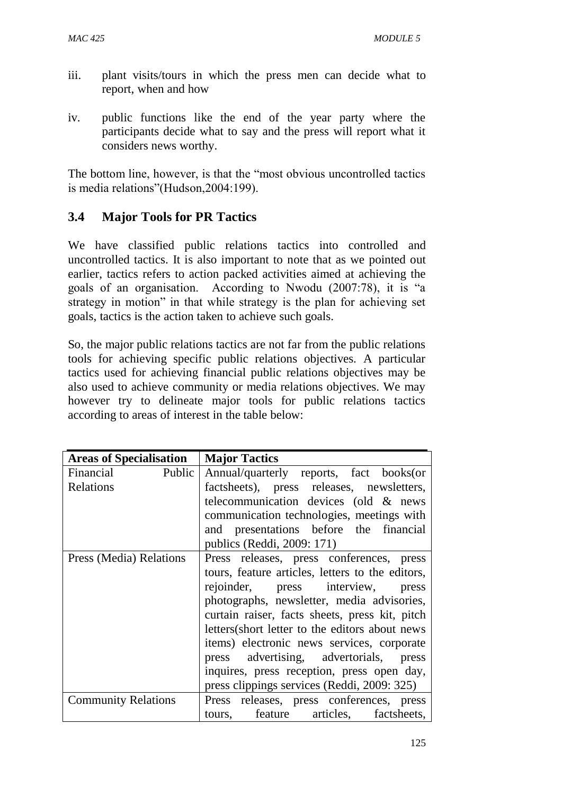- iii. plant visits/tours in which the press men can decide what to report, when and how
- iv. public functions like the end of the year party where the participants decide what to say and the press will report what it considers news worthy.

The bottom line, however, is that the "most obvious uncontrolled tactics is media relations"(Hudson,2004:199).

## **3.4 Major Tools for PR Tactics**

We have classified public relations tactics into controlled and uncontrolled tactics. It is also important to note that as we pointed out earlier, tactics refers to action packed activities aimed at achieving the goals of an organisation. According to Nwodu (2007:78), it is "a strategy in motion" in that while strategy is the plan for achieving set goals, tactics is the action taken to achieve such goals.

So, the major public relations tactics are not far from the public relations tools for achieving specific public relations objectives. A particular tactics used for achieving financial public relations objectives may be also used to achieve community or media relations objectives. We may however try to delineate major tools for public relations tactics according to areas of interest in the table below:

| <b>Areas of Specialisation</b> | <b>Major Tactics</b>                             |
|--------------------------------|--------------------------------------------------|
| Financial<br>Public            | Annual/quarterly reports, fact books(or          |
| Relations                      | factsheets), press releases, newsletters,        |
|                                | telecommunication devices (old & news            |
|                                | communication technologies, meetings with        |
|                                | and presentations before the financial           |
|                                | publics (Reddi, 2009: 171)                       |
| Press (Media) Relations        | Press releases, press conferences, press         |
|                                | tours, feature articles, letters to the editors, |
|                                | rejoinder, press interview, press                |
|                                | photographs, newsletter, media advisories,       |
|                                | curtain raiser, facts sheets, press kit, pitch   |
|                                | letters (short letter to the editors about news  |
|                                | items) electronic news services, corporate       |
|                                | press advertising, advertorials, press           |
|                                | inquires, press reception, press open day,       |
|                                | press clippings services (Reddi, 2009: 325)      |
| <b>Community Relations</b>     | Press releases, press conferences, press         |
|                                | tours, feature articles, factsheets,             |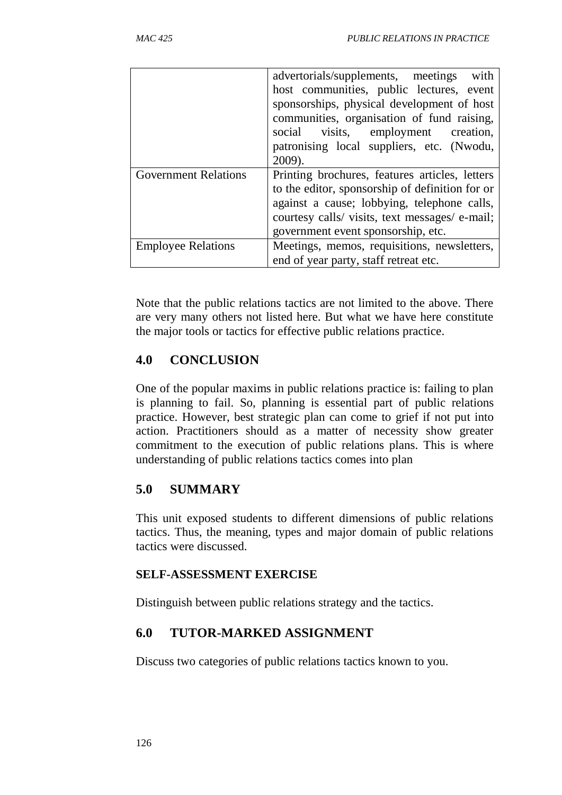|                             | advertorials/supplements, meetings<br>with      |  |  |  |  |
|-----------------------------|-------------------------------------------------|--|--|--|--|
|                             | host communities, public lectures, event        |  |  |  |  |
|                             | sponsorships, physical development of host      |  |  |  |  |
|                             | communities, organisation of fund raising,      |  |  |  |  |
|                             | social visits, employment creation,             |  |  |  |  |
|                             | patronising local suppliers, etc. (Nwodu,       |  |  |  |  |
|                             | 2009).                                          |  |  |  |  |
| <b>Government Relations</b> | Printing brochures, features articles, letters  |  |  |  |  |
|                             | to the editor, sponsorship of definition for or |  |  |  |  |
|                             |                                                 |  |  |  |  |
|                             | against a cause; lobbying, telephone calls,     |  |  |  |  |
|                             | courtesy calls/ visits, text messages/ e-mail;  |  |  |  |  |
|                             | government event sponsorship, etc.              |  |  |  |  |
| <b>Employee Relations</b>   | Meetings, memos, requisitions, newsletters,     |  |  |  |  |

Note that the public relations tactics are not limited to the above. There are very many others not listed here. But what we have here constitute the major tools or tactics for effective public relations practice.

## **4.0 CONCLUSION**

One of the popular maxims in public relations practice is: failing to plan is planning to fail. So, planning is essential part of public relations practice. However, best strategic plan can come to grief if not put into action. Practitioners should as a matter of necessity show greater commitment to the execution of public relations plans. This is where understanding of public relations tactics comes into plan

## **5.0 SUMMARY**

This unit exposed students to different dimensions of public relations tactics. Thus, the meaning, types and major domain of public relations tactics were discussed.

### **SELF-ASSESSMENT EXERCISE**

Distinguish between public relations strategy and the tactics.

# **6.0 TUTOR-MARKED ASSIGNMENT**

Discuss two categories of public relations tactics known to you.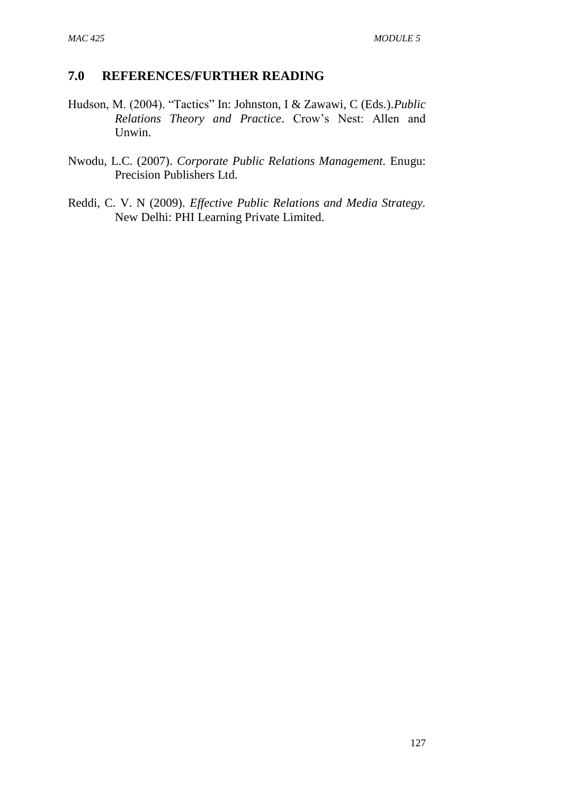- Hudson, M. (2004). "Tactics" In: Johnston, I & Zawawi, C (Eds.).*Public Relations Theory and Practice*. Crow's Nest: Allen and Unwin.
- Nwodu, L.C. (2007). *Corporate Public Relations Management.* Enugu: Precision Publishers Ltd.
- Reddi, C. V. N (2009). *Effective Public Relations and Media Strategy.* New Delhi: PHI Learning Private Limited.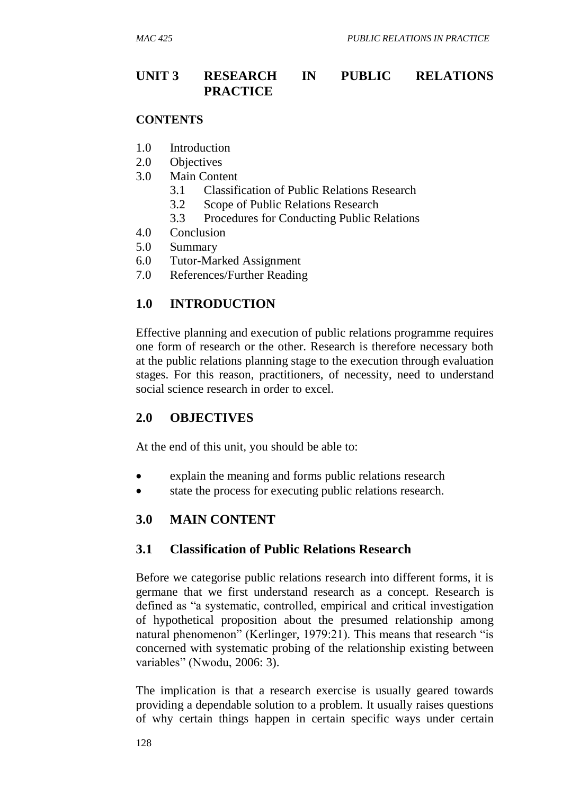## **UNIT 3 RESEARCH IN PUBLIC RELATIONS PRACTICE**

#### **CONTENTS**

- 1.0 Introduction
- 2.0 Objectives
- 3.0 Main Content
	- 3.1 Classification of Public Relations Research
	- 3.2 Scope of Public Relations Research
	- 3.3 Procedures for Conducting Public Relations
- 4.0 Conclusion
- 5.0 Summary
- 6.0 Tutor-Marked Assignment
- 7.0 References/Further Reading

## **1.0 INTRODUCTION**

Effective planning and execution of public relations programme requires one form of research or the other. Research is therefore necessary both at the public relations planning stage to the execution through evaluation stages. For this reason, practitioners, of necessity, need to understand social science research in order to excel.

## **2.0 OBJECTIVES**

At the end of this unit, you should be able to:

- explain the meaning and forms public relations research
- state the process for executing public relations research.

## **3.0 MAIN CONTENT**

## **3.1 Classification of Public Relations Research**

Before we categorise public relations research into different forms, it is germane that we first understand research as a concept. Research is defined as "a systematic, controlled, empirical and critical investigation of hypothetical proposition about the presumed relationship among natural phenomenon" (Kerlinger, 1979:21). This means that research "is concerned with systematic probing of the relationship existing between variables" (Nwodu, 2006: 3).

The implication is that a research exercise is usually geared towards providing a dependable solution to a problem. It usually raises questions of why certain things happen in certain specific ways under certain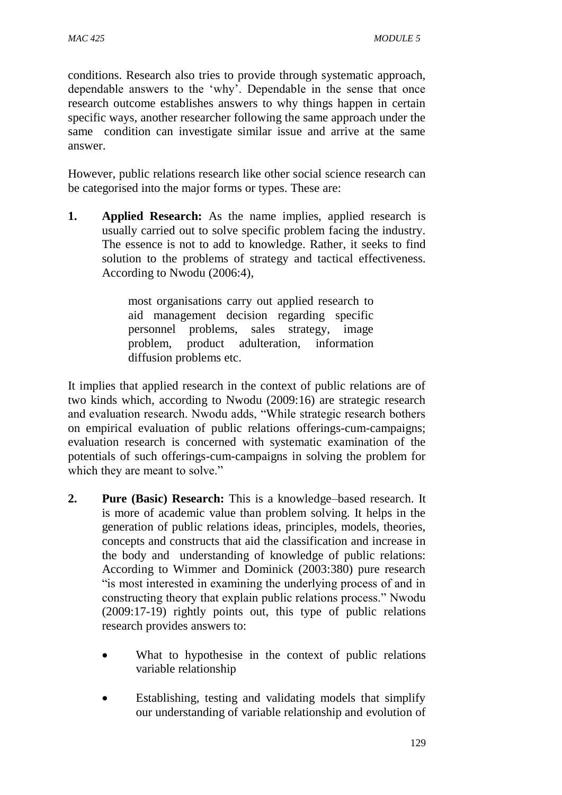conditions. Research also tries to provide through systematic approach, dependable answers to the 'why'. Dependable in the sense that once research outcome establishes answers to why things happen in certain specific ways, another researcher following the same approach under the same condition can investigate similar issue and arrive at the same answer.

However, public relations research like other social science research can be categorised into the major forms or types. These are:

**1. Applied Research:** As the name implies, applied research is usually carried out to solve specific problem facing the industry. The essence is not to add to knowledge. Rather, it seeks to find solution to the problems of strategy and tactical effectiveness. According to Nwodu (2006:4),

> most organisations carry out applied research to aid management decision regarding specific personnel problems, sales strategy, image problem, product adulteration, information diffusion problems etc.

It implies that applied research in the context of public relations are of two kinds which, according to Nwodu (2009:16) are strategic research and evaluation research. Nwodu adds, "While strategic research bothers on empirical evaluation of public relations offerings-cum-campaigns; evaluation research is concerned with systematic examination of the potentials of such offerings-cum-campaigns in solving the problem for which they are meant to solve."

- **2. Pure (Basic) Research:** This is a knowledge–based research. It is more of academic value than problem solving. It helps in the generation of public relations ideas, principles, models, theories, concepts and constructs that aid the classification and increase in the body and understanding of knowledge of public relations: According to Wimmer and Dominick (2003:380) pure research "is most interested in examining the underlying process of and in constructing theory that explain public relations process." Nwodu (2009:17-19) rightly points out, this type of public relations research provides answers to:
	- What to hypothesise in the context of public relations variable relationship
	- Establishing, testing and validating models that simplify our understanding of variable relationship and evolution of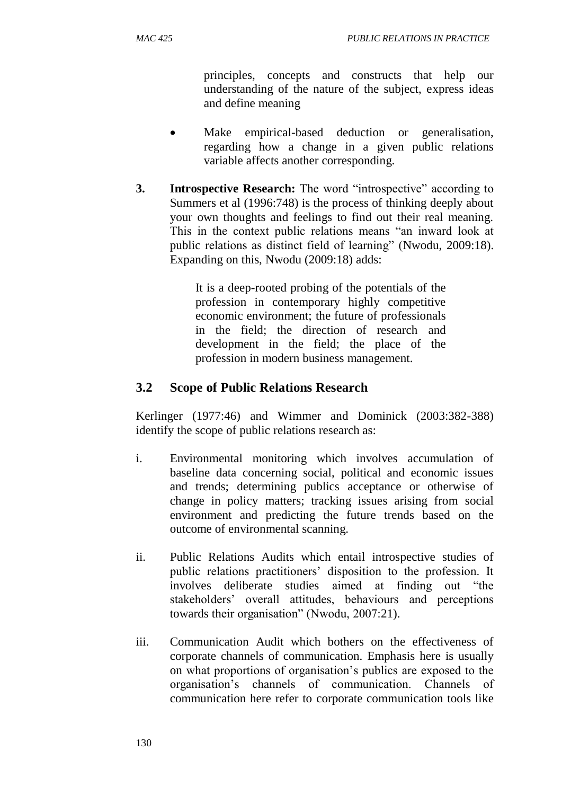principles, concepts and constructs that help our understanding of the nature of the subject, express ideas and define meaning

- Make empirical-based deduction or generalisation, regarding how a change in a given public relations variable affects another corresponding.
- **3. Introspective Research:** The word "introspective" according to Summers et al (1996:748) is the process of thinking deeply about your own thoughts and feelings to find out their real meaning. This in the context public relations means "an inward look at public relations as distinct field of learning" (Nwodu, 2009:18). Expanding on this, Nwodu (2009:18) adds:

It is a deep-rooted probing of the potentials of the profession in contemporary highly competitive economic environment; the future of professionals in the field; the direction of research and development in the field; the place of the profession in modern business management.

## **3.2 Scope of Public Relations Research**

Kerlinger (1977:46) and Wimmer and Dominick (2003:382-388) identify the scope of public relations research as:

- i. Environmental monitoring which involves accumulation of baseline data concerning social, political and economic issues and trends; determining publics acceptance or otherwise of change in policy matters; tracking issues arising from social environment and predicting the future trends based on the outcome of environmental scanning.
- ii. Public Relations Audits which entail introspective studies of public relations practitioners' disposition to the profession. It involves deliberate studies aimed at finding out "the stakeholders' overall attitudes, behaviours and perceptions towards their organisation" (Nwodu, 2007:21).
- iii. Communication Audit which bothers on the effectiveness of corporate channels of communication. Emphasis here is usually on what proportions of organisation's publics are exposed to the organisation's channels of communication. Channels of communication here refer to corporate communication tools like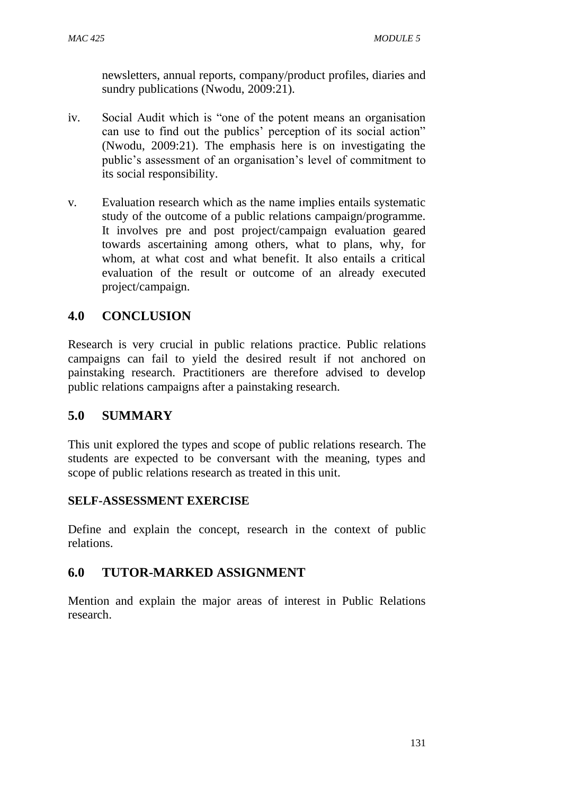newsletters, annual reports, company/product profiles, diaries and sundry publications (Nwodu, 2009:21).

- iv. Social Audit which is "one of the potent means an organisation can use to find out the publics' perception of its social action" (Nwodu, 2009:21). The emphasis here is on investigating the public's assessment of an organisation's level of commitment to its social responsibility.
- v. Evaluation research which as the name implies entails systematic study of the outcome of a public relations campaign/programme. It involves pre and post project/campaign evaluation geared towards ascertaining among others, what to plans, why, for whom, at what cost and what benefit. It also entails a critical evaluation of the result or outcome of an already executed project/campaign.

## **4.0 CONCLUSION**

Research is very crucial in public relations practice. Public relations campaigns can fail to yield the desired result if not anchored on painstaking research. Practitioners are therefore advised to develop public relations campaigns after a painstaking research.

## **5.0 SUMMARY**

This unit explored the types and scope of public relations research. The students are expected to be conversant with the meaning, types and scope of public relations research as treated in this unit.

### **SELF-ASSESSMENT EXERCISE**

Define and explain the concept, research in the context of public relations.

## **6.0 TUTOR-MARKED ASSIGNMENT**

Mention and explain the major areas of interest in Public Relations research.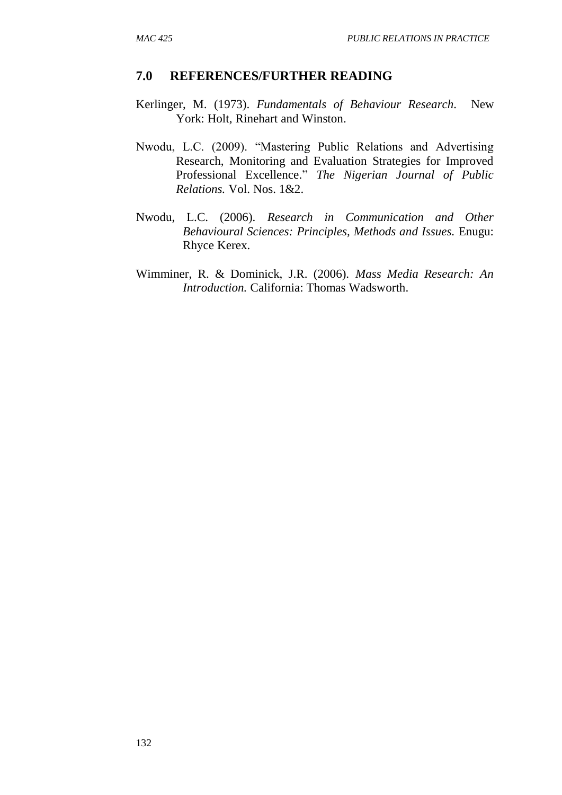- Kerlinger, M. (1973). *Fundamentals of Behaviour Research.* New York: Holt, Rinehart and Winston.
- Nwodu, L.C. (2009). "Mastering Public Relations and Advertising Research, Monitoring and Evaluation Strategies for Improved Professional Excellence." *The Nigerian Journal of Public Relations.* Vol. Nos. 1&2.
- Nwodu, L.C. (2006). *Research in Communication and Other Behavioural Sciences: Principles, Methods and Issues.* Enugu: Rhyce Kerex.
- Wimminer, R. & Dominick, J.R. (2006). *Mass Media Research: An Introduction.* California: Thomas Wadsworth.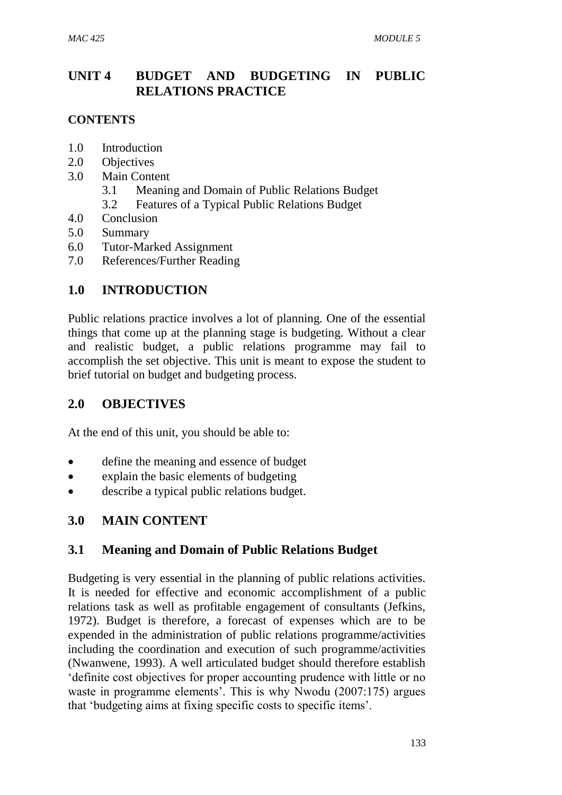# **UNIT 4 BUDGET AND BUDGETING IN PUBLIC RELATIONS PRACTICE**

## **CONTENTS**

- 1.0 Introduction
- 2.0 Objectives
- 3.0 Main Content
	- 3.1 Meaning and Domain of Public Relations Budget
	- 3.2 Features of a Typical Public Relations Budget
- 4.0 Conclusion
- 5.0 Summary
- 6.0 Tutor-Marked Assignment
- 7.0 References/Further Reading

## **1.0 INTRODUCTION**

Public relations practice involves a lot of planning. One of the essential things that come up at the planning stage is budgeting. Without a clear and realistic budget, a public relations programme may fail to accomplish the set objective. This unit is meant to expose the student to brief tutorial on budget and budgeting process.

## **2.0 OBJECTIVES**

At the end of this unit, you should be able to:

- define the meaning and essence of budget
- explain the basic elements of budgeting
- describe a typical public relations budget.

## **3.0 MAIN CONTENT**

## **3.1 Meaning and Domain of Public Relations Budget**

Budgeting is very essential in the planning of public relations activities. It is needed for effective and economic accomplishment of a public relations task as well as profitable engagement of consultants (Jefkins, 1972). Budget is therefore, a forecast of expenses which are to be expended in the administration of public relations programme/activities including the coordination and execution of such programme/activities (Nwanwene, 1993). A well articulated budget should therefore establish 'definite cost objectives for proper accounting prudence with little or no waste in programme elements'. This is why Nwodu (2007:175) argues that 'budgeting aims at fixing specific costs to specific items'.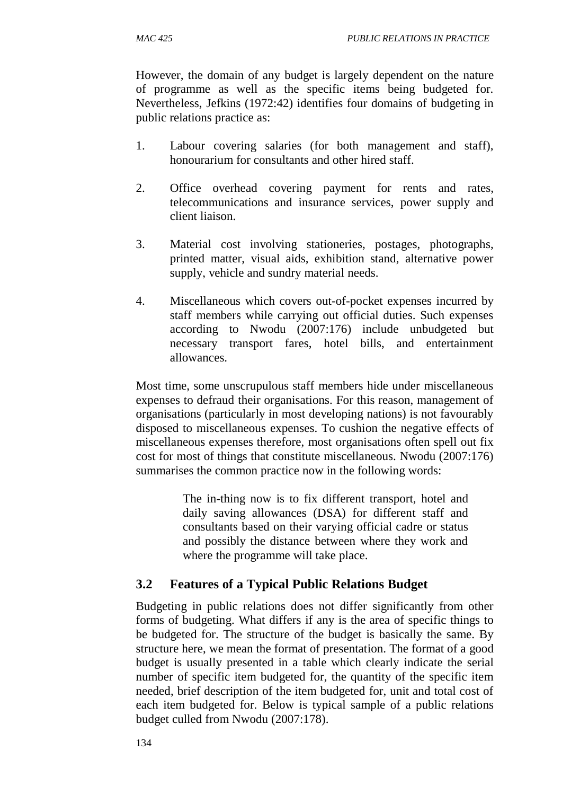However, the domain of any budget is largely dependent on the nature of programme as well as the specific items being budgeted for. Nevertheless, Jefkins (1972:42) identifies four domains of budgeting in public relations practice as:

- 1. Labour covering salaries (for both management and staff), honourarium for consultants and other hired staff.
- 2. Office overhead covering payment for rents and rates, telecommunications and insurance services, power supply and client liaison.
- 3. Material cost involving stationeries, postages, photographs, printed matter, visual aids, exhibition stand, alternative power supply, vehicle and sundry material needs.
- 4. Miscellaneous which covers out-of-pocket expenses incurred by staff members while carrying out official duties. Such expenses according to Nwodu (2007:176) include unbudgeted but necessary transport fares, hotel bills, and entertainment allowances.

Most time, some unscrupulous staff members hide under miscellaneous expenses to defraud their organisations. For this reason, management of organisations (particularly in most developing nations) is not favourably disposed to miscellaneous expenses. To cushion the negative effects of miscellaneous expenses therefore, most organisations often spell out fix cost for most of things that constitute miscellaneous. Nwodu (2007:176) summarises the common practice now in the following words:

> The in-thing now is to fix different transport, hotel and daily saving allowances (DSA) for different staff and consultants based on their varying official cadre or status and possibly the distance between where they work and where the programme will take place.

# **3.2 Features of a Typical Public Relations Budget**

Budgeting in public relations does not differ significantly from other forms of budgeting. What differs if any is the area of specific things to be budgeted for. The structure of the budget is basically the same. By structure here, we mean the format of presentation. The format of a good budget is usually presented in a table which clearly indicate the serial number of specific item budgeted for, the quantity of the specific item needed, brief description of the item budgeted for, unit and total cost of each item budgeted for. Below is typical sample of a public relations budget culled from Nwodu (2007:178).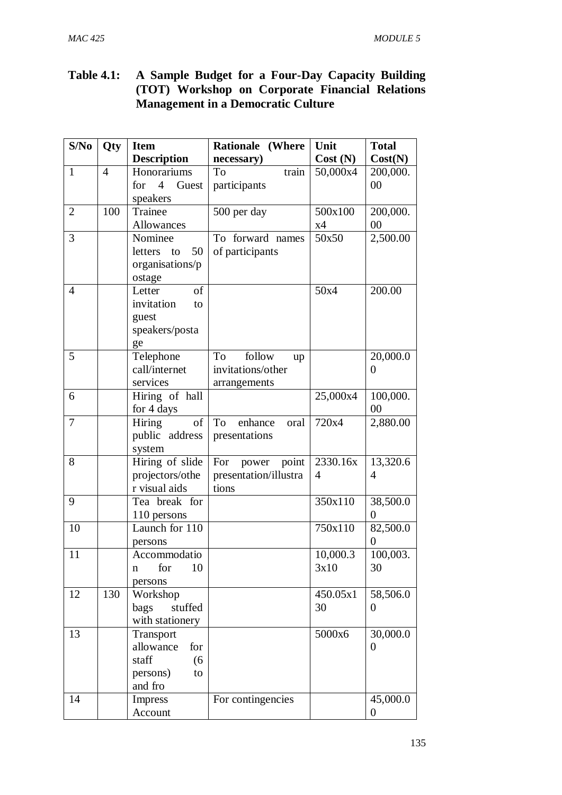## **Table 4.1: A Sample Budget for a Four-Day Capacity Building (TOT) Workshop on Corporate Financial Relations Management in a Democratic Culture**

| S/No           | Qty            | <b>Item</b>                    | <b>Rationale (Where</b>   | Unit           | <b>Total</b>   |
|----------------|----------------|--------------------------------|---------------------------|----------------|----------------|
|                |                | <b>Description</b>             | necessary)                | Cost(N)        | Cost(N)        |
| $\mathbf{1}$   | $\overline{4}$ | Honorariums                    | To<br>train               | 50,000x4       | 200,000.       |
|                |                | $\overline{4}$<br>Guest<br>for | participants              |                | 00             |
|                |                | speakers                       |                           |                |                |
| $\overline{2}$ | 100            | Trainee                        | 500 per day               | 500x100        | 200,000.       |
|                |                | Allowances                     |                           | x4             | 00             |
| $\overline{3}$ |                | Nominee                        | To forward names          | 50x50          | 2,500.00       |
|                |                | 50<br>letters<br>to            | of participants           |                |                |
|                |                | organisations/p                |                           |                |                |
|                |                | ostage                         |                           |                |                |
| $\overline{4}$ |                | of<br>Letter                   |                           | 50x4           | 200.00         |
|                |                | invitation<br>to               |                           |                |                |
|                |                | guest                          |                           |                |                |
|                |                | speakers/posta                 |                           |                |                |
|                |                | ge                             |                           |                |                |
| 5              |                | Telephone                      | <b>To</b><br>follow<br>up |                | 20,000.0       |
|                |                | call/internet                  | invitations/other         |                | 0              |
|                |                | services                       | arrangements              |                |                |
| 6              |                | Hiring of hall                 |                           | 25,000x4       | 100,000.       |
|                |                | for 4 days                     |                           |                | 00             |
| 7              |                | of<br><b>Hiring</b>            | To<br>enhance<br>oral     | 720x4          | 2,880.00       |
|                |                | public address                 | presentations             |                |                |
|                |                | system                         |                           |                |                |
| 8              |                | Hiring of slide                | point<br>For<br>power     | 2330.16x       | 13,320.6       |
|                |                | projectors/othe                | presentation/illustra     | $\overline{4}$ | $\overline{4}$ |
|                |                | r visual aids                  | tions                     |                |                |
| 9              |                | Tea break for                  |                           | 350x110        | 38,500.0       |
|                |                | 110 persons                    |                           |                | $\theta$       |
| 10             |                | Launch for 110                 |                           | 750x110        | 82,500.0       |
|                |                | persons                        |                           |                | 0              |
| 11             |                | Accommodatio                   |                           | 10,000.3       | 100,003.       |
|                |                | 10<br>for<br>n                 |                           | 3x10           | 30             |
|                | 130            | persons                        |                           |                |                |
| 12             |                | Workshop                       |                           | 450.05x1       | 58,506.0       |
|                |                | stuffed<br>bags                |                           | 30             | 0              |
|                |                | with stationery                |                           |                |                |
| 13             |                | Transport<br>allowance<br>for  |                           | 5000x6         | 30,000.0<br>0  |
|                |                | staff<br>(6)                   |                           |                |                |
|                |                | persons)                       |                           |                |                |
|                |                | to<br>and fro                  |                           |                |                |
| 14             |                | Impress                        | For contingencies         |                | 45,000.0       |
|                |                | Account                        |                           |                | 0              |
|                |                |                                |                           |                |                |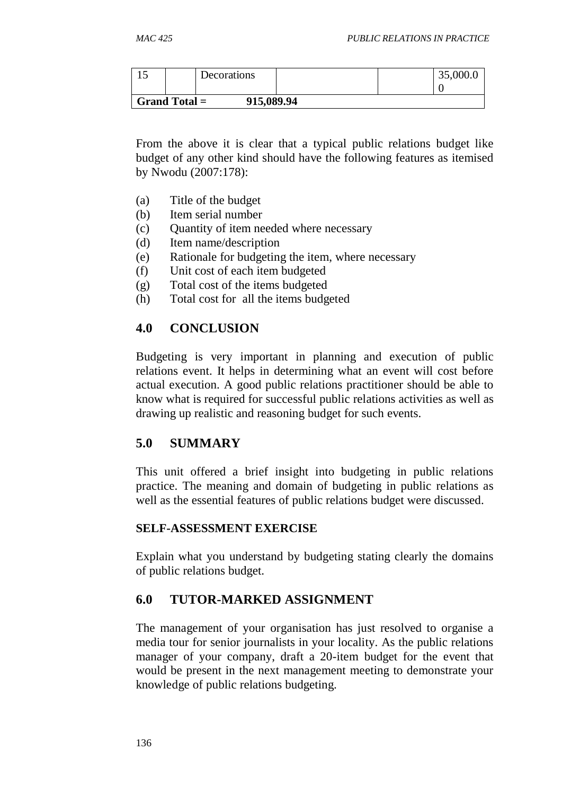| ⊥~                            |  | Decorations |  |  | 35,000.0 |
|-------------------------------|--|-------------|--|--|----------|
|                               |  |             |  |  |          |
| Grand Total $=$<br>915,089.94 |  |             |  |  |          |

From the above it is clear that a typical public relations budget like budget of any other kind should have the following features as itemised by Nwodu (2007:178):

- (a) Title of the budget
- (b) Item serial number
- (c) Quantity of item needed where necessary
- (d) Item name/description
- (e) Rationale for budgeting the item, where necessary
- (f) Unit cost of each item budgeted
- (g) Total cost of the items budgeted
- (h) Total cost for all the items budgeted

## **4.0 CONCLUSION**

Budgeting is very important in planning and execution of public relations event. It helps in determining what an event will cost before actual execution. A good public relations practitioner should be able to know what is required for successful public relations activities as well as drawing up realistic and reasoning budget for such events.

## **5.0 SUMMARY**

This unit offered a brief insight into budgeting in public relations practice. The meaning and domain of budgeting in public relations as well as the essential features of public relations budget were discussed.

#### **SELF-ASSESSMENT EXERCISE**

Explain what you understand by budgeting stating clearly the domains of public relations budget.

## **6.0 TUTOR-MARKED ASSIGNMENT**

The management of your organisation has just resolved to organise a media tour for senior journalists in your locality. As the public relations manager of your company, draft a 20-item budget for the event that would be present in the next management meeting to demonstrate your knowledge of public relations budgeting.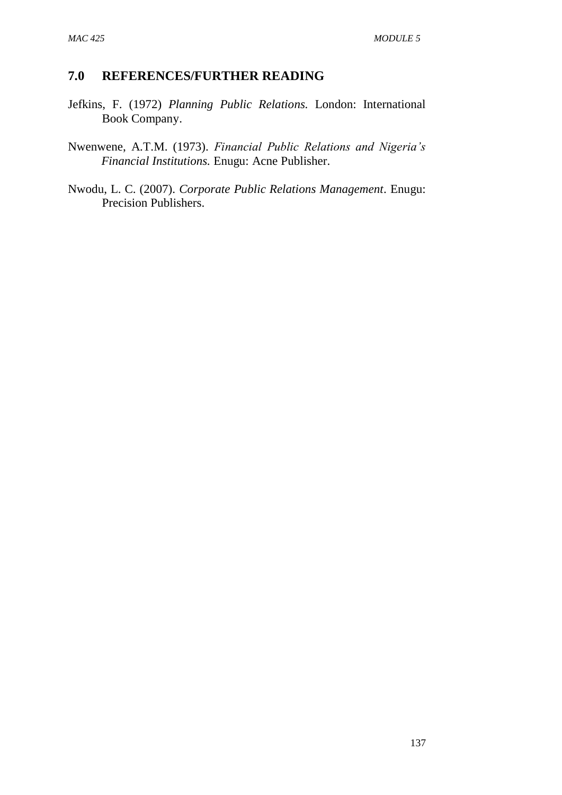- Jefkins, F. (1972) *Planning Public Relations.* London: International Book Company.
- Nwenwene, A.T.M. (1973). *Financial Public Relations and Nigeria's Financial Institutions.* Enugu: Acne Publisher.
- Nwodu, L. C. (2007). *Corporate Public Relations Management*. Enugu: Precision Publishers.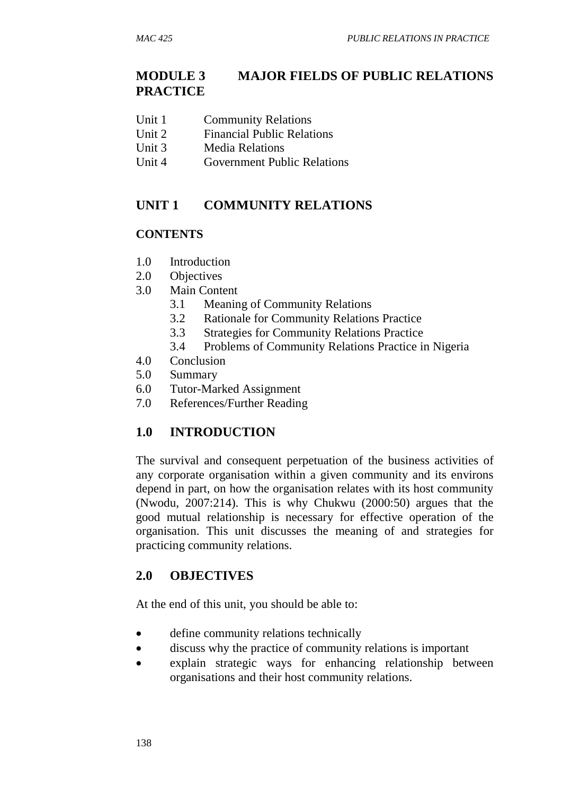# **MODULE 3 MAJOR FIELDS OF PUBLIC RELATIONS PRACTICE**

- Unit 1 Community Relations
- Unit 2 Financial Public Relations
- Unit 3 Media Relations
- Unit 4 Government Public Relations

## **UNIT 1 COMMUNITY RELATIONS**

#### **CONTENTS**

- 1.0 Introduction
- 2.0 Objectives
- 3.0 Main Content
	- 3.1 Meaning of Community Relations
	- 3.2 Rationale for Community Relations Practice
	- 3.3 Strategies for Community Relations Practice
	- 3.4 Problems of Community Relations Practice in Nigeria
- 4.0 Conclusion
- 5.0 Summary
- 6.0 Tutor-Marked Assignment
- 7.0 References/Further Reading

## **1.0 INTRODUCTION**

The survival and consequent perpetuation of the business activities of any corporate organisation within a given community and its environs depend in part, on how the organisation relates with its host community (Nwodu, 2007:214). This is why Chukwu (2000:50) argues that the good mutual relationship is necessary for effective operation of the organisation. This unit discusses the meaning of and strategies for practicing community relations.

### **2.0 OBJECTIVES**

At the end of this unit, you should be able to:

- define community relations technically
- discuss why the practice of community relations is important
- explain strategic ways for enhancing relationship between organisations and their host community relations.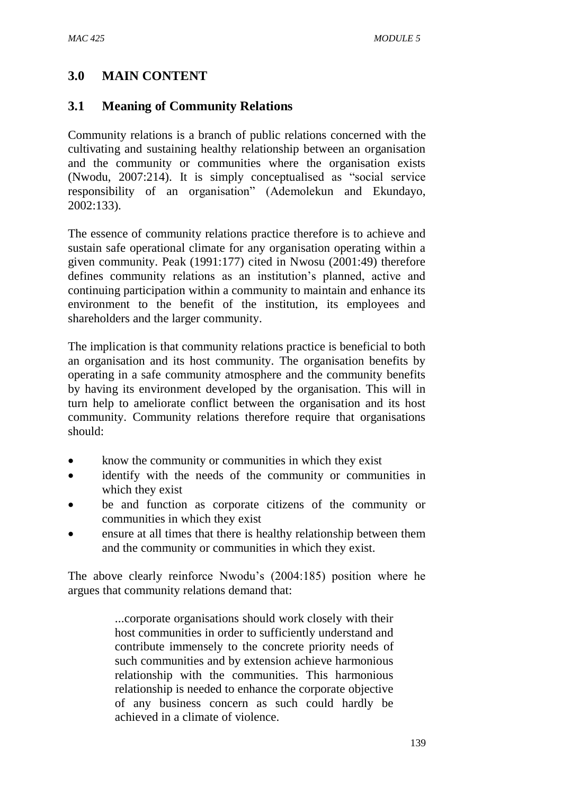## **3.0 MAIN CONTENT**

## **3.1 Meaning of Community Relations**

Community relations is a branch of public relations concerned with the cultivating and sustaining healthy relationship between an organisation and the community or communities where the organisation exists (Nwodu, 2007:214). It is simply conceptualised as "social service responsibility of an organisation" (Ademolekun and Ekundayo, 2002:133).

The essence of community relations practice therefore is to achieve and sustain safe operational climate for any organisation operating within a given community. Peak (1991:177) cited in Nwosu (2001:49) therefore defines community relations as an institution's planned, active and continuing participation within a community to maintain and enhance its environment to the benefit of the institution, its employees and shareholders and the larger community.

The implication is that community relations practice is beneficial to both an organisation and its host community. The organisation benefits by operating in a safe community atmosphere and the community benefits by having its environment developed by the organisation. This will in turn help to ameliorate conflict between the organisation and its host community. Community relations therefore require that organisations should:

- know the community or communities in which they exist
- identify with the needs of the community or communities in which they exist
- be and function as corporate citizens of the community or communities in which they exist
- ensure at all times that there is healthy relationship between them and the community or communities in which they exist.

The above clearly reinforce Nwodu's (2004:185) position where he argues that community relations demand that:

> ...corporate organisations should work closely with their host communities in order to sufficiently understand and contribute immensely to the concrete priority needs of such communities and by extension achieve harmonious relationship with the communities. This harmonious relationship is needed to enhance the corporate objective of any business concern as such could hardly be achieved in a climate of violence.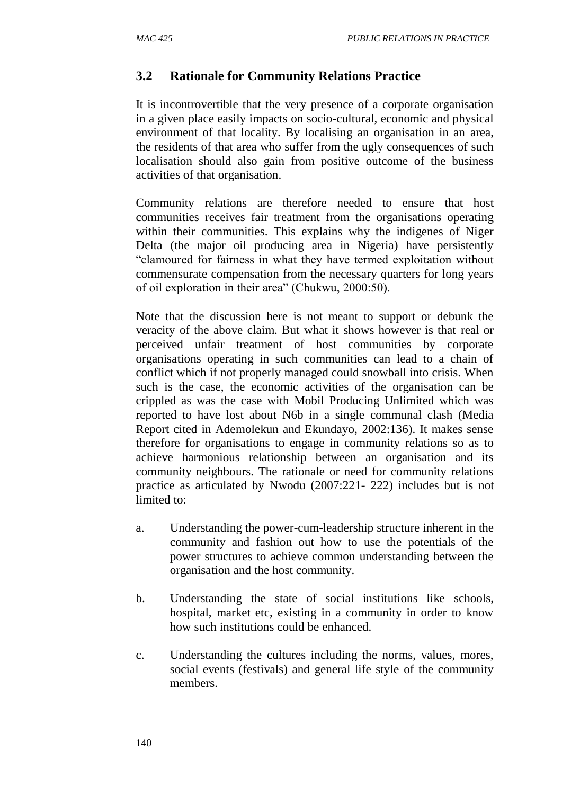## **3.2 Rationale for Community Relations Practice**

It is incontrovertible that the very presence of a corporate organisation in a given place easily impacts on socio-cultural, economic and physical environment of that locality. By localising an organisation in an area, the residents of that area who suffer from the ugly consequences of such localisation should also gain from positive outcome of the business activities of that organisation.

Community relations are therefore needed to ensure that host communities receives fair treatment from the organisations operating within their communities. This explains why the indigenes of Niger Delta (the major oil producing area in Nigeria) have persistently "clamoured for fairness in what they have termed exploitation without commensurate compensation from the necessary quarters for long years of oil exploration in their area" (Chukwu, 2000:50).

Note that the discussion here is not meant to support or debunk the veracity of the above claim. But what it shows however is that real or perceived unfair treatment of host communities by corporate organisations operating in such communities can lead to a chain of conflict which if not properly managed could snowball into crisis. When such is the case, the economic activities of the organisation can be crippled as was the case with Mobil Producing Unlimited which was reported to have lost about N6b in a single communal clash (Media Report cited in Ademolekun and Ekundayo, 2002:136). It makes sense therefore for organisations to engage in community relations so as to achieve harmonious relationship between an organisation and its community neighbours. The rationale or need for community relations practice as articulated by Nwodu (2007:221- 222) includes but is not limited to:

- a. Understanding the power-cum-leadership structure inherent in the community and fashion out how to use the potentials of the power structures to achieve common understanding between the organisation and the host community.
- b. Understanding the state of social institutions like schools, hospital, market etc, existing in a community in order to know how such institutions could be enhanced.
- c. Understanding the cultures including the norms, values, mores, social events (festivals) and general life style of the community members.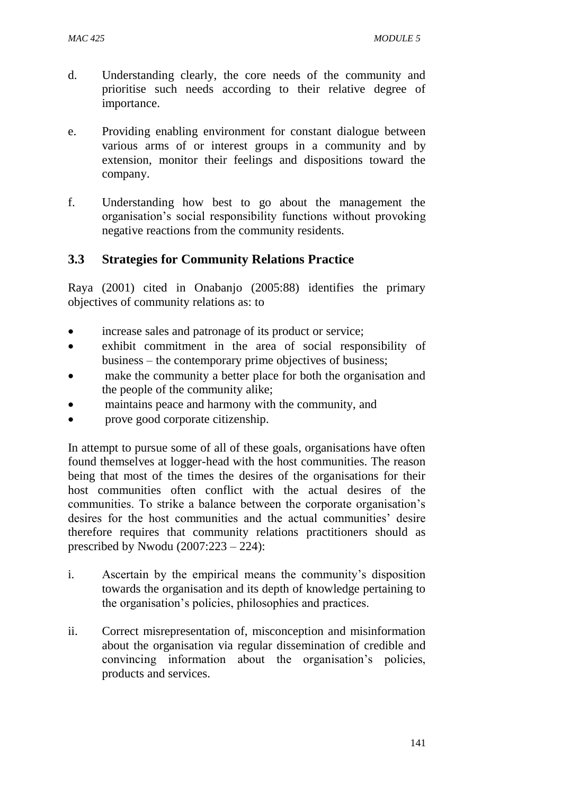- d. Understanding clearly, the core needs of the community and prioritise such needs according to their relative degree of importance.
- e. Providing enabling environment for constant dialogue between various arms of or interest groups in a community and by extension, monitor their feelings and dispositions toward the company.
- f. Understanding how best to go about the management the organisation's social responsibility functions without provoking negative reactions from the community residents.

## **3.3 Strategies for Community Relations Practice**

Raya (2001) cited in Onabanjo (2005:88) identifies the primary objectives of community relations as: to

- increase sales and patronage of its product or service;
- exhibit commitment in the area of social responsibility of business – the contemporary prime objectives of business;
- make the community a better place for both the organisation and the people of the community alike;
- maintains peace and harmony with the community, and
- prove good corporate citizenship.

In attempt to pursue some of all of these goals, organisations have often found themselves at logger-head with the host communities. The reason being that most of the times the desires of the organisations for their host communities often conflict with the actual desires of the communities. To strike a balance between the corporate organisation's desires for the host communities and the actual communities' desire therefore requires that community relations practitioners should as prescribed by Nwodu (2007:223 – 224):

- i. Ascertain by the empirical means the community's disposition towards the organisation and its depth of knowledge pertaining to the organisation's policies, philosophies and practices.
- ii. Correct misrepresentation of, misconception and misinformation about the organisation via regular dissemination of credible and convincing information about the organisation's policies, products and services.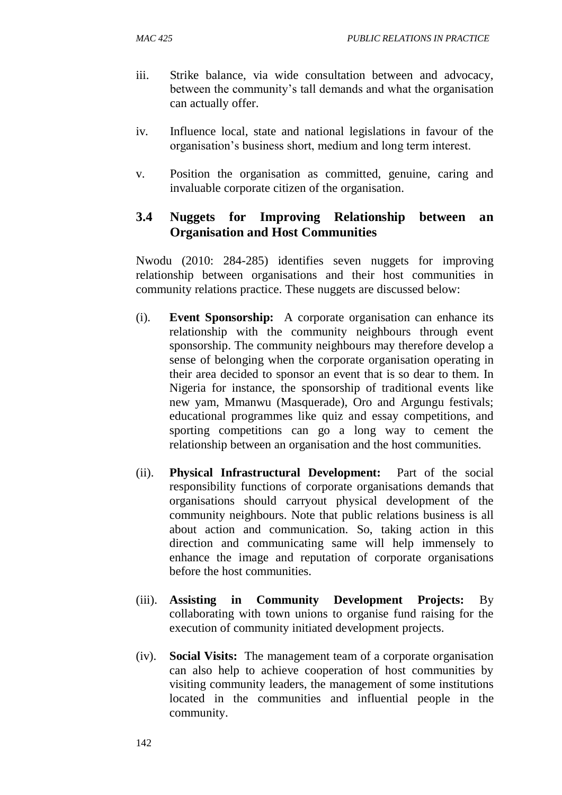- iii. Strike balance, via wide consultation between and advocacy, between the community's tall demands and what the organisation can actually offer.
- iv. Influence local, state and national legislations in favour of the organisation's business short, medium and long term interest.
- v. Position the organisation as committed, genuine, caring and invaluable corporate citizen of the organisation.

## **3.4 Nuggets for Improving Relationship between an Organisation and Host Communities**

Nwodu (2010: 284-285) identifies seven nuggets for improving relationship between organisations and their host communities in community relations practice. These nuggets are discussed below:

- (i). **Event Sponsorship:** A corporate organisation can enhance its relationship with the community neighbours through event sponsorship. The community neighbours may therefore develop a sense of belonging when the corporate organisation operating in their area decided to sponsor an event that is so dear to them. In Nigeria for instance, the sponsorship of traditional events like new yam, Mmanwu (Masquerade), Oro and Argungu festivals; educational programmes like quiz and essay competitions, and sporting competitions can go a long way to cement the relationship between an organisation and the host communities.
- (ii). **Physical Infrastructural Development:** Part of the social responsibility functions of corporate organisations demands that organisations should carryout physical development of the community neighbours. Note that public relations business is all about action and communication. So, taking action in this direction and communicating same will help immensely to enhance the image and reputation of corporate organisations before the host communities.
- (iii). **Assisting in Community Development Projects:** By collaborating with town unions to organise fund raising for the execution of community initiated development projects.
- (iv). **Social Visits:** The management team of a corporate organisation can also help to achieve cooperation of host communities by visiting community leaders, the management of some institutions located in the communities and influential people in the community.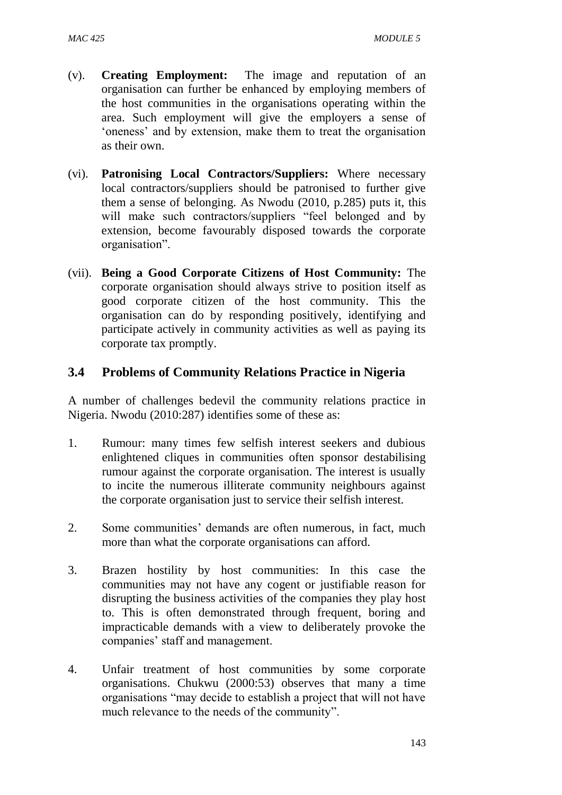- (v). **Creating Employment:** The image and reputation of an organisation can further be enhanced by employing members of the host communities in the organisations operating within the area. Such employment will give the employers a sense of 'oneness' and by extension, make them to treat the organisation as their own.
- (vi). **Patronising Local Contractors/Suppliers:** Where necessary local contractors/suppliers should be patronised to further give them a sense of belonging. As Nwodu (2010, p.285) puts it, this will make such contractors/suppliers "feel belonged and by extension, become favourably disposed towards the corporate organisation".
- (vii). **Being a Good Corporate Citizens of Host Community:** The corporate organisation should always strive to position itself as good corporate citizen of the host community. This the organisation can do by responding positively, identifying and participate actively in community activities as well as paying its corporate tax promptly.

## **3.4 Problems of Community Relations Practice in Nigeria**

A number of challenges bedevil the community relations practice in Nigeria. Nwodu (2010:287) identifies some of these as:

- 1. Rumour: many times few selfish interest seekers and dubious enlightened cliques in communities often sponsor destabilising rumour against the corporate organisation. The interest is usually to incite the numerous illiterate community neighbours against the corporate organisation just to service their selfish interest.
- 2. Some communities' demands are often numerous, in fact, much more than what the corporate organisations can afford.
- 3. Brazen hostility by host communities: In this case the communities may not have any cogent or justifiable reason for disrupting the business activities of the companies they play host to. This is often demonstrated through frequent, boring and impracticable demands with a view to deliberately provoke the companies' staff and management.
- 4. Unfair treatment of host communities by some corporate organisations. Chukwu (2000:53) observes that many a time organisations "may decide to establish a project that will not have much relevance to the needs of the community".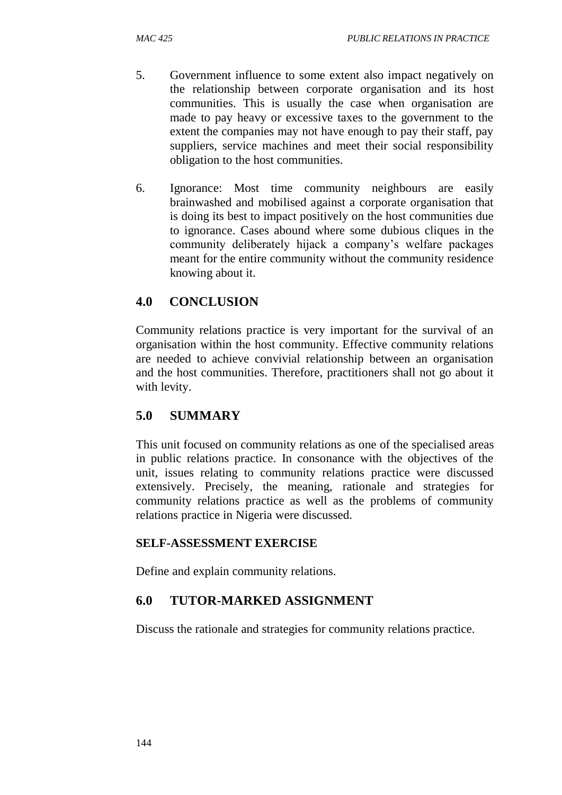- 5. Government influence to some extent also impact negatively on the relationship between corporate organisation and its host communities. This is usually the case when organisation are made to pay heavy or excessive taxes to the government to the extent the companies may not have enough to pay their staff, pay suppliers, service machines and meet their social responsibility obligation to the host communities.
- 6. Ignorance: Most time community neighbours are easily brainwashed and mobilised against a corporate organisation that is doing its best to impact positively on the host communities due to ignorance. Cases abound where some dubious cliques in the community deliberately hijack a company's welfare packages meant for the entire community without the community residence knowing about it.

## **4.0 CONCLUSION**

Community relations practice is very important for the survival of an organisation within the host community. Effective community relations are needed to achieve convivial relationship between an organisation and the host communities. Therefore, practitioners shall not go about it with levity.

### **5.0 SUMMARY**

This unit focused on community relations as one of the specialised areas in public relations practice. In consonance with the objectives of the unit, issues relating to community relations practice were discussed extensively. Precisely, the meaning, rationale and strategies for community relations practice as well as the problems of community relations practice in Nigeria were discussed.

#### **SELF-ASSESSMENT EXERCISE**

Define and explain community relations.

### **6.0 TUTOR-MARKED ASSIGNMENT**

Discuss the rationale and strategies for community relations practice.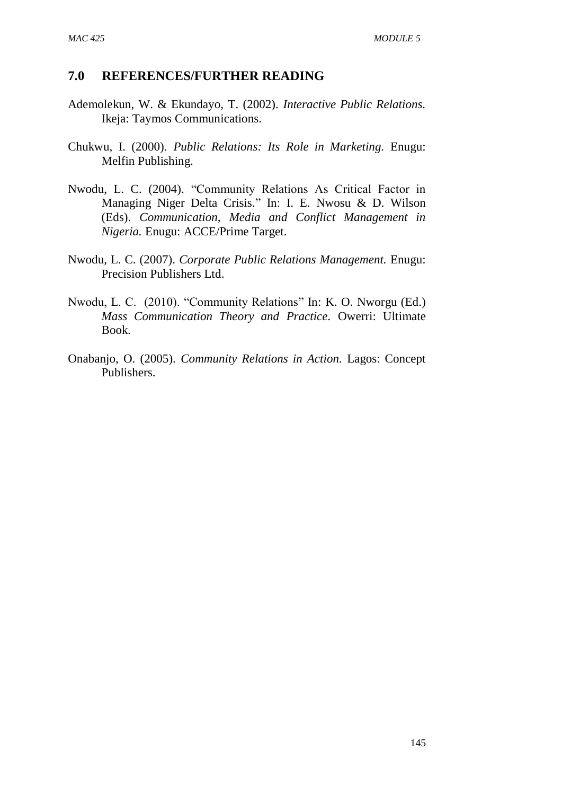- Ademolekun, W. & Ekundayo, T. (2002). *Interactive Public Relations.* Ikeja: Taymos Communications.
- Chukwu, I. (2000). *Public Relations: Its Role in Marketing.* Enugu: Melfin Publishing.
- Nwodu, L. C. (2004). "Community Relations As Critical Factor in Managing Niger Delta Crisis." In: I. E. Nwosu & D. Wilson (Eds). *Communication, Media and Conflict Management in Nigeria.* Enugu: ACCE/Prime Target.
- Nwodu, L. C. (2007). *Corporate Public Relations Management.* Enugu: Precision Publishers Ltd.
- Nwodu, L. C. (2010). "Community Relations" In: K. O. Nworgu (Ed.) *Mass Communication Theory and Practice.* Owerri: Ultimate Book.
- Onabanjo, O. (2005). *Community Relations in Action.* Lagos: Concept Publishers.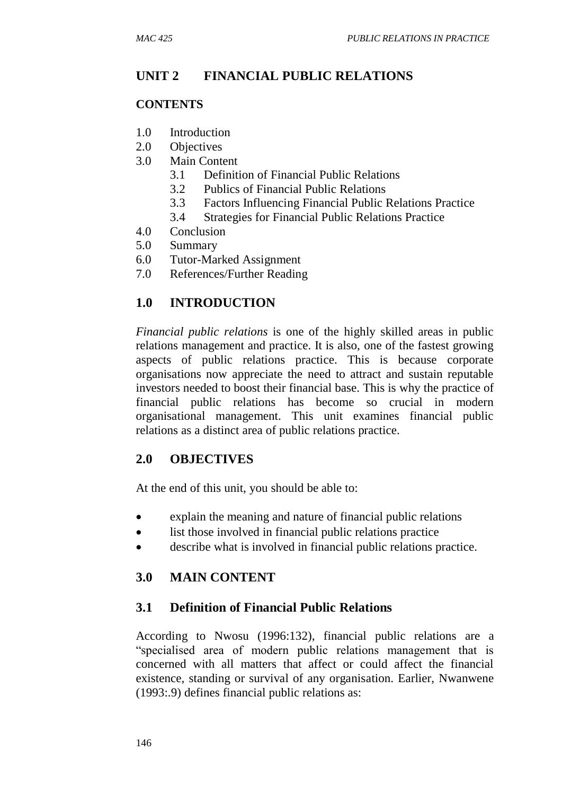## **UNIT 2 FINANCIAL PUBLIC RELATIONS**

### **CONTENTS**

- 1.0 Introduction
- 2.0 Objectives
- 3.0 Main Content
	- 3.1 Definition of Financial Public Relations
	- 3.2 Publics of Financial Public Relations
	- 3.3 Factors Influencing Financial Public Relations Practice
	- 3.4 Strategies for Financial Public Relations Practice
- 4.0 Conclusion
- 5.0 Summary
- 6.0 Tutor-Marked Assignment
- 7.0 References/Further Reading

# **1.0 INTRODUCTION**

*Financial public relations* is one of the highly skilled areas in public relations management and practice. It is also, one of the fastest growing aspects of public relations practice. This is because corporate organisations now appreciate the need to attract and sustain reputable investors needed to boost their financial base. This is why the practice of financial public relations has become so crucial in modern organisational management. This unit examines financial public relations as a distinct area of public relations practice.

## **2.0 OBJECTIVES**

At the end of this unit, you should be able to:

- explain the meaning and nature of financial public relations
- list those involved in financial public relations practice
- describe what is involved in financial public relations practice.

# **3.0 MAIN CONTENT**

## **3.1 Definition of Financial Public Relations**

According to Nwosu (1996:132), financial public relations are a "specialised area of modern public relations management that is concerned with all matters that affect or could affect the financial existence, standing or survival of any organisation. Earlier, Nwanwene (1993:.9) defines financial public relations as: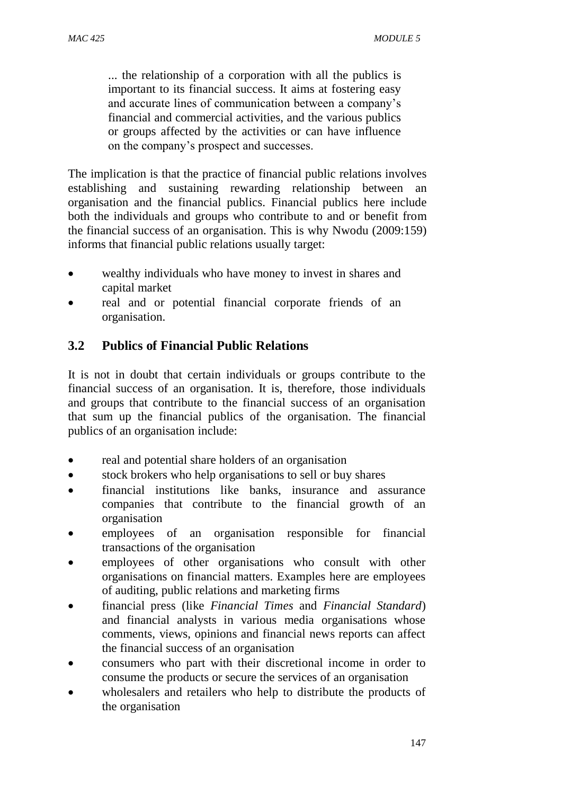... the relationship of a corporation with all the publics is important to its financial success. It aims at fostering easy and accurate lines of communication between a company's financial and commercial activities, and the various publics or groups affected by the activities or can have influence on the company's prospect and successes.

The implication is that the practice of financial public relations involves establishing and sustaining rewarding relationship between an organisation and the financial publics. Financial publics here include both the individuals and groups who contribute to and or benefit from the financial success of an organisation. This is why Nwodu (2009:159) informs that financial public relations usually target:

- wealthy individuals who have money to invest in shares and capital market
- real and or potential financial corporate friends of an organisation.

# **3.2 Publics of Financial Public Relations**

It is not in doubt that certain individuals or groups contribute to the financial success of an organisation. It is, therefore, those individuals and groups that contribute to the financial success of an organisation that sum up the financial publics of the organisation. The financial publics of an organisation include:

- real and potential share holders of an organisation
- stock brokers who help organisations to sell or buy shares
- financial institutions like banks, insurance and assurance companies that contribute to the financial growth of an organisation
- employees of an organisation responsible for financial transactions of the organisation
- employees of other organisations who consult with other organisations on financial matters. Examples here are employees of auditing, public relations and marketing firms
- financial press (like *Financial Times* and *Financial Standard*) and financial analysts in various media organisations whose comments, views, opinions and financial news reports can affect the financial success of an organisation
- consumers who part with their discretional income in order to consume the products or secure the services of an organisation
- wholesalers and retailers who help to distribute the products of the organisation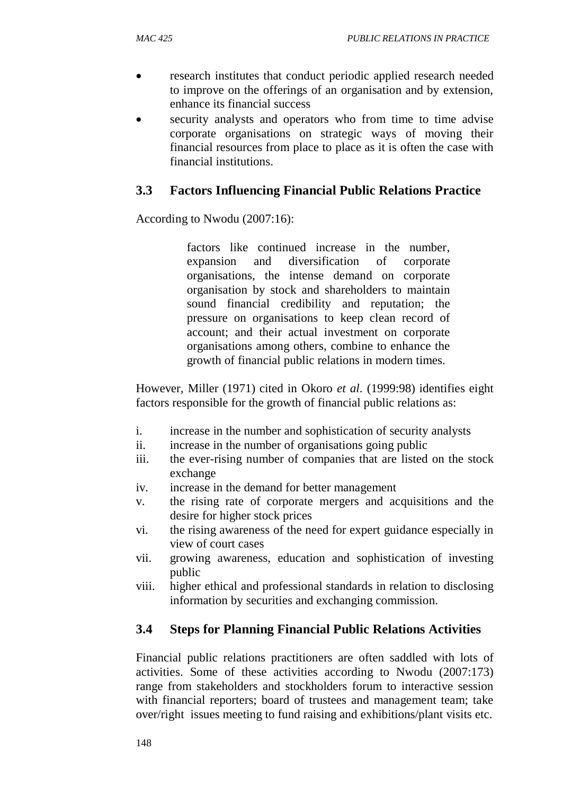- research institutes that conduct periodic applied research needed to improve on the offerings of an organisation and by extension, enhance its financial success
- security analysts and operators who from time to time advise corporate organisations on strategic ways of moving their financial resources from place to place as it is often the case with financial institutions.

# **3.3 Factors Influencing Financial Public Relations Practice**

According to Nwodu (2007:16):

factors like continued increase in the number, expansion and diversification of corporate organisations, the intense demand on corporate organisation by stock and shareholders to maintain sound financial credibility and reputation; the pressure on organisations to keep clean record of account; and their actual investment on corporate organisations among others, combine to enhance the growth of financial public relations in modern times.

However, Miller (1971) cited in Okoro *et al*. (1999:98) identifies eight factors responsible for the growth of financial public relations as:

- i. increase in the number and sophistication of security analysts
- ii. increase in the number of organisations going public
- iii. the ever-rising number of companies that are listed on the stock exchange
- iv. increase in the demand for better management
- v. the rising rate of corporate mergers and acquisitions and the desire for higher stock prices
- vi. the rising awareness of the need for expert guidance especially in view of court cases
- vii. growing awareness, education and sophistication of investing public
- viii. higher ethical and professional standards in relation to disclosing information by securities and exchanging commission.

## **3.4 Steps for Planning Financial Public Relations Activities**

Financial public relations practitioners are often saddled with lots of activities. Some of these activities according to Nwodu (2007:173) range from stakeholders and stockholders forum to interactive session with financial reporters; board of trustees and management team; take over/right issues meeting to fund raising and exhibitions/plant visits etc.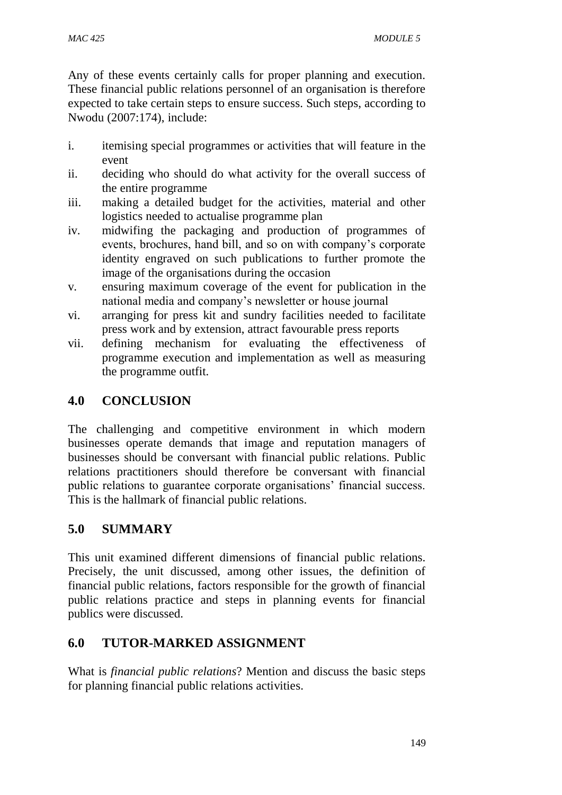Any of these events certainly calls for proper planning and execution. These financial public relations personnel of an organisation is therefore expected to take certain steps to ensure success. Such steps, according to Nwodu (2007:174), include:

- i. itemising special programmes or activities that will feature in the event
- ii. deciding who should do what activity for the overall success of the entire programme
- iii. making a detailed budget for the activities, material and other logistics needed to actualise programme plan
- iv. midwifing the packaging and production of programmes of events, brochures, hand bill, and so on with company's corporate identity engraved on such publications to further promote the image of the organisations during the occasion
- v. ensuring maximum coverage of the event for publication in the national media and company's newsletter or house journal
- vi. arranging for press kit and sundry facilities needed to facilitate press work and by extension, attract favourable press reports
- vii. defining mechanism for evaluating the effectiveness of programme execution and implementation as well as measuring the programme outfit.

# **4.0 CONCLUSION**

The challenging and competitive environment in which modern businesses operate demands that image and reputation managers of businesses should be conversant with financial public relations. Public relations practitioners should therefore be conversant with financial public relations to guarantee corporate organisations' financial success. This is the hallmark of financial public relations.

# **5.0 SUMMARY**

This unit examined different dimensions of financial public relations. Precisely, the unit discussed, among other issues, the definition of financial public relations, factors responsible for the growth of financial public relations practice and steps in planning events for financial publics were discussed.

# **6.0 TUTOR-MARKED ASSIGNMENT**

What is *financial public relations*? Mention and discuss the basic steps for planning financial public relations activities.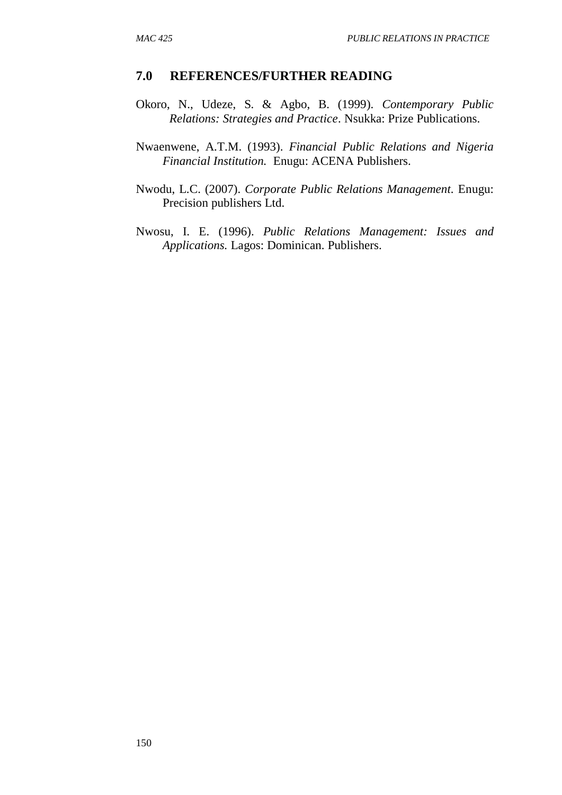- Okoro, N., Udeze, S. & Agbo, B. (1999). *Contemporary Public Relations: Strategies and Practice*. Nsukka: Prize Publications.
- Nwaenwene, A.T.M. (1993). *Financial Public Relations and Nigeria Financial Institution.* Enugu: ACENA Publishers.
- Nwodu, L.C. (2007). *Corporate Public Relations Management.* Enugu: Precision publishers Ltd.
- Nwosu, I. E. (1996). *Public Relations Management: Issues and Applications.* Lagos: Dominican. Publishers.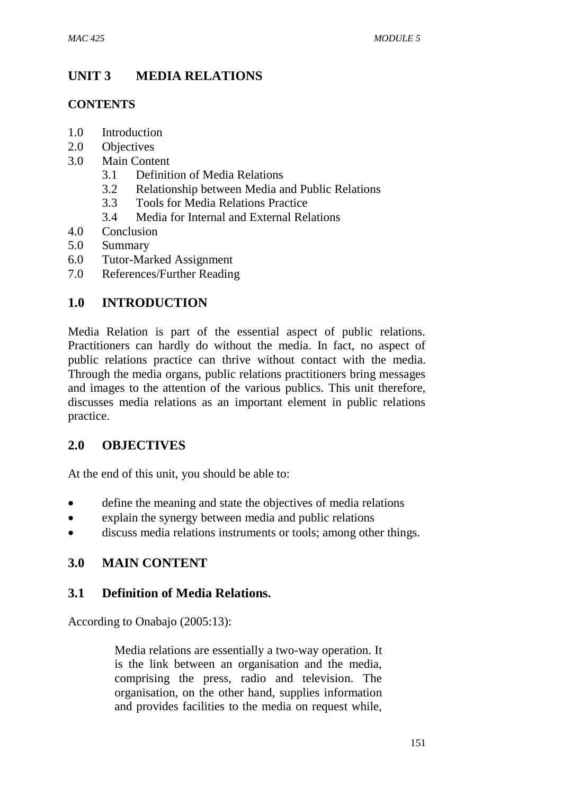# **UNIT 3 MEDIA RELATIONS**

## **CONTENTS**

- 1.0 Introduction
- 2.0 Objectives
- 3.0 Main Content
	- 3.1 Definition of Media Relations
	- 3.2 Relationship between Media and Public Relations
	- 3.3 Tools for Media Relations Practice
	- 3.4 Media for Internal and External Relations
- 4.0 Conclusion
- 5.0 Summary
- 6.0 Tutor-Marked Assignment
- 7.0 References/Further Reading

## **1.0 INTRODUCTION**

Media Relation is part of the essential aspect of public relations. Practitioners can hardly do without the media. In fact, no aspect of public relations practice can thrive without contact with the media. Through the media organs, public relations practitioners bring messages and images to the attention of the various publics. This unit therefore, discusses media relations as an important element in public relations practice.

## **2.0 OBJECTIVES**

At the end of this unit, you should be able to:

- define the meaning and state the objectives of media relations
- explain the synergy between media and public relations
- discuss media relations instruments or tools; among other things.

## **3.0 MAIN CONTENT**

### **3.1 Definition of Media Relations.**

According to Onabajo (2005:13):

Media relations are essentially a two-way operation. It is the link between an organisation and the media, comprising the press, radio and television. The organisation, on the other hand, supplies information and provides facilities to the media on request while,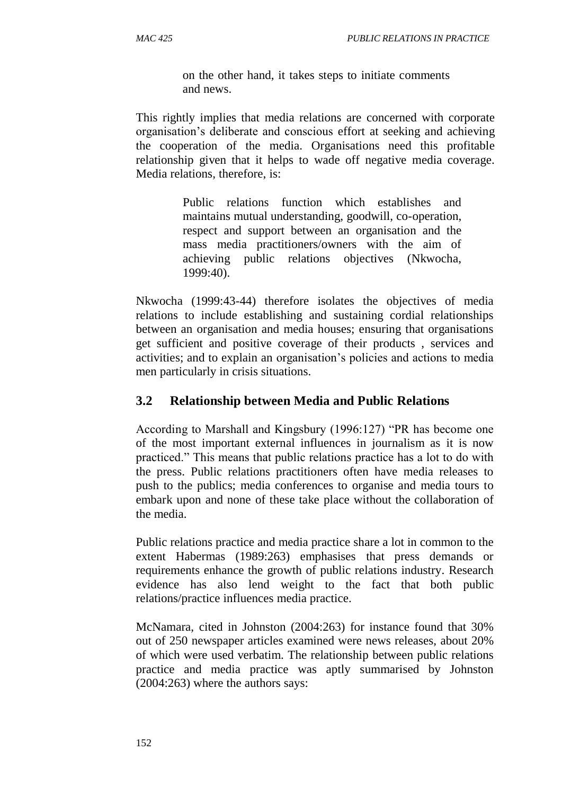on the other hand, it takes steps to initiate comments and news.

This rightly implies that media relations are concerned with corporate organisation's deliberate and conscious effort at seeking and achieving the cooperation of the media. Organisations need this profitable relationship given that it helps to wade off negative media coverage. Media relations, therefore, is:

> Public relations function which establishes and maintains mutual understanding, goodwill, co-operation, respect and support between an organisation and the mass media practitioners/owners with the aim of achieving public relations objectives (Nkwocha, 1999:40).

Nkwocha (1999:43-44) therefore isolates the objectives of media relations to include establishing and sustaining cordial relationships between an organisation and media houses; ensuring that organisations get sufficient and positive coverage of their products , services and activities; and to explain an organisation's policies and actions to media men particularly in crisis situations.

## **3.2 Relationship between Media and Public Relations**

According to Marshall and Kingsbury (1996:127) "PR has become one of the most important external influences in journalism as it is now practiced." This means that public relations practice has a lot to do with the press. Public relations practitioners often have media releases to push to the publics; media conferences to organise and media tours to embark upon and none of these take place without the collaboration of the media.

Public relations practice and media practice share a lot in common to the extent Habermas (1989:263) emphasises that press demands or requirements enhance the growth of public relations industry. Research evidence has also lend weight to the fact that both public relations/practice influences media practice.

McNamara, cited in Johnston (2004:263) for instance found that 30% out of 250 newspaper articles examined were news releases, about 20% of which were used verbatim. The relationship between public relations practice and media practice was aptly summarised by Johnston (2004:263) where the authors says: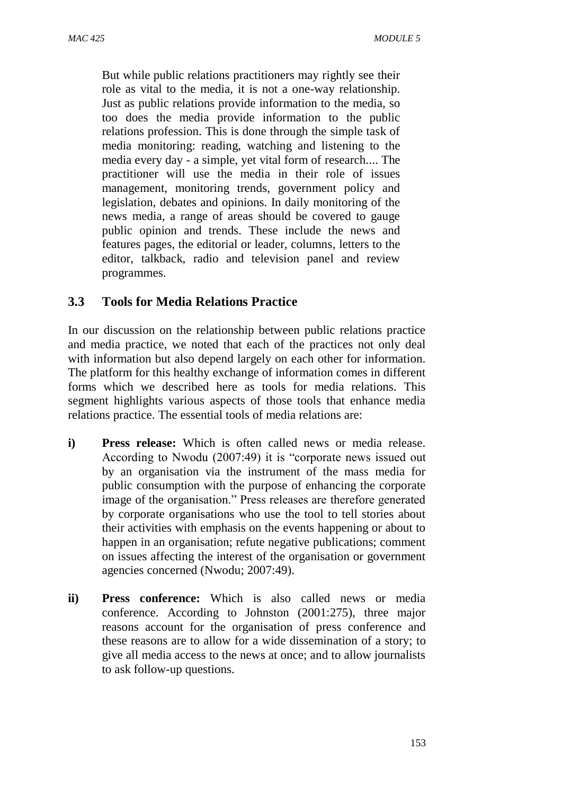But while public relations practitioners may rightly see their role as vital to the media, it is not a one-way relationship. Just as public relations provide information to the media, so too does the media provide information to the public relations profession. This is done through the simple task of media monitoring: reading, watching and listening to the media every day - a simple, yet vital form of research.... The practitioner will use the media in their role of issues management, monitoring trends, government policy and legislation, debates and opinions. In daily monitoring of the news media, a range of areas should be covered to gauge public opinion and trends. These include the news and features pages, the editorial or leader, columns, letters to the editor, talkback, radio and television panel and review programmes.

## **3.3 Tools for Media Relations Practice**

In our discussion on the relationship between public relations practice and media practice, we noted that each of the practices not only deal with information but also depend largely on each other for information. The platform for this healthy exchange of information comes in different forms which we described here as tools for media relations. This segment highlights various aspects of those tools that enhance media relations practice. The essential tools of media relations are:

- **i) Press release:** Which is often called news or media release. According to Nwodu (2007:49) it is "corporate news issued out by an organisation via the instrument of the mass media for public consumption with the purpose of enhancing the corporate image of the organisation." Press releases are therefore generated by corporate organisations who use the tool to tell stories about their activities with emphasis on the events happening or about to happen in an organisation; refute negative publications; comment on issues affecting the interest of the organisation or government agencies concerned (Nwodu; 2007:49).
- **ii) Press conference:** Which is also called news or media conference. According to Johnston (2001:275), three major reasons account for the organisation of press conference and these reasons are to allow for a wide dissemination of a story; to give all media access to the news at once; and to allow journalists to ask follow-up questions.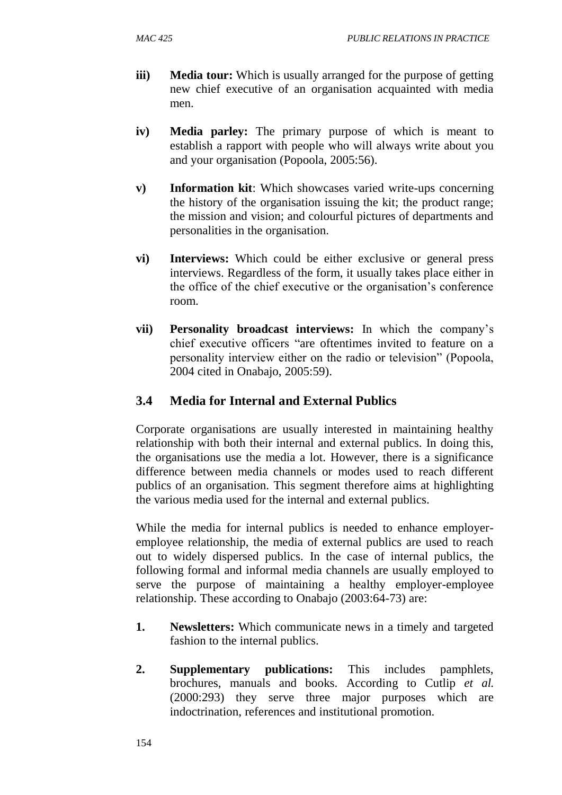- **iii) Media tour:** Which is usually arranged for the purpose of getting new chief executive of an organisation acquainted with media men.
- **iv) Media parley:** The primary purpose of which is meant to establish a rapport with people who will always write about you and your organisation (Popoola, 2005:56).
- **v) Information kit**: Which showcases varied write-ups concerning the history of the organisation issuing the kit; the product range; the mission and vision; and colourful pictures of departments and personalities in the organisation.
- **vi) Interviews:** Which could be either exclusive or general press interviews. Regardless of the form, it usually takes place either in the office of the chief executive or the organisation's conference room.
- **vii) Personality broadcast interviews:** In which the company's chief executive officers "are oftentimes invited to feature on a personality interview either on the radio or television" (Popoola, 2004 cited in Onabajo, 2005:59).

# **3.4 Media for Internal and External Publics**

Corporate organisations are usually interested in maintaining healthy relationship with both their internal and external publics. In doing this, the organisations use the media a lot. However, there is a significance difference between media channels or modes used to reach different publics of an organisation. This segment therefore aims at highlighting the various media used for the internal and external publics.

While the media for internal publics is needed to enhance employeremployee relationship, the media of external publics are used to reach out to widely dispersed publics. In the case of internal publics, the following formal and informal media channels are usually employed to serve the purpose of maintaining a healthy employer-employee relationship. These according to Onabajo (2003:64-73) are:

- **1. Newsletters:** Which communicate news in a timely and targeted fashion to the internal publics.
- **2. Supplementary publications:** This includes pamphlets, brochures, manuals and books. According to Cutlip *et al.* (2000:293) they serve three major purposes which are indoctrination, references and institutional promotion.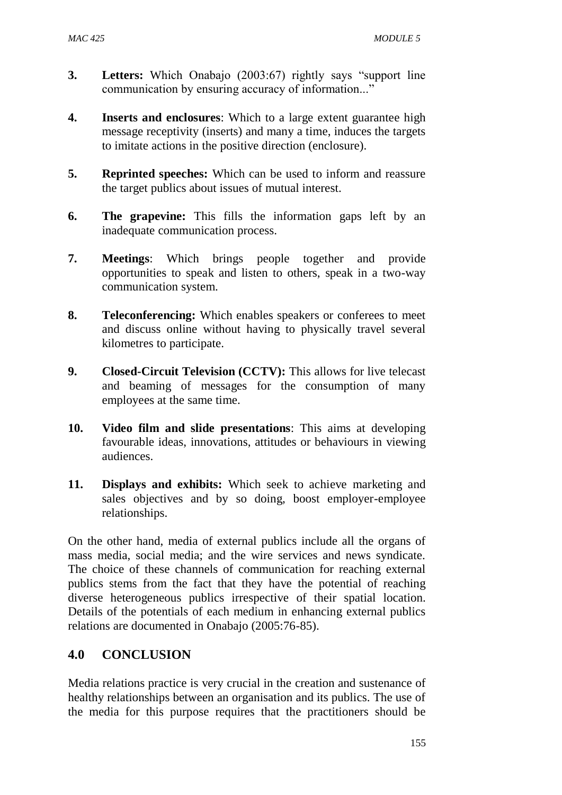- **3. Letters:** Which Onabajo (2003:67) rightly says "support line communication by ensuring accuracy of information..."
- **4. Inserts and enclosures**: Which to a large extent guarantee high message receptivity (inserts) and many a time, induces the targets to imitate actions in the positive direction (enclosure).
- **5. Reprinted speeches:** Which can be used to inform and reassure the target publics about issues of mutual interest.
- **6. The grapevine:** This fills the information gaps left by an inadequate communication process.
- **7. Meetings**: Which brings people together and provide opportunities to speak and listen to others, speak in a two-way communication system.
- **8. Teleconferencing:** Which enables speakers or conferees to meet and discuss online without having to physically travel several kilometres to participate.
- **9. Closed-Circuit Television (CCTV):** This allows for live telecast and beaming of messages for the consumption of many employees at the same time.
- **10. Video film and slide presentations**: This aims at developing favourable ideas, innovations, attitudes or behaviours in viewing audiences.
- **11. Displays and exhibits:** Which seek to achieve marketing and sales objectives and by so doing, boost employer-employee relationships.

On the other hand, media of external publics include all the organs of mass media, social media; and the wire services and news syndicate. The choice of these channels of communication for reaching external publics stems from the fact that they have the potential of reaching diverse heterogeneous publics irrespective of their spatial location. Details of the potentials of each medium in enhancing external publics relations are documented in Onabajo (2005:76-85).

## **4.0 CONCLUSION**

Media relations practice is very crucial in the creation and sustenance of healthy relationships between an organisation and its publics. The use of the media for this purpose requires that the practitioners should be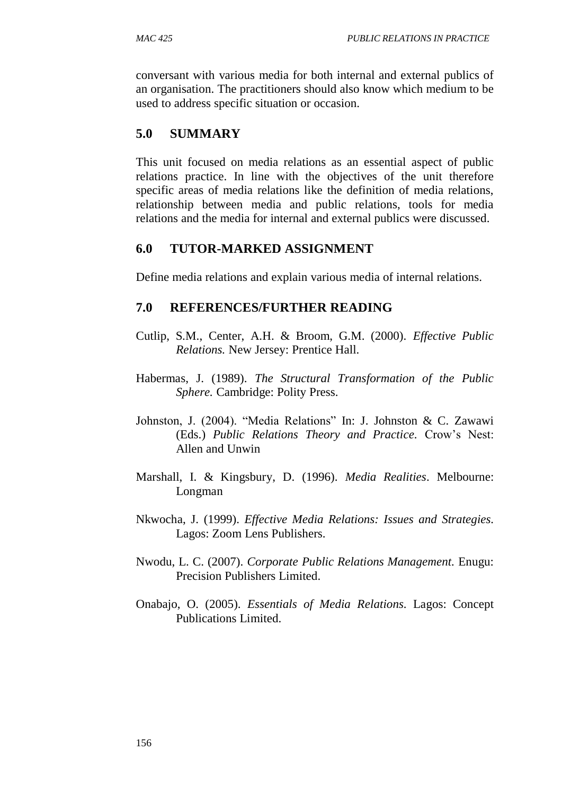conversant with various media for both internal and external publics of an organisation. The practitioners should also know which medium to be used to address specific situation or occasion.

## **5.0 SUMMARY**

This unit focused on media relations as an essential aspect of public relations practice. In line with the objectives of the unit therefore specific areas of media relations like the definition of media relations, relationship between media and public relations, tools for media relations and the media for internal and external publics were discussed.

## **6.0 TUTOR-MARKED ASSIGNMENT**

Define media relations and explain various media of internal relations.

- Cutlip, S.M., Center, A.H. & Broom, G.M. (2000). *Effective Public Relations.* New Jersey: Prentice Hall.
- Habermas, J. (1989). *The Structural Transformation of the Public Sphere.* Cambridge: Polity Press.
- Johnston, J. (2004). "Media Relations" In: J. Johnston & C. Zawawi (Eds.) *Public Relations Theory and Practice.* Crow's Nest: Allen and Unwin
- Marshall, I. & Kingsbury, D. (1996). *Media Realities*. Melbourne: Longman
- Nkwocha, J. (1999). *Effective Media Relations: Issues and Strategies.* Lagos: Zoom Lens Publishers.
- Nwodu, L. C. (2007). *Corporate Public Relations Management.* Enugu: Precision Publishers Limited.
- Onabajo, O. (2005). *Essentials of Media Relations.* Lagos: Concept Publications Limited.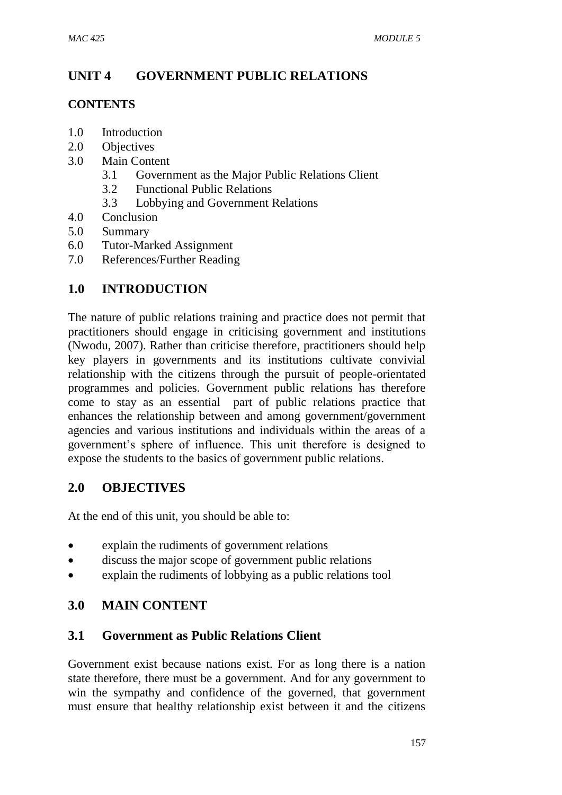# **UNIT 4 GOVERNMENT PUBLIC RELATIONS**

### **CONTENTS**

- 1.0 Introduction
- 2.0 Objectives
- 3.0 Main Content
	- 3.1 Government as the Major Public Relations Client
	- 3.2 Functional Public Relations
	- 3.3 Lobbying and Government Relations
- 4.0 Conclusion
- 5.0 Summary
- 6.0 Tutor-Marked Assignment
- 7.0 References/Further Reading

## **1.0 INTRODUCTION**

The nature of public relations training and practice does not permit that practitioners should engage in criticising government and institutions (Nwodu, 2007). Rather than criticise therefore, practitioners should help key players in governments and its institutions cultivate convivial relationship with the citizens through the pursuit of people-orientated programmes and policies. Government public relations has therefore come to stay as an essential part of public relations practice that enhances the relationship between and among government/government agencies and various institutions and individuals within the areas of a government's sphere of influence. This unit therefore is designed to expose the students to the basics of government public relations.

## **2.0 OBJECTIVES**

At the end of this unit, you should be able to:

- explain the rudiments of government relations
- discuss the major scope of government public relations
- explain the rudiments of lobbying as a public relations tool

# **3.0 MAIN CONTENT**

## **3.1 Government as Public Relations Client**

Government exist because nations exist. For as long there is a nation state therefore, there must be a government. And for any government to win the sympathy and confidence of the governed, that government must ensure that healthy relationship exist between it and the citizens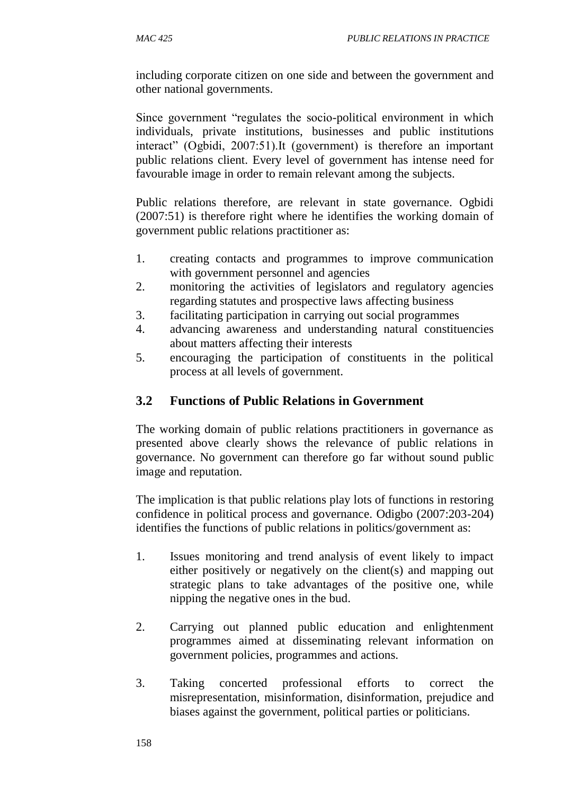including corporate citizen on one side and between the government and other national governments.

Since government "regulates the socio-political environment in which individuals, private institutions, businesses and public institutions interact" (Ogbidi, 2007:51).It (government) is therefore an important public relations client. Every level of government has intense need for favourable image in order to remain relevant among the subjects.

Public relations therefore, are relevant in state governance. Ogbidi (2007:51) is therefore right where he identifies the working domain of government public relations practitioner as:

- 1. creating contacts and programmes to improve communication with government personnel and agencies
- 2. monitoring the activities of legislators and regulatory agencies regarding statutes and prospective laws affecting business
- 3. facilitating participation in carrying out social programmes
- 4. advancing awareness and understanding natural constituencies about matters affecting their interests
- 5. encouraging the participation of constituents in the political process at all levels of government.

# **3.2 Functions of Public Relations in Government**

The working domain of public relations practitioners in governance as presented above clearly shows the relevance of public relations in governance. No government can therefore go far without sound public image and reputation.

The implication is that public relations play lots of functions in restoring confidence in political process and governance. Odigbo (2007:203-204) identifies the functions of public relations in politics/government as:

- 1. Issues monitoring and trend analysis of event likely to impact either positively or negatively on the client(s) and mapping out strategic plans to take advantages of the positive one, while nipping the negative ones in the bud.
- 2. Carrying out planned public education and enlightenment programmes aimed at disseminating relevant information on government policies, programmes and actions.
- 3. Taking concerted professional efforts to correct the misrepresentation, misinformation, disinformation, prejudice and biases against the government, political parties or politicians.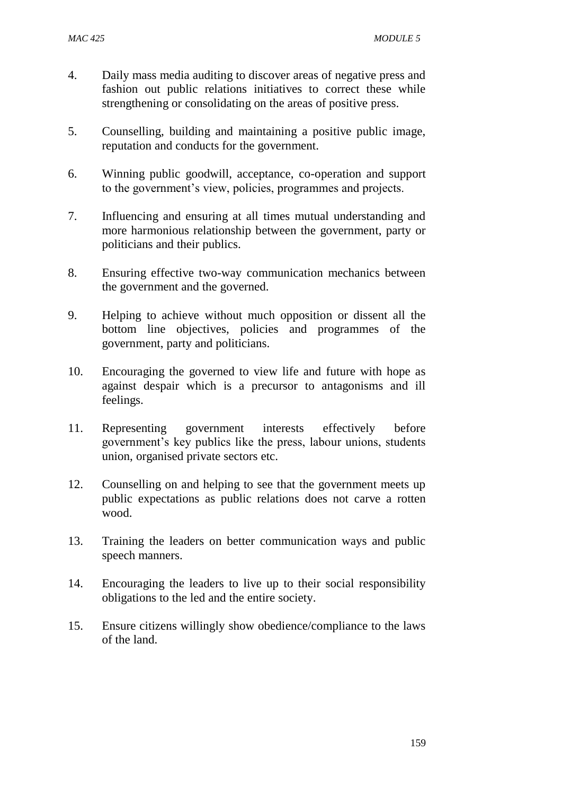- 4. Daily mass media auditing to discover areas of negative press and fashion out public relations initiatives to correct these while strengthening or consolidating on the areas of positive press.
- 5. Counselling, building and maintaining a positive public image, reputation and conducts for the government.
- 6. Winning public goodwill, acceptance, co-operation and support to the government's view, policies, programmes and projects.
- 7. Influencing and ensuring at all times mutual understanding and more harmonious relationship between the government, party or politicians and their publics.
- 8. Ensuring effective two-way communication mechanics between the government and the governed.
- 9. Helping to achieve without much opposition or dissent all the bottom line objectives, policies and programmes of the government, party and politicians.
- 10. Encouraging the governed to view life and future with hope as against despair which is a precursor to antagonisms and ill feelings.
- 11. Representing government interests effectively before government's key publics like the press, labour unions, students union, organised private sectors etc.
- 12. Counselling on and helping to see that the government meets up public expectations as public relations does not carve a rotten wood.
- 13. Training the leaders on better communication ways and public speech manners.
- 14. Encouraging the leaders to live up to their social responsibility obligations to the led and the entire society.
- 15. Ensure citizens willingly show obedience/compliance to the laws of the land.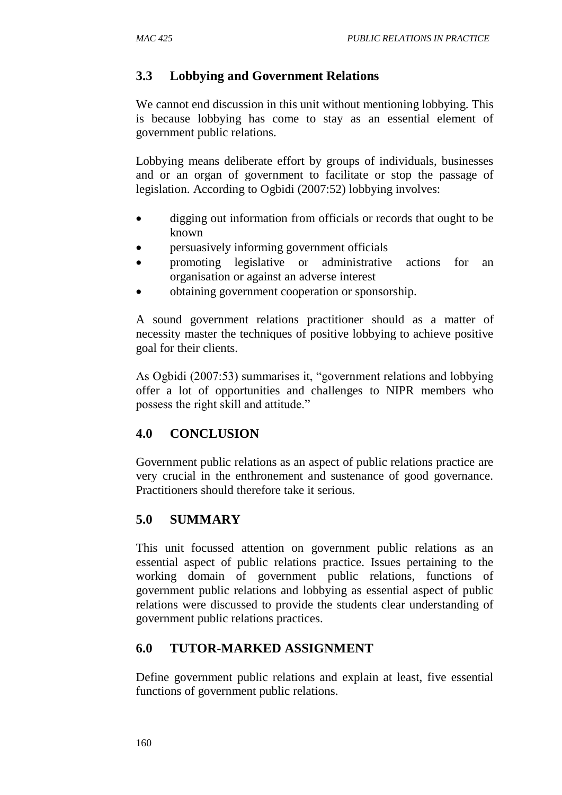# **3.3 Lobbying and Government Relations**

We cannot end discussion in this unit without mentioning lobbying. This is because lobbying has come to stay as an essential element of government public relations.

Lobbying means deliberate effort by groups of individuals, businesses and or an organ of government to facilitate or stop the passage of legislation. According to Ogbidi (2007:52) lobbying involves:

- digging out information from officials or records that ought to be known
- persuasively informing government officials
- promoting legislative or administrative actions for an organisation or against an adverse interest
- obtaining government cooperation or sponsorship.

A sound government relations practitioner should as a matter of necessity master the techniques of positive lobbying to achieve positive goal for their clients.

As Ogbidi (2007:53) summarises it, "government relations and lobbying offer a lot of opportunities and challenges to NIPR members who possess the right skill and attitude."

# **4.0 CONCLUSION**

Government public relations as an aspect of public relations practice are very crucial in the enthronement and sustenance of good governance. Practitioners should therefore take it serious.

# **5.0 SUMMARY**

This unit focussed attention on government public relations as an essential aspect of public relations practice. Issues pertaining to the working domain of government public relations, functions of government public relations and lobbying as essential aspect of public relations were discussed to provide the students clear understanding of government public relations practices.

## **6.0 TUTOR-MARKED ASSIGNMENT**

Define government public relations and explain at least, five essential functions of government public relations.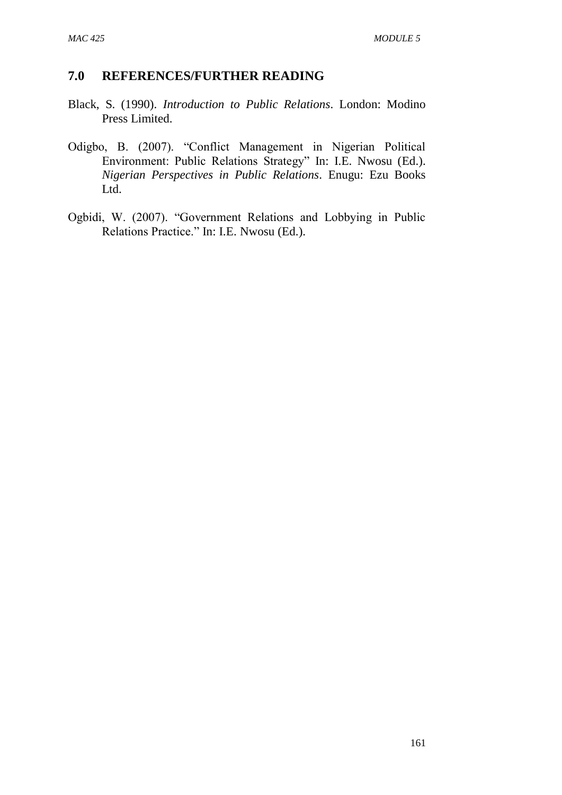- Black, S. (1990). *Introduction to Public Relations*. London: Modino Press Limited.
- Odigbo, B. (2007). "Conflict Management in Nigerian Political Environment: Public Relations Strategy" In: I.E. Nwosu (Ed.). *Nigerian Perspectives in Public Relations*. Enugu: Ezu Books Ltd.
- Ogbidi, W. (2007). "Government Relations and Lobbying in Public Relations Practice." In: I.E. Nwosu (Ed.).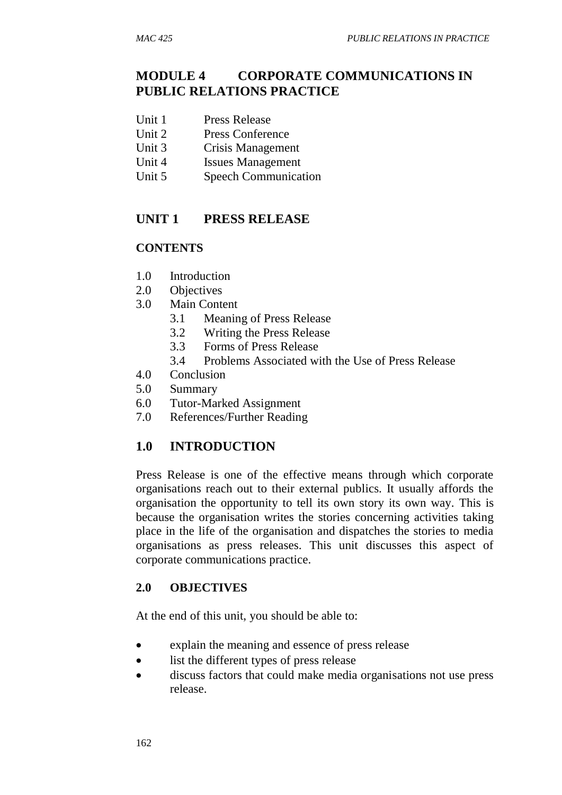## **MODULE 4 CORPORATE COMMUNICATIONS IN PUBLIC RELATIONS PRACTICE**

- Unit 1 Press Release
- Unit 2 Press Conference
- Unit 3 Crisis Management
- Unit 4 Issues Management
- Unit 5 Speech Communication

## **UNIT 1 PRESS RELEASE**

#### **CONTENTS**

- 1.0 Introduction
- 2.0 Objectives
- 3.0 Main Content
	- 3.1 Meaning of Press Release
	- 3.2 Writing the Press Release
	- 3.3 Forms of Press Release
	- 3.4 Problems Associated with the Use of Press Release
- 4.0 Conclusion
- 5.0 Summary
- 6.0 Tutor-Marked Assignment
- 7.0 References/Further Reading

## **1.0 INTRODUCTION**

Press Release is one of the effective means through which corporate organisations reach out to their external publics. It usually affords the organisation the opportunity to tell its own story its own way. This is because the organisation writes the stories concerning activities taking place in the life of the organisation and dispatches the stories to media organisations as press releases. This unit discusses this aspect of corporate communications practice.

#### **2.0 OBJECTIVES**

At the end of this unit, you should be able to:

- explain the meaning and essence of press release
- list the different types of press release
- discuss factors that could make media organisations not use press release.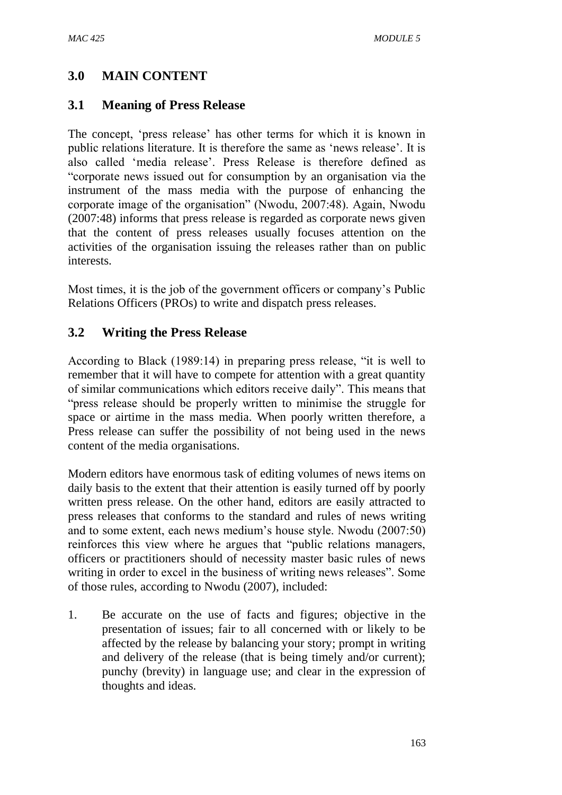## **3.0 MAIN CONTENT**

#### **3.1 Meaning of Press Release**

The concept, 'press release' has other terms for which it is known in public relations literature. It is therefore the same as 'news release'. It is also called 'media release'. Press Release is therefore defined as "corporate news issued out for consumption by an organisation via the instrument of the mass media with the purpose of enhancing the corporate image of the organisation" (Nwodu, 2007:48). Again, Nwodu (2007:48) informs that press release is regarded as corporate news given that the content of press releases usually focuses attention on the activities of the organisation issuing the releases rather than on public interests.

Most times, it is the job of the government officers or company's Public Relations Officers (PROs) to write and dispatch press releases.

### **3.2 Writing the Press Release**

According to Black (1989:14) in preparing press release, "it is well to remember that it will have to compete for attention with a great quantity of similar communications which editors receive daily". This means that "press release should be properly written to minimise the struggle for space or airtime in the mass media. When poorly written therefore, a Press release can suffer the possibility of not being used in the news content of the media organisations.

Modern editors have enormous task of editing volumes of news items on daily basis to the extent that their attention is easily turned off by poorly written press release. On the other hand, editors are easily attracted to press releases that conforms to the standard and rules of news writing and to some extent, each news medium's house style. Nwodu (2007:50) reinforces this view where he argues that "public relations managers, officers or practitioners should of necessity master basic rules of news writing in order to excel in the business of writing news releases". Some of those rules, according to Nwodu (2007), included:

1. Be accurate on the use of facts and figures; objective in the presentation of issues; fair to all concerned with or likely to be affected by the release by balancing your story; prompt in writing and delivery of the release (that is being timely and/or current); punchy (brevity) in language use; and clear in the expression of thoughts and ideas.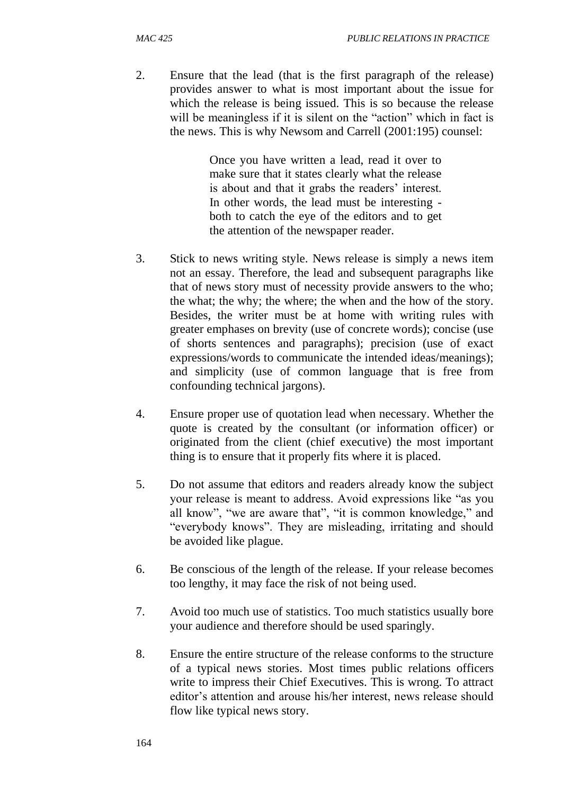2. Ensure that the lead (that is the first paragraph of the release) provides answer to what is most important about the issue for which the release is being issued. This is so because the release will be meaningless if it is silent on the "action" which in fact is the news. This is why Newsom and Carrell (2001:195) counsel:

> Once you have written a lead, read it over to make sure that it states clearly what the release is about and that it grabs the readers' interest. In other words, the lead must be interesting both to catch the eye of the editors and to get the attention of the newspaper reader.

- 3. Stick to news writing style. News release is simply a news item not an essay. Therefore, the lead and subsequent paragraphs like that of news story must of necessity provide answers to the who; the what; the why; the where; the when and the how of the story. Besides, the writer must be at home with writing rules with greater emphases on brevity (use of concrete words); concise (use of shorts sentences and paragraphs); precision (use of exact expressions/words to communicate the intended ideas/meanings); and simplicity (use of common language that is free from confounding technical jargons).
- 4. Ensure proper use of quotation lead when necessary. Whether the quote is created by the consultant (or information officer) or originated from the client (chief executive) the most important thing is to ensure that it properly fits where it is placed.
- 5. Do not assume that editors and readers already know the subject your release is meant to address. Avoid expressions like "as you all know", "we are aware that", "it is common knowledge," and "everybody knows". They are misleading, irritating and should be avoided like plague.
- 6. Be conscious of the length of the release. If your release becomes too lengthy, it may face the risk of not being used.
- 7. Avoid too much use of statistics. Too much statistics usually bore your audience and therefore should be used sparingly.
- 8. Ensure the entire structure of the release conforms to the structure of a typical news stories. Most times public relations officers write to impress their Chief Executives. This is wrong. To attract editor's attention and arouse his/her interest, news release should flow like typical news story.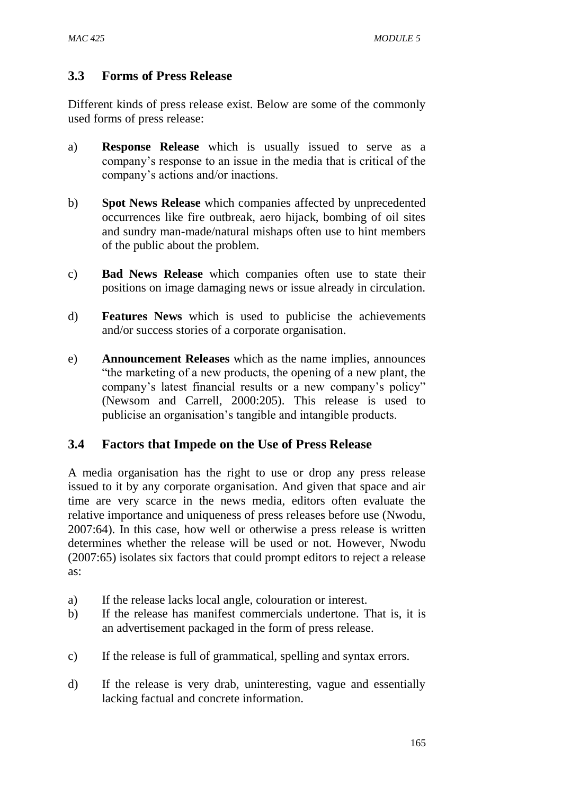## **3.3 Forms of Press Release**

Different kinds of press release exist. Below are some of the commonly used forms of press release:

- a) **Response Release** which is usually issued to serve as a company's response to an issue in the media that is critical of the company's actions and/or inactions.
- b) **Spot News Release** which companies affected by unprecedented occurrences like fire outbreak, aero hijack, bombing of oil sites and sundry man-made/natural mishaps often use to hint members of the public about the problem.
- c) **Bad News Release** which companies often use to state their positions on image damaging news or issue already in circulation.
- d) **Features News** which is used to publicise the achievements and/or success stories of a corporate organisation.
- e) **Announcement Releases** which as the name implies, announces "the marketing of a new products, the opening of a new plant, the company's latest financial results or a new company's policy" (Newsom and Carrell, 2000:205). This release is used to publicise an organisation's tangible and intangible products.

## **3.4 Factors that Impede on the Use of Press Release**

A media organisation has the right to use or drop any press release issued to it by any corporate organisation. And given that space and air time are very scarce in the news media, editors often evaluate the relative importance and uniqueness of press releases before use (Nwodu, 2007:64). In this case, how well or otherwise a press release is written determines whether the release will be used or not. However, Nwodu (2007:65) isolates six factors that could prompt editors to reject a release as:

- a) If the release lacks local angle, colouration or interest.
- b) If the release has manifest commercials undertone. That is, it is an advertisement packaged in the form of press release.
- c) If the release is full of grammatical, spelling and syntax errors.
- d) If the release is very drab, uninteresting, vague and essentially lacking factual and concrete information.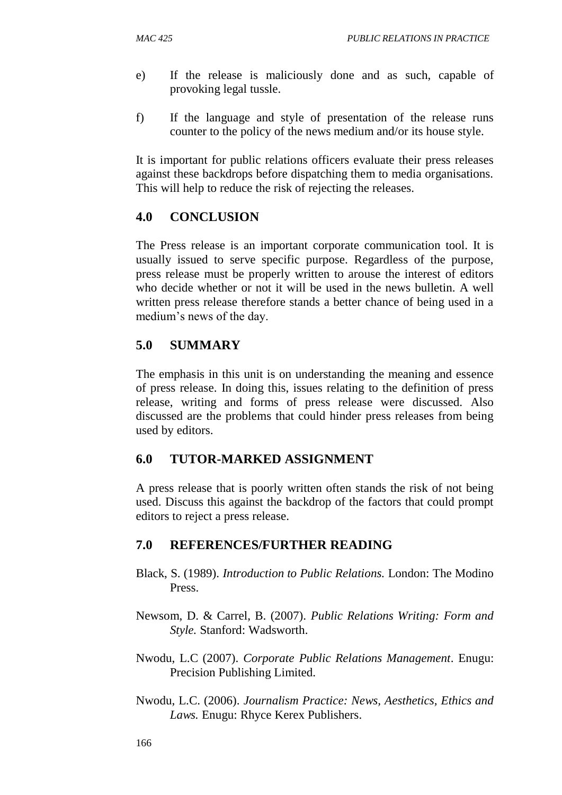- e) If the release is maliciously done and as such, capable of provoking legal tussle.
- f) If the language and style of presentation of the release runs counter to the policy of the news medium and/or its house style.

It is important for public relations officers evaluate their press releases against these backdrops before dispatching them to media organisations. This will help to reduce the risk of rejecting the releases.

## **4.0 CONCLUSION**

The Press release is an important corporate communication tool. It is usually issued to serve specific purpose. Regardless of the purpose, press release must be properly written to arouse the interest of editors who decide whether or not it will be used in the news bulletin. A well written press release therefore stands a better chance of being used in a medium's news of the day.

## **5.0 SUMMARY**

The emphasis in this unit is on understanding the meaning and essence of press release. In doing this, issues relating to the definition of press release, writing and forms of press release were discussed. Also discussed are the problems that could hinder press releases from being used by editors.

## **6.0 TUTOR-MARKED ASSIGNMENT**

A press release that is poorly written often stands the risk of not being used. Discuss this against the backdrop of the factors that could prompt editors to reject a press release.

- Black, S. (1989). *Introduction to Public Relations.* London: The Modino Press.
- Newsom, D. & Carrel, B. (2007). *Public Relations Writing: Form and Style.* Stanford: Wadsworth.
- Nwodu, L.C (2007). *Corporate Public Relations Management*. Enugu: Precision Publishing Limited.
- Nwodu, L.C. (2006). *Journalism Practice: News, Aesthetics, Ethics and Laws.* Enugu: Rhyce Kerex Publishers.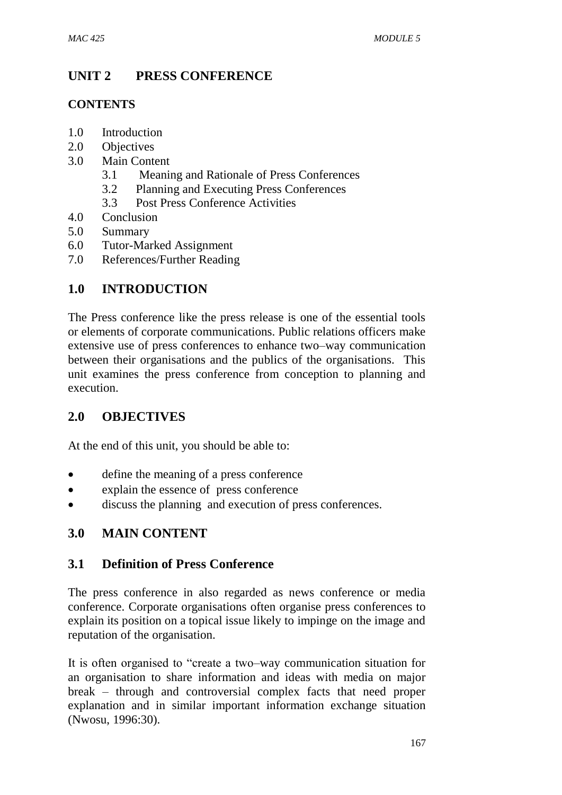# **UNIT 2 PRESS CONFERENCE**

### **CONTENTS**

- 1.0 Introduction
- 2.0 Objectives
- 3.0 Main Content
	- 3.1 Meaning and Rationale of Press Conferences
	- 3.2 Planning and Executing Press Conferences
	- 3.3 Post Press Conference Activities
- 4.0 Conclusion
- 5.0 Summary
- 6.0 Tutor-Marked Assignment
- 7.0 References/Further Reading

## **1.0 INTRODUCTION**

The Press conference like the press release is one of the essential tools or elements of corporate communications. Public relations officers make extensive use of press conferences to enhance two–way communication between their organisations and the publics of the organisations. This unit examines the press conference from conception to planning and execution.

## **2.0 OBJECTIVES**

At the end of this unit, you should be able to:

- define the meaning of a press conference
- explain the essence of press conference
- discuss the planning and execution of press conferences.

## **3.0 MAIN CONTENT**

#### **3.1 Definition of Press Conference**

The press conference in also regarded as news conference or media conference. Corporate organisations often organise press conferences to explain its position on a topical issue likely to impinge on the image and reputation of the organisation.

It is often organised to "create a two–way communication situation for an organisation to share information and ideas with media on major break – through and controversial complex facts that need proper explanation and in similar important information exchange situation (Nwosu, 1996:30).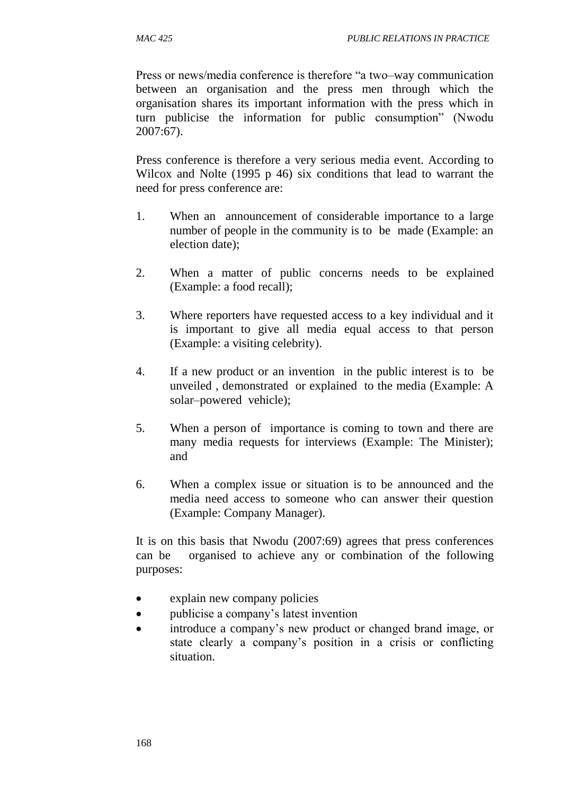Press or news/media conference is therefore "a two–way communication between an organisation and the press men through which the organisation shares its important information with the press which in turn publicise the information for public consumption" (Nwodu 2007:67).

Press conference is therefore a very serious media event. According to Wilcox and Nolte (1995 p 46) six conditions that lead to warrant the need for press conference are:

- 1. When an announcement of considerable importance to a large number of people in the community is to be made (Example: an election date);
- 2. When a matter of public concerns needs to be explained (Example: a food recall);
- 3. Where reporters have requested access to a key individual and it is important to give all media equal access to that person (Example: a visiting celebrity).
- 4. If a new product or an invention in the public interest is to be unveiled , demonstrated or explained to the media (Example: A solar–powered vehicle);
- 5. When a person of importance is coming to town and there are many media requests for interviews (Example: The Minister); and
- 6. When a complex issue or situation is to be announced and the media need access to someone who can answer their question (Example: Company Manager).

It is on this basis that Nwodu (2007:69) agrees that press conferences can be organised to achieve any or combination of the following purposes:

- explain new company policies
- publicise a company's latest invention
- introduce a company's new product or changed brand image, or state clearly a company's position in a crisis or conflicting situation.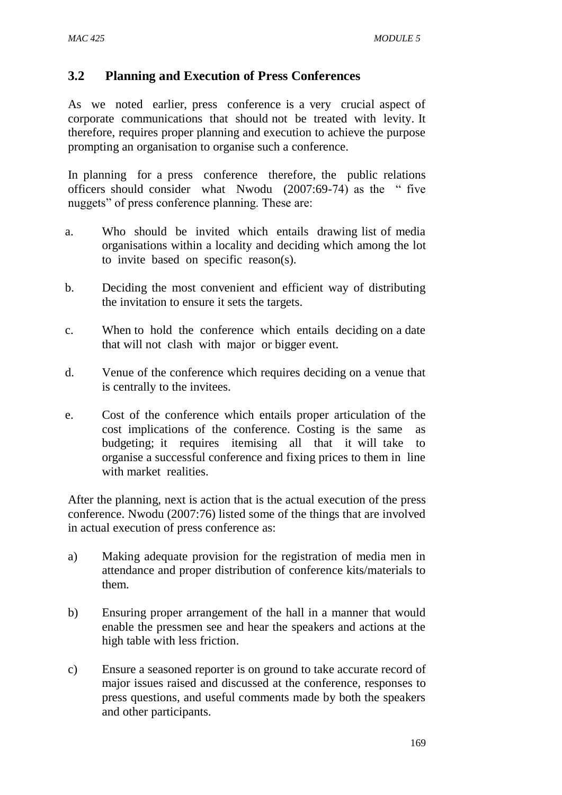#### **3.2 Planning and Execution of Press Conferences**

As we noted earlier, press conference is a very crucial aspect of corporate communications that should not be treated with levity. It therefore, requires proper planning and execution to achieve the purpose prompting an organisation to organise such a conference.

In planning for a press conference therefore, the public relations officers should consider what Nwodu (2007:69-74) as the " five nuggets" of press conference planning. These are:

- a. Who should be invited which entails drawing list of media organisations within a locality and deciding which among the lot to invite based on specific reason(s).
- b. Deciding the most convenient and efficient way of distributing the invitation to ensure it sets the targets.
- c. When to hold the conference which entails deciding on a date that will not clash with major or bigger event.
- d. Venue of the conference which requires deciding on a venue that is centrally to the invitees.
- e. Cost of the conference which entails proper articulation of the cost implications of the conference. Costing is the same as budgeting; it requires itemising all that it will take to organise a successful conference and fixing prices to them in line with market realities.

After the planning, next is action that is the actual execution of the press conference. Nwodu (2007:76) listed some of the things that are involved in actual execution of press conference as:

- a) Making adequate provision for the registration of media men in attendance and proper distribution of conference kits/materials to them.
- b) Ensuring proper arrangement of the hall in a manner that would enable the pressmen see and hear the speakers and actions at the high table with less friction.
- c) Ensure a seasoned reporter is on ground to take accurate record of major issues raised and discussed at the conference, responses to press questions, and useful comments made by both the speakers and other participants.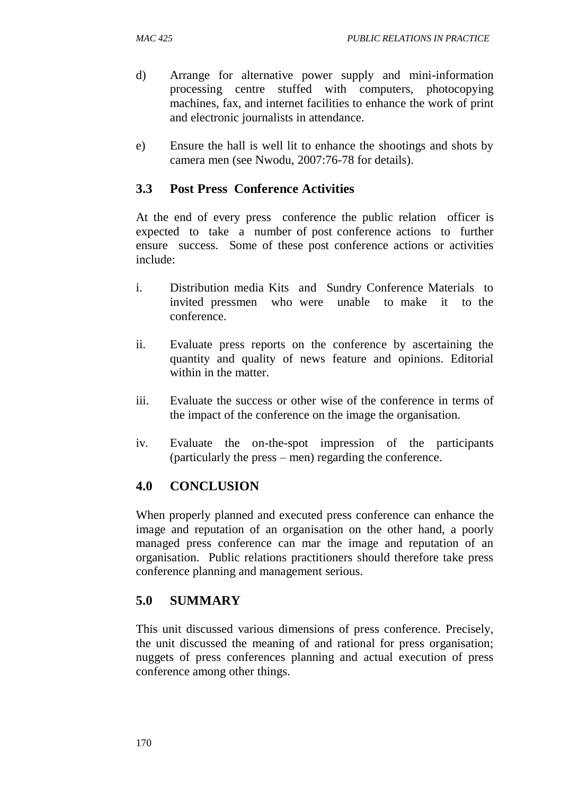- d) Arrange for alternative power supply and mini-information processing centre stuffed with computers, photocopying machines, fax, and internet facilities to enhance the work of print and electronic journalists in attendance.
- e) Ensure the hall is well lit to enhance the shootings and shots by camera men (see Nwodu, 2007:76-78 for details).

## **3.3 Post Press Conference Activities**

At the end of every press conference the public relation officer is expected to take a number of post conference actions to further ensure success. Some of these post conference actions or activities include:

- i. Distribution media Kits and Sundry Conference Materials to invited pressmen who were unable to make it to the conference.
- ii. Evaluate press reports on the conference by ascertaining the quantity and quality of news feature and opinions. Editorial within in the matter.
- iii. Evaluate the success or other wise of the conference in terms of the impact of the conference on the image the organisation.
- iv. Evaluate the on-the-spot impression of the participants (particularly the press – men) regarding the conference.

# **4.0 CONCLUSION**

When properly planned and executed press conference can enhance the image and reputation of an organisation on the other hand, a poorly managed press conference can mar the image and reputation of an organisation. Public relations practitioners should therefore take press conference planning and management serious.

# **5.0 SUMMARY**

This unit discussed various dimensions of press conference. Precisely, the unit discussed the meaning of and rational for press organisation; nuggets of press conferences planning and actual execution of press conference among other things.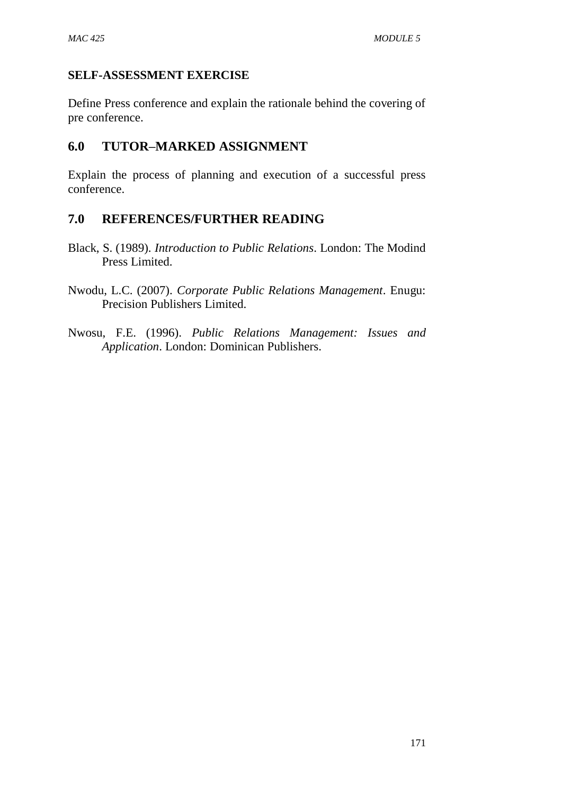### **SELF-ASSESSMENT EXERCISE**

Define Press conference and explain the rationale behind the covering of pre conference.

## **6.0 TUTOR–MARKED ASSIGNMENT**

Explain the process of planning and execution of a successful press conference.

- Black, S. (1989). *Introduction to Public Relations*. London: The Modind Press Limited.
- Nwodu, L.C. (2007). *Corporate Public Relations Management*. Enugu: Precision Publishers Limited.
- Nwosu, F.E. (1996). *Public Relations Management: Issues and Application*. London: Dominican Publishers.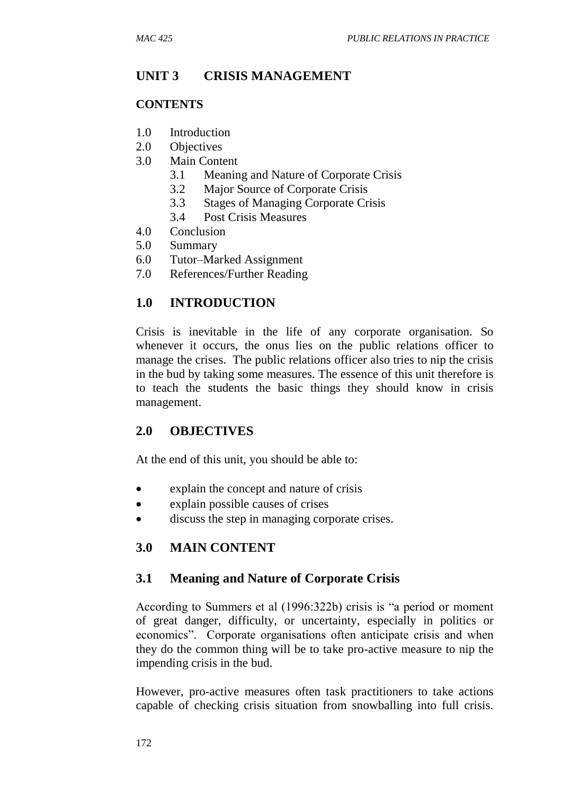## **UNIT 3 CRISIS MANAGEMENT**

#### **CONTENTS**

- 1.0 Introduction
- 2.0 Objectives
- 3.0 Main Content
	- 3.1 Meaning and Nature of Corporate Crisis
	- 3.2 Major Source of Corporate Crisis
	- 3.3 Stages of Managing Corporate Crisis
	- 3.4 Post Crisis Measures
- 4.0 Conclusion
- 5.0 Summary
- 6.0 Tutor–Marked Assignment
- 7.0 References/Further Reading

### **1.0 INTRODUCTION**

Crisis is inevitable in the life of any corporate organisation. So whenever it occurs, the onus lies on the public relations officer to manage the crises. The public relations officer also tries to nip the crisis in the bud by taking some measures. The essence of this unit therefore is to teach the students the basic things they should know in crisis management.

#### **2.0 OBJECTIVES**

At the end of this unit, you should be able to:

- explain the concept and nature of crisis
- explain possible causes of crises
- discuss the step in managing corporate crises.

## **3.0 MAIN CONTENT**

#### **3.1 Meaning and Nature of Corporate Crisis**

According to Summers et al (1996:322b) crisis is "a period or moment of great danger, difficulty, or uncertainty, especially in politics or economics". Corporate organisations often anticipate crisis and when they do the common thing will be to take pro-active measure to nip the impending crisis in the bud.

However, pro-active measures often task practitioners to take actions capable of checking crisis situation from snowballing into full crisis.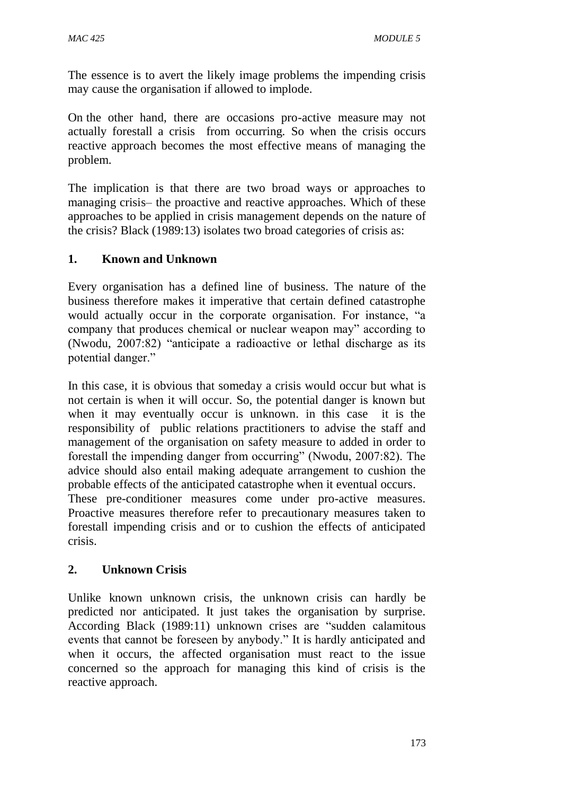The essence is to avert the likely image problems the impending crisis may cause the organisation if allowed to implode.

On the other hand, there are occasions pro-active measure may not actually forestall a crisis from occurring. So when the crisis occurs reactive approach becomes the most effective means of managing the problem.

The implication is that there are two broad ways or approaches to managing crisis– the proactive and reactive approaches. Which of these approaches to be applied in crisis management depends on the nature of the crisis? Black (1989:13) isolates two broad categories of crisis as:

### **1. Known and Unknown**

Every organisation has a defined line of business. The nature of the business therefore makes it imperative that certain defined catastrophe would actually occur in the corporate organisation. For instance, "a company that produces chemical or nuclear weapon may" according to (Nwodu, 2007:82) "anticipate a radioactive or lethal discharge as its potential danger."

In this case, it is obvious that someday a crisis would occur but what is not certain is when it will occur. So, the potential danger is known but when it may eventually occur is unknown. in this case it is the responsibility of public relations practitioners to advise the staff and management of the organisation on safety measure to added in order to forestall the impending danger from occurring" (Nwodu, 2007:82). The advice should also entail making adequate arrangement to cushion the probable effects of the anticipated catastrophe when it eventual occurs.

These pre-conditioner measures come under pro-active measures. Proactive measures therefore refer to precautionary measures taken to forestall impending crisis and or to cushion the effects of anticipated crisis.

#### **2. Unknown Crisis**

Unlike known unknown crisis, the unknown crisis can hardly be predicted nor anticipated. It just takes the organisation by surprise. According Black (1989:11) unknown crises are "sudden calamitous events that cannot be foreseen by anybody." It is hardly anticipated and when it occurs, the affected organisation must react to the issue concerned so the approach for managing this kind of crisis is the reactive approach.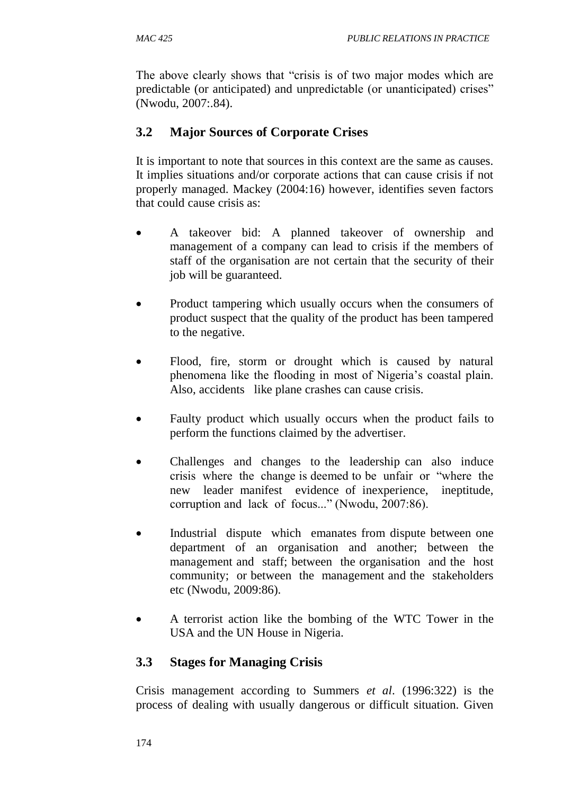The above clearly shows that "crisis is of two major modes which are predictable (or anticipated) and unpredictable (or unanticipated) crises" (Nwodu, 2007:.84).

# **3.2 Major Sources of Corporate Crises**

It is important to note that sources in this context are the same as causes. It implies situations and/or corporate actions that can cause crisis if not properly managed. Mackey (2004:16) however, identifies seven factors that could cause crisis as:

- A takeover bid: A planned takeover of ownership and management of a company can lead to crisis if the members of staff of the organisation are not certain that the security of their job will be guaranteed.
- Product tampering which usually occurs when the consumers of product suspect that the quality of the product has been tampered to the negative.
- Flood, fire, storm or drought which is caused by natural phenomena like the flooding in most of Nigeria's coastal plain. Also, accidents like plane crashes can cause crisis.
- Faulty product which usually occurs when the product fails to perform the functions claimed by the advertiser.
- Challenges and changes to the leadership can also induce crisis where the change is deemed to be unfair or "where the new leader manifest evidence of inexperience, ineptitude, corruption and lack of focus..." (Nwodu, 2007:86).
- Industrial dispute which emanates from dispute between one department of an organisation and another; between the management and staff; between the organisation and the host community; or between the management and the stakeholders etc (Nwodu, 2009:86).
- A terrorist action like the bombing of the WTC Tower in the USA and the UN House in Nigeria.

# **3.3 Stages for Managing Crisis**

Crisis management according to Summers *et al*. (1996:322) is the process of dealing with usually dangerous or difficult situation. Given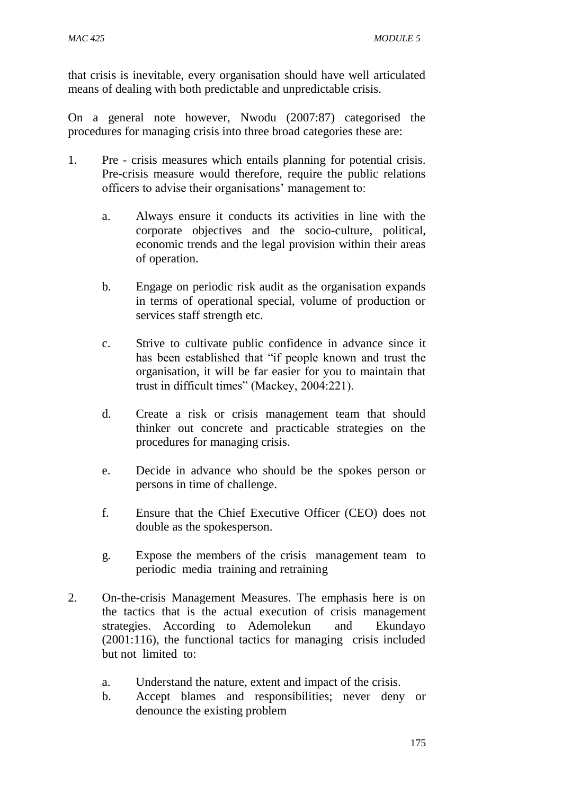that crisis is inevitable, every organisation should have well articulated means of dealing with both predictable and unpredictable crisis.

On a general note however, Nwodu (2007:87) categorised the procedures for managing crisis into three broad categories these are:

- 1. Pre crisis measures which entails planning for potential crisis. Pre-crisis measure would therefore, require the public relations officers to advise their organisations' management to:
	- a. Always ensure it conducts its activities in line with the corporate objectives and the socio-culture, political, economic trends and the legal provision within their areas of operation.
	- b. Engage on periodic risk audit as the organisation expands in terms of operational special, volume of production or services staff strength etc.
	- c. Strive to cultivate public confidence in advance since it has been established that "if people known and trust the organisation, it will be far easier for you to maintain that trust in difficult times" (Mackey, 2004:221).
	- d. Create a risk or crisis management team that should thinker out concrete and practicable strategies on the procedures for managing crisis.
	- e. Decide in advance who should be the spokes person or persons in time of challenge.
	- f. Ensure that the Chief Executive Officer (CEO) does not double as the spokesperson.
	- g. Expose the members of the crisis management team to periodic media training and retraining
- 2. On-the-crisis Management Measures. The emphasis here is on the tactics that is the actual execution of crisis management strategies. According to Ademolekun and Ekundayo (2001:116), the functional tactics for managing crisis included but not limited to:
	- a. Understand the nature, extent and impact of the crisis.
	- b. Accept blames and responsibilities; never deny or denounce the existing problem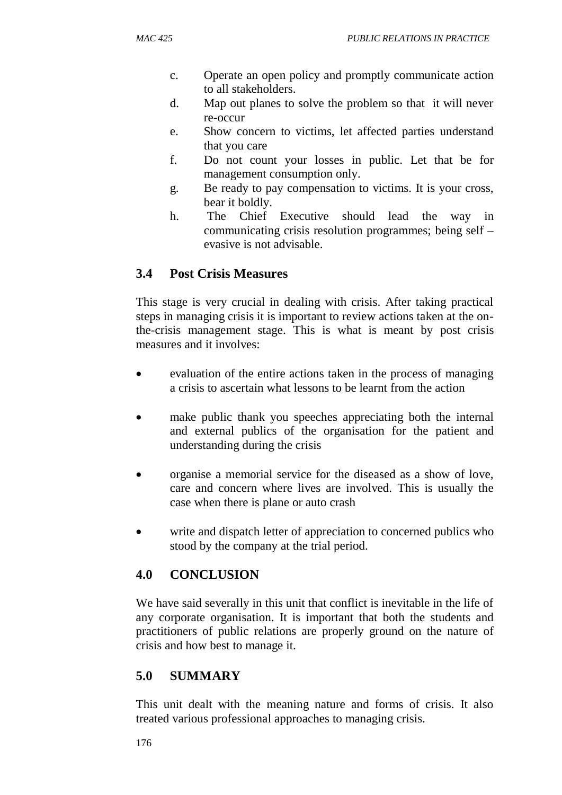- c. Operate an open policy and promptly communicate action to all stakeholders.
- d. Map out planes to solve the problem so that it will never re-occur
- e. Show concern to victims, let affected parties understand that you care
- f. Do not count your losses in public. Let that be for management consumption only.
- g. Be ready to pay compensation to victims. It is your cross, bear it boldly.
- h. The Chief Executive should lead the way in communicating crisis resolution programmes; being self – evasive is not advisable.

# **3.4 Post Crisis Measures**

This stage is very crucial in dealing with crisis. After taking practical steps in managing crisis it is important to review actions taken at the onthe-crisis management stage. This is what is meant by post crisis measures and it involves:

- evaluation of the entire actions taken in the process of managing a crisis to ascertain what lessons to be learnt from the action
- make public thank you speeches appreciating both the internal and external publics of the organisation for the patient and understanding during the crisis
- organise a memorial service for the diseased as a show of love, care and concern where lives are involved. This is usually the case when there is plane or auto crash
- write and dispatch letter of appreciation to concerned publics who stood by the company at the trial period.

# **4.0 CONCLUSION**

We have said severally in this unit that conflict is inevitable in the life of any corporate organisation. It is important that both the students and practitioners of public relations are properly ground on the nature of crisis and how best to manage it.

# **5.0 SUMMARY**

This unit dealt with the meaning nature and forms of crisis. It also treated various professional approaches to managing crisis.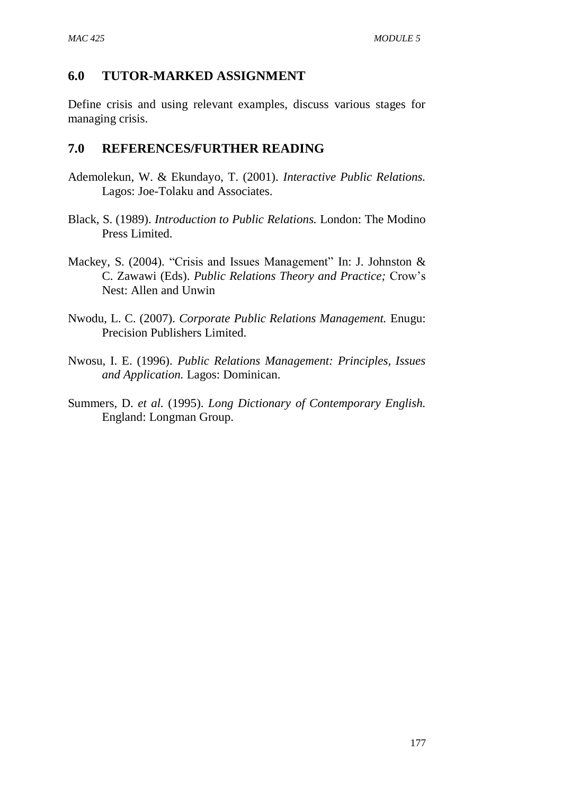#### **6.0 TUTOR-MARKED ASSIGNMENT**

Define crisis and using relevant examples, discuss various stages for managing crisis.

- Ademolekun, W. & Ekundayo, T. (2001). *Interactive Public Relations.*  Lagos: Joe-Tolaku and Associates.
- Black, S. (1989). *Introduction to Public Relations.* London: The Modino Press Limited.
- Mackey, S. (2004). "Crisis and Issues Management" In: J. Johnston & C. Zawawi (Eds). *Public Relations Theory and Practice;* Crow's Nest: Allen and Unwin
- Nwodu, L. C. (2007). *Corporate Public Relations Management.* Enugu: Precision Publishers Limited.
- Nwosu, I. E. (1996). *Public Relations Management: Principles, Issues and Application.* Lagos: Dominican.
- Summers, D. *et al.* (1995). *Long Dictionary of Contemporary English.*  England: Longman Group.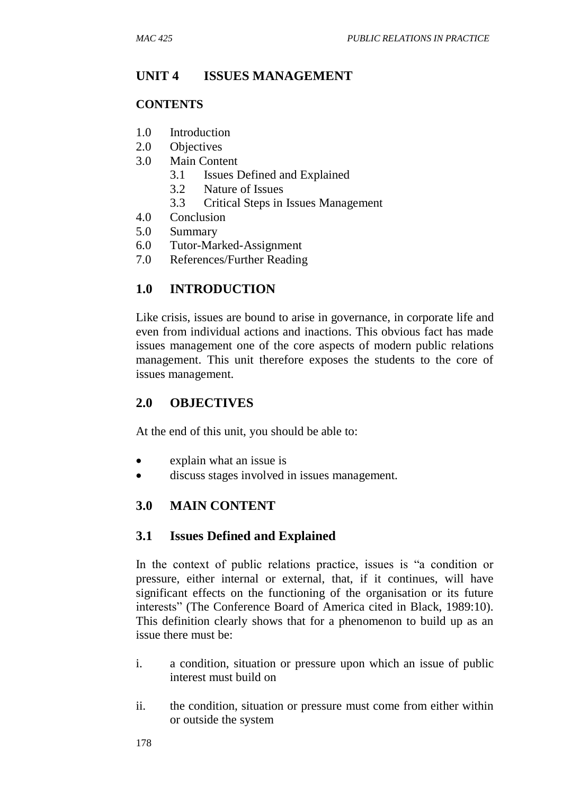## **UNIT 4 ISSUES MANAGEMENT**

#### **CONTENTS**

- 1.0 Introduction
- 2.0 Objectives
- 3.0 Main Content
	- 3.1 Issues Defined and Explained
	- 3.2 Nature of Issues
	- 3.3 Critical Steps in Issues Management
- 4.0 Conclusion
- 5.0 Summary
- 6.0 Tutor-Marked-Assignment
- 7.0 References/Further Reading

## **1.0 INTRODUCTION**

Like crisis, issues are bound to arise in governance, in corporate life and even from individual actions and inactions. This obvious fact has made issues management one of the core aspects of modern public relations management. This unit therefore exposes the students to the core of issues management.

#### **2.0 OBJECTIVES**

At the end of this unit, you should be able to:

- explain what an issue is
- discuss stages involved in issues management.

## **3.0 MAIN CONTENT**

#### **3.1 Issues Defined and Explained**

In the context of public relations practice, issues is "a condition or pressure, either internal or external, that, if it continues, will have significant effects on the functioning of the organisation or its future interests" (The Conference Board of America cited in Black, 1989:10). This definition clearly shows that for a phenomenon to build up as an issue there must be:

- i. a condition, situation or pressure upon which an issue of public interest must build on
- ii. the condition, situation or pressure must come from either within or outside the system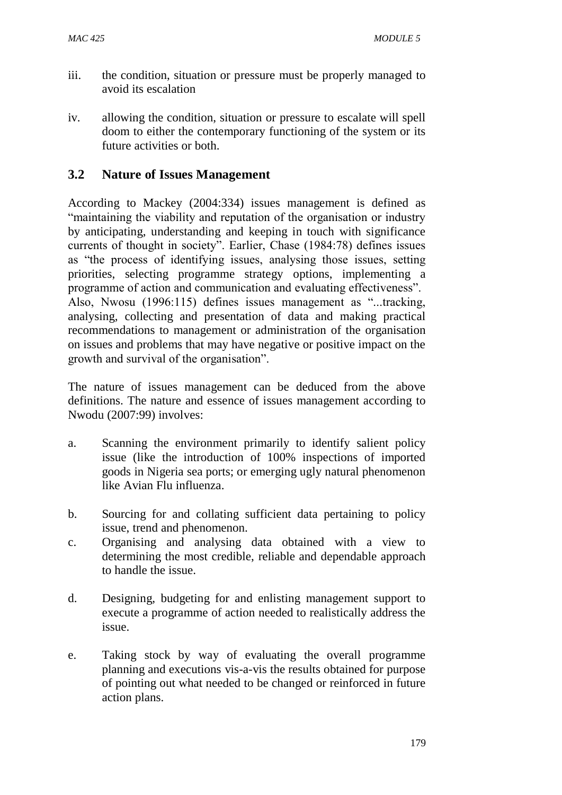- iii. the condition, situation or pressure must be properly managed to avoid its escalation
- iv. allowing the condition, situation or pressure to escalate will spell doom to either the contemporary functioning of the system or its future activities or both.

### **3.2 Nature of Issues Management**

According to Mackey (2004:334) issues management is defined as "maintaining the viability and reputation of the organisation or industry by anticipating, understanding and keeping in touch with significance currents of thought in society". Earlier, Chase (1984:78) defines issues as "the process of identifying issues, analysing those issues, setting priorities, selecting programme strategy options, implementing a programme of action and communication and evaluating effectiveness". Also, Nwosu (1996:115) defines issues management as "...tracking, analysing, collecting and presentation of data and making practical recommendations to management or administration of the organisation on issues and problems that may have negative or positive impact on the growth and survival of the organisation".

The nature of issues management can be deduced from the above definitions. The nature and essence of issues management according to Nwodu (2007:99) involves:

- a. Scanning the environment primarily to identify salient policy issue (like the introduction of 100% inspections of imported goods in Nigeria sea ports; or emerging ugly natural phenomenon like Avian Flu influenza.
- b. Sourcing for and collating sufficient data pertaining to policy issue, trend and phenomenon.
- c. Organising and analysing data obtained with a view to determining the most credible, reliable and dependable approach to handle the issue.
- d. Designing, budgeting for and enlisting management support to execute a programme of action needed to realistically address the issue.
- e. Taking stock by way of evaluating the overall programme planning and executions vis-a-vis the results obtained for purpose of pointing out what needed to be changed or reinforced in future action plans.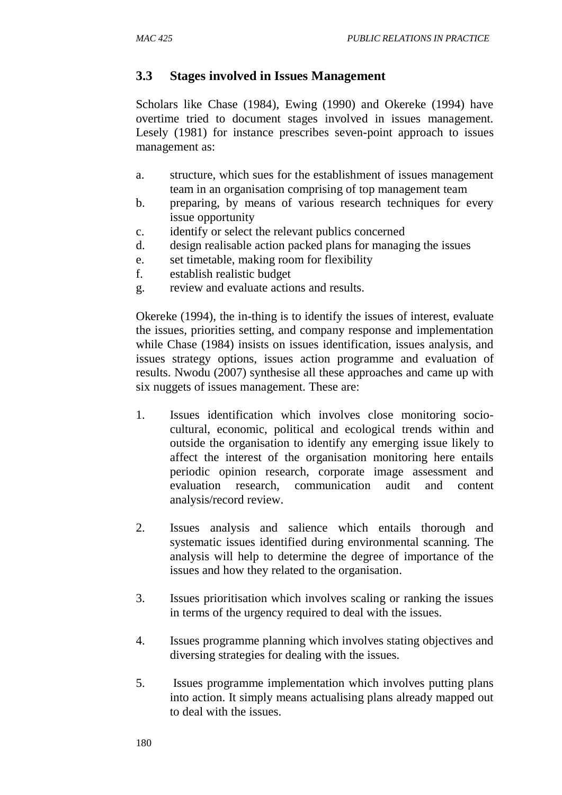### **3.3 Stages involved in Issues Management**

Scholars like Chase (1984), Ewing (1990) and Okereke (1994) have overtime tried to document stages involved in issues management. Lesely (1981) for instance prescribes seven-point approach to issues management as:

- a. structure, which sues for the establishment of issues management team in an organisation comprising of top management team
- b. preparing, by means of various research techniques for every issue opportunity
- c. identify or select the relevant publics concerned
- d. design realisable action packed plans for managing the issues
- e. set timetable, making room for flexibility
- f. establish realistic budget
- g. review and evaluate actions and results.

Okereke (1994), the in-thing is to identify the issues of interest, evaluate the issues, priorities setting, and company response and implementation while Chase (1984) insists on issues identification, issues analysis, and issues strategy options, issues action programme and evaluation of results. Nwodu (2007) synthesise all these approaches and came up with six nuggets of issues management. These are:

- 1. Issues identification which involves close monitoring sociocultural, economic, political and ecological trends within and outside the organisation to identify any emerging issue likely to affect the interest of the organisation monitoring here entails periodic opinion research, corporate image assessment and evaluation research, communication audit and content analysis/record review.
- 2. Issues analysis and salience which entails thorough and systematic issues identified during environmental scanning. The analysis will help to determine the degree of importance of the issues and how they related to the organisation.
- 3. Issues prioritisation which involves scaling or ranking the issues in terms of the urgency required to deal with the issues.
- 4. Issues programme planning which involves stating objectives and diversing strategies for dealing with the issues.
- 5. Issues programme implementation which involves putting plans into action. It simply means actualising plans already mapped out to deal with the issues.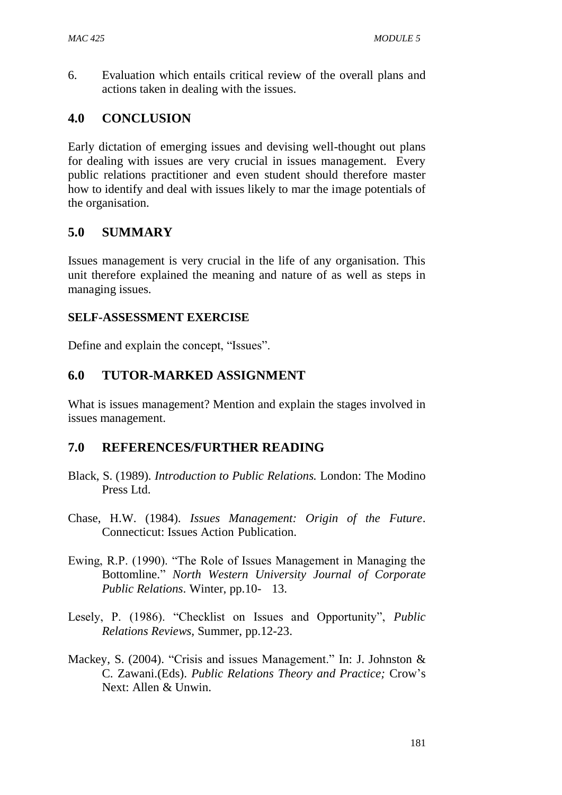6. Evaluation which entails critical review of the overall plans and actions taken in dealing with the issues.

### **4.0 CONCLUSION**

Early dictation of emerging issues and devising well-thought out plans for dealing with issues are very crucial in issues management. Every public relations practitioner and even student should therefore master how to identify and deal with issues likely to mar the image potentials of the organisation.

### **5.0 SUMMARY**

Issues management is very crucial in the life of any organisation. This unit therefore explained the meaning and nature of as well as steps in managing issues.

#### **SELF-ASSESSMENT EXERCISE**

Define and explain the concept, "Issues".

#### **6.0 TUTOR-MARKED ASSIGNMENT**

What is issues management? Mention and explain the stages involved in issues management.

- Black, S. (1989). *Introduction to Public Relations.* London: The Modino Press Ltd.
- Chase, H.W. (1984). *Issues Management: Origin of the Future*. Connecticut: Issues Action Publication.
- Ewing, R.P. (1990). "The Role of Issues Management in Managing the Bottomline." *North Western University Journal of Corporate Public Relations*. Winter, pp.10- 13.
- Lesely, P. (1986). "Checklist on Issues and Opportunity", *Public Relations Reviews,* Summer, pp.12-23.
- Mackey, S. (2004). "Crisis and issues Management." In: J. Johnston & C. Zawani.(Eds). *Public Relations Theory and Practice;* Crow's Next: Allen & Unwin.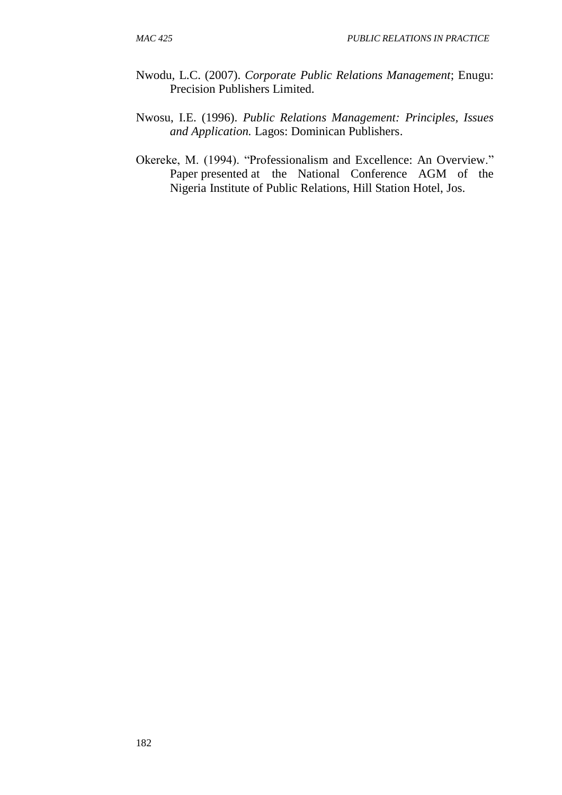- Nwodu, L.C. (2007). *Corporate Public Relations Management*; Enugu: Precision Publishers Limited.
- Nwosu, I.E. (1996). *Public Relations Management: Principles, Issues and Application.* Lagos: Dominican Publishers.
- Okereke, M. (1994). "Professionalism and Excellence: An Overview." Paper presented at the National Conference AGM of the Nigeria Institute of Public Relations, Hill Station Hotel, Jos.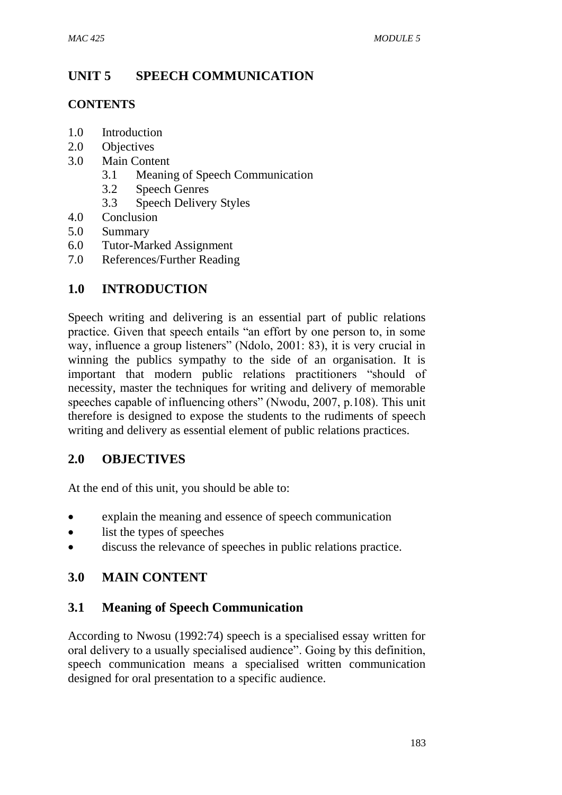# **UNIT 5 SPEECH COMMUNICATION**

### **CONTENTS**

- 1.0 Introduction
- 2.0 Objectives
- 3.0 Main Content
	- 3.1 Meaning of Speech Communication
	- 3.2 Speech Genres
	- 3.3 Speech Delivery Styles
- 4.0 Conclusion
- 5.0 Summary
- 6.0 Tutor-Marked Assignment
- 7.0 References/Further Reading

## **1.0 INTRODUCTION**

Speech writing and delivering is an essential part of public relations practice. Given that speech entails "an effort by one person to, in some way, influence a group listeners" (Ndolo, 2001: 83), it is very crucial in winning the publics sympathy to the side of an organisation. It is important that modern public relations practitioners "should of necessity, master the techniques for writing and delivery of memorable speeches capable of influencing others" (Nwodu, 2007, p.108). This unit therefore is designed to expose the students to the rudiments of speech writing and delivery as essential element of public relations practices.

## **2.0 OBJECTIVES**

At the end of this unit, you should be able to:

- explain the meaning and essence of speech communication
- list the types of speeches
- discuss the relevance of speeches in public relations practice.

## **3.0 MAIN CONTENT**

## **3.1 Meaning of Speech Communication**

According to Nwosu (1992:74) speech is a specialised essay written for oral delivery to a usually specialised audience". Going by this definition, speech communication means a specialised written communication designed for oral presentation to a specific audience.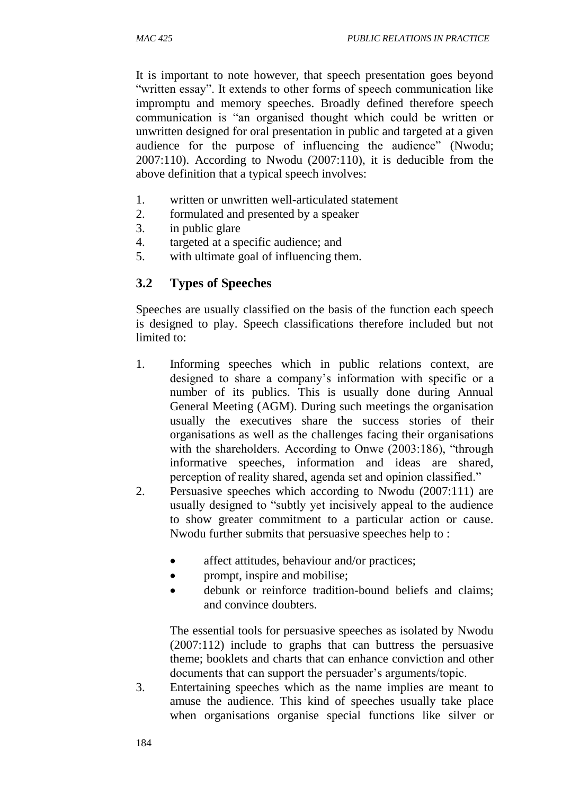It is important to note however, that speech presentation goes beyond "written essay". It extends to other forms of speech communication like impromptu and memory speeches. Broadly defined therefore speech communication is "an organised thought which could be written or unwritten designed for oral presentation in public and targeted at a given audience for the purpose of influencing the audience" (Nwodu; 2007:110). According to Nwodu (2007:110), it is deducible from the above definition that a typical speech involves:

- 1. written or unwritten well-articulated statement
- 2. formulated and presented by a speaker
- 3. in public glare
- 4. targeted at a specific audience; and
- 5. with ultimate goal of influencing them.

## **3.2 Types of Speeches**

Speeches are usually classified on the basis of the function each speech is designed to play. Speech classifications therefore included but not limited to:

- 1. Informing speeches which in public relations context, are designed to share a company's information with specific or a number of its publics. This is usually done during Annual General Meeting (AGM). During such meetings the organisation usually the executives share the success stories of their organisations as well as the challenges facing their organisations with the shareholders. According to Onwe (2003:186), "through informative speeches, information and ideas are shared, perception of reality shared, agenda set and opinion classified."
- 2. Persuasive speeches which according to Nwodu (2007:111) are usually designed to "subtly yet incisively appeal to the audience to show greater commitment to a particular action or cause. Nwodu further submits that persuasive speeches help to :
	- affect attitudes, behaviour and/or practices;
	- prompt, inspire and mobilise;
	- debunk or reinforce tradition-bound beliefs and claims; and convince doubters.

The essential tools for persuasive speeches as isolated by Nwodu (2007:112) include to graphs that can buttress the persuasive theme; booklets and charts that can enhance conviction and other documents that can support the persuader's arguments/topic.

3. Entertaining speeches which as the name implies are meant to amuse the audience. This kind of speeches usually take place when organisations organise special functions like silver or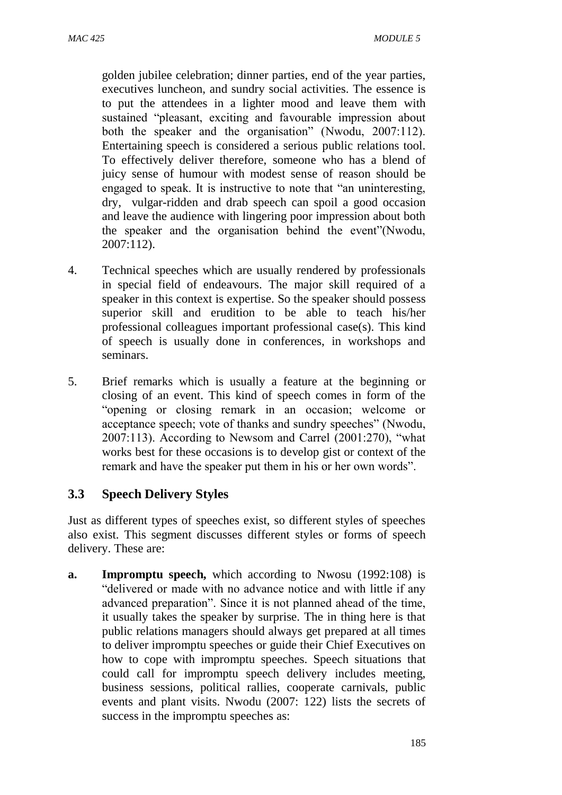golden jubilee celebration; dinner parties, end of the year parties, executives luncheon, and sundry social activities. The essence is to put the attendees in a lighter mood and leave them with sustained "pleasant, exciting and favourable impression about both the speaker and the organisation" (Nwodu, 2007:112). Entertaining speech is considered a serious public relations tool. To effectively deliver therefore, someone who has a blend of juicy sense of humour with modest sense of reason should be engaged to speak. It is instructive to note that "an uninteresting, dry, vulgar-ridden and drab speech can spoil a good occasion and leave the audience with lingering poor impression about both the speaker and the organisation behind the event"(Nwodu, 2007:112).

- 4. Technical speeches which are usually rendered by professionals in special field of endeavours. The major skill required of a speaker in this context is expertise. So the speaker should possess superior skill and erudition to be able to teach his/her professional colleagues important professional case(s). This kind of speech is usually done in conferences, in workshops and seminars.
- 5. Brief remarks which is usually a feature at the beginning or closing of an event. This kind of speech comes in form of the "opening or closing remark in an occasion; welcome or acceptance speech; vote of thanks and sundry speeches" (Nwodu, 2007:113). According to Newsom and Carrel (2001:270), "what works best for these occasions is to develop gist or context of the remark and have the speaker put them in his or her own words".

#### **3.3 Speech Delivery Styles**

Just as different types of speeches exist, so different styles of speeches also exist. This segment discusses different styles or forms of speech delivery. These are:

**a. Impromptu speech,** which according to Nwosu (1992:108) is "delivered or made with no advance notice and with little if any advanced preparation". Since it is not planned ahead of the time, it usually takes the speaker by surprise. The in thing here is that public relations managers should always get prepared at all times to deliver impromptu speeches or guide their Chief Executives on how to cope with impromptu speeches. Speech situations that could call for impromptu speech delivery includes meeting, business sessions, political rallies, cooperate carnivals, public events and plant visits. Nwodu (2007: 122) lists the secrets of success in the impromptu speeches as: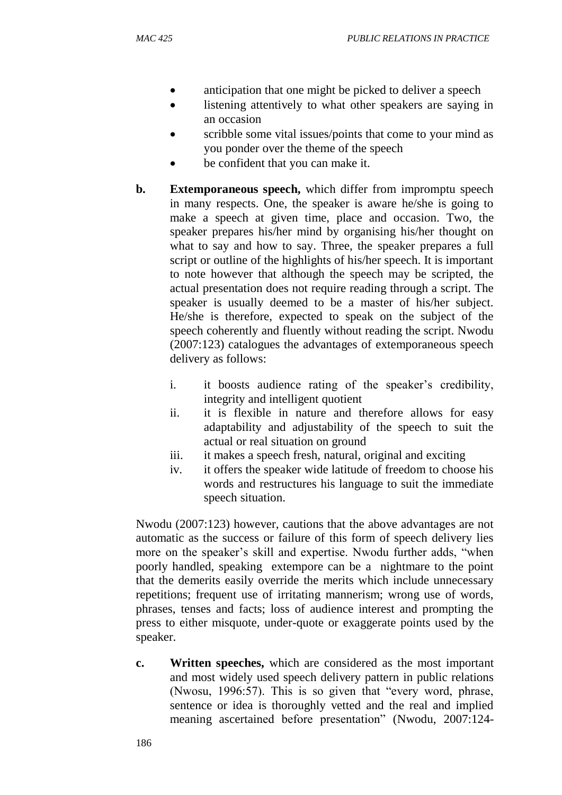- anticipation that one might be picked to deliver a speech
- listening attentively to what other speakers are saying in an occasion
- scribble some vital issues/points that come to your mind as you ponder over the theme of the speech
- be confident that you can make it.
- **b. Extemporaneous speech,** which differ from impromptu speech in many respects. One, the speaker is aware he/she is going to make a speech at given time, place and occasion. Two, the speaker prepares his/her mind by organising his/her thought on what to say and how to say. Three, the speaker prepares a full script or outline of the highlights of his/her speech. It is important to note however that although the speech may be scripted, the actual presentation does not require reading through a script. The speaker is usually deemed to be a master of his/her subject. He/she is therefore, expected to speak on the subject of the speech coherently and fluently without reading the script. Nwodu (2007:123) catalogues the advantages of extemporaneous speech delivery as follows:
	- i. it boosts audience rating of the speaker's credibility, integrity and intelligent quotient
	- ii. it is flexible in nature and therefore allows for easy adaptability and adjustability of the speech to suit the actual or real situation on ground
	- iii. it makes a speech fresh, natural, original and exciting
	- iv. it offers the speaker wide latitude of freedom to choose his words and restructures his language to suit the immediate speech situation.

Nwodu (2007:123) however, cautions that the above advantages are not automatic as the success or failure of this form of speech delivery lies more on the speaker's skill and expertise. Nwodu further adds, "when poorly handled, speaking extempore can be a nightmare to the point that the demerits easily override the merits which include unnecessary repetitions; frequent use of irritating mannerism; wrong use of words, phrases, tenses and facts; loss of audience interest and prompting the press to either misquote, under-quote or exaggerate points used by the speaker.

**c. Written speeches,** which are considered as the most important and most widely used speech delivery pattern in public relations (Nwosu, 1996:57). This is so given that "every word, phrase, sentence or idea is thoroughly vetted and the real and implied meaning ascertained before presentation" (Nwodu, 2007:124-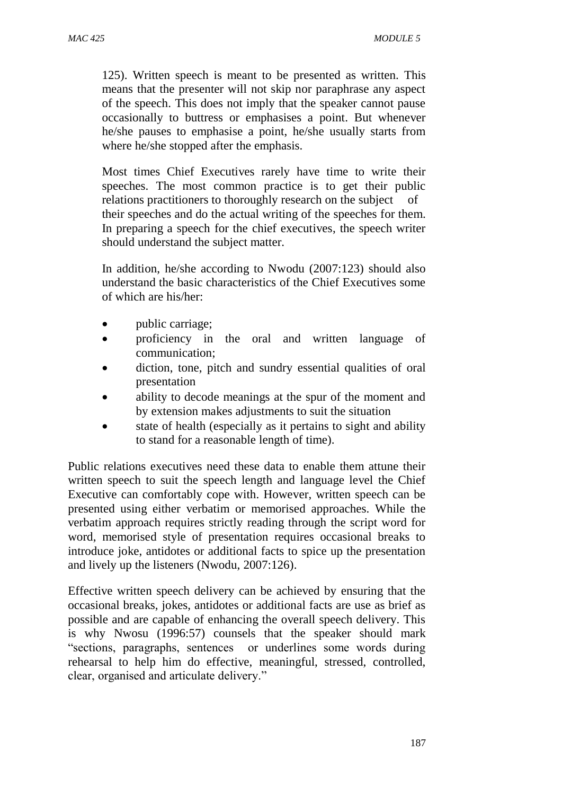125). Written speech is meant to be presented as written. This means that the presenter will not skip nor paraphrase any aspect of the speech. This does not imply that the speaker cannot pause occasionally to buttress or emphasises a point. But whenever he/she pauses to emphasise a point, he/she usually starts from where he/she stopped after the emphasis.

Most times Chief Executives rarely have time to write their speeches. The most common practice is to get their public relations practitioners to thoroughly research on the subject of their speeches and do the actual writing of the speeches for them. In preparing a speech for the chief executives, the speech writer should understand the subject matter.

In addition, he/she according to Nwodu (2007:123) should also understand the basic characteristics of the Chief Executives some of which are his/her:

- public carriage;
- proficiency in the oral and written language of communication;
- diction, tone, pitch and sundry essential qualities of oral presentation
- ability to decode meanings at the spur of the moment and by extension makes adjustments to suit the situation
- state of health (especially as it pertains to sight and ability to stand for a reasonable length of time).

Public relations executives need these data to enable them attune their written speech to suit the speech length and language level the Chief Executive can comfortably cope with. However, written speech can be presented using either verbatim or memorised approaches. While the verbatim approach requires strictly reading through the script word for word, memorised style of presentation requires occasional breaks to introduce joke, antidotes or additional facts to spice up the presentation and lively up the listeners (Nwodu, 2007:126).

Effective written speech delivery can be achieved by ensuring that the occasional breaks, jokes, antidotes or additional facts are use as brief as possible and are capable of enhancing the overall speech delivery. This is why Nwosu (1996:57) counsels that the speaker should mark "sections, paragraphs, sentences or underlines some words during rehearsal to help him do effective, meaningful, stressed, controlled, clear, organised and articulate delivery."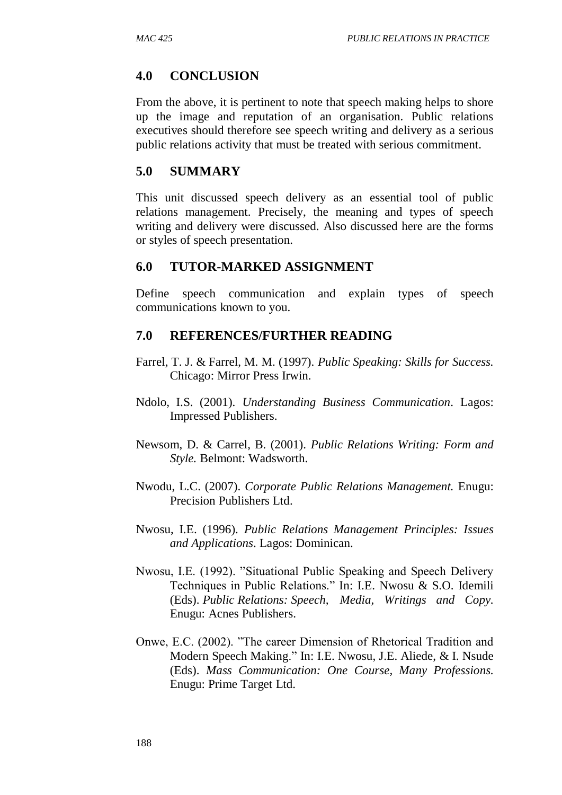#### **4.0 CONCLUSION**

From the above, it is pertinent to note that speech making helps to shore up the image and reputation of an organisation. Public relations executives should therefore see speech writing and delivery as a serious public relations activity that must be treated with serious commitment.

### **5.0 SUMMARY**

This unit discussed speech delivery as an essential tool of public relations management. Precisely, the meaning and types of speech writing and delivery were discussed. Also discussed here are the forms or styles of speech presentation.

#### **6.0 TUTOR-MARKED ASSIGNMENT**

Define speech communication and explain types of speech communications known to you.

- Farrel, T. J. & Farrel, M. M. (1997). *Public Speaking: Skills for Success.*  Chicago: Mirror Press Irwin.
- Ndolo, I.S. (2001). *Understanding Business Communication*. Lagos: Impressed Publishers.
- Newsom, D. & Carrel, B. (2001). *Public Relations Writing: Form and Style.* Belmont: Wadsworth.
- Nwodu, L.C. (2007). *Corporate Public Relations Management.* Enugu: Precision Publishers Ltd.
- Nwosu, I.E. (1996). *Public Relations Management Principles: Issues and Applications*. Lagos: Dominican.
- Nwosu, I.E. (1992). "Situational Public Speaking and Speech Delivery Techniques in Public Relations." In: I.E. Nwosu & S.O. Idemili (Eds). *Public Relations: Speech, Media, Writings and Copy.*  Enugu: Acnes Publishers.
- Onwe, E.C. (2002). "The career Dimension of Rhetorical Tradition and Modern Speech Making." In: I.E. Nwosu, J.E. Aliede, & I. Nsude (Eds). *Mass Communication: One Course, Many Professions.* Enugu: Prime Target Ltd.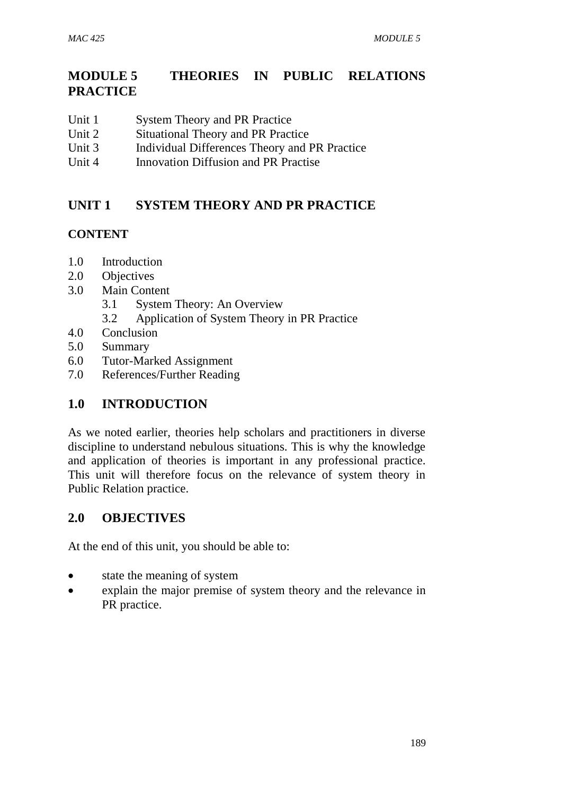# **MODULE 5 THEORIES IN PUBLIC RELATIONS PRACTICE**

- Unit 1 System Theory and PR Practice
- Unit 2 Situational Theory and PR Practice
- Unit 3 Individual Differences Theory and PR Practice
- Unit 4 Innovation Diffusion and PR Practise

# **UNIT 1 SYSTEM THEORY AND PR PRACTICE**

## **CONTENT**

- 1.0 Introduction
- 2.0 Objectives
- 3.0 Main Content
	- 3.1 System Theory: An Overview
	- 3.2 Application of System Theory in PR Practice
- 4.0 Conclusion
- 5.0 Summary
- 6.0 Tutor-Marked Assignment
- 7.0 References/Further Reading

# **1.0 INTRODUCTION**

As we noted earlier, theories help scholars and practitioners in diverse discipline to understand nebulous situations. This is why the knowledge and application of theories is important in any professional practice. This unit will therefore focus on the relevance of system theory in Public Relation practice.

# **2.0 OBJECTIVES**

At the end of this unit, you should be able to:

- state the meaning of system
- explain the major premise of system theory and the relevance in PR practice.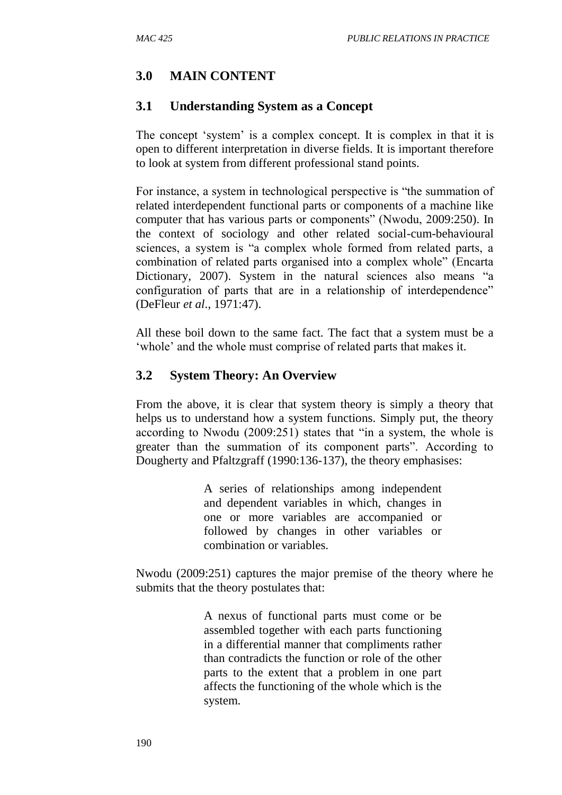# **3.0 MAIN CONTENT**

## **3.1 Understanding System as a Concept**

The concept 'system' is a complex concept. It is complex in that it is open to different interpretation in diverse fields. It is important therefore to look at system from different professional stand points.

For instance, a system in technological perspective is "the summation of related interdependent functional parts or components of a machine like computer that has various parts or components" (Nwodu, 2009:250). In the context of sociology and other related social-cum-behavioural sciences, a system is "a complex whole formed from related parts, a combination of related parts organised into a complex whole" (Encarta Dictionary, 2007). System in the natural sciences also means "a configuration of parts that are in a relationship of interdependence" (DeFleur *et al*., 1971:47).

All these boil down to the same fact. The fact that a system must be a 'whole' and the whole must comprise of related parts that makes it.

## **3.2 System Theory: An Overview**

From the above, it is clear that system theory is simply a theory that helps us to understand how a system functions. Simply put, the theory according to Nwodu (2009:251) states that "in a system, the whole is greater than the summation of its component parts". According to Dougherty and Pfaltzgraff (1990:136-137), the theory emphasises:

> A series of relationships among independent and dependent variables in which, changes in one or more variables are accompanied or followed by changes in other variables or combination or variables.

Nwodu (2009:251) captures the major premise of the theory where he submits that the theory postulates that:

> A nexus of functional parts must come or be assembled together with each parts functioning in a differential manner that compliments rather than contradicts the function or role of the other parts to the extent that a problem in one part affects the functioning of the whole which is the system.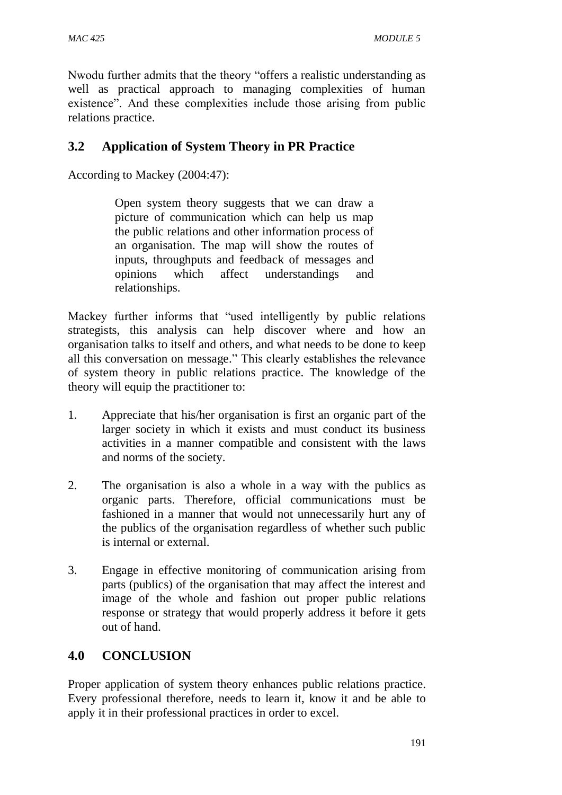Nwodu further admits that the theory "offers a realistic understanding as well as practical approach to managing complexities of human existence". And these complexities include those arising from public relations practice.

# **3.2 Application of System Theory in PR Practice**

According to Mackey (2004:47):

Open system theory suggests that we can draw a picture of communication which can help us map the public relations and other information process of an organisation. The map will show the routes of inputs, throughputs and feedback of messages and opinions which affect understandings and relationships.

Mackey further informs that "used intelligently by public relations strategists, this analysis can help discover where and how an organisation talks to itself and others, and what needs to be done to keep all this conversation on message." This clearly establishes the relevance of system theory in public relations practice. The knowledge of the theory will equip the practitioner to:

- 1. Appreciate that his/her organisation is first an organic part of the larger society in which it exists and must conduct its business activities in a manner compatible and consistent with the laws and norms of the society.
- 2. The organisation is also a whole in a way with the publics as organic parts. Therefore, official communications must be fashioned in a manner that would not unnecessarily hurt any of the publics of the organisation regardless of whether such public is internal or external.
- 3. Engage in effective monitoring of communication arising from parts (publics) of the organisation that may affect the interest and image of the whole and fashion out proper public relations response or strategy that would properly address it before it gets out of hand.

# **4.0 CONCLUSION**

Proper application of system theory enhances public relations practice. Every professional therefore, needs to learn it, know it and be able to apply it in their professional practices in order to excel.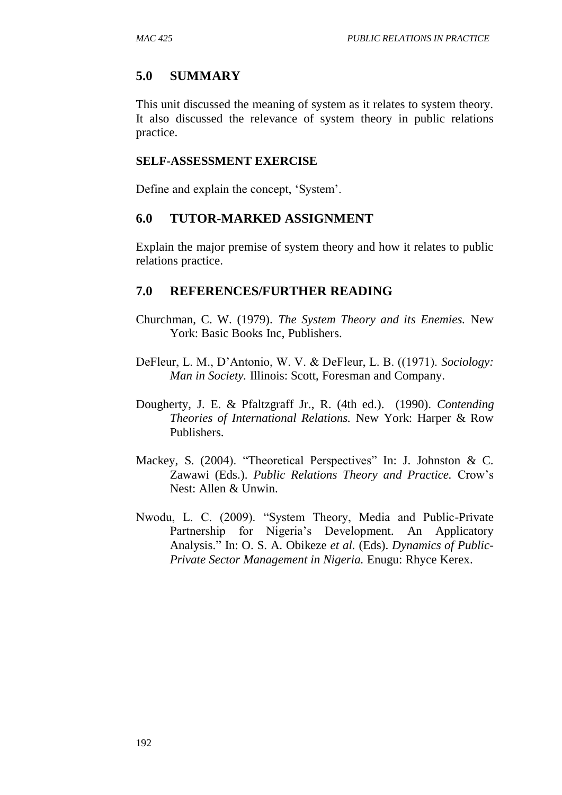## **5.0 SUMMARY**

This unit discussed the meaning of system as it relates to system theory. It also discussed the relevance of system theory in public relations practice.

#### **SELF-ASSESSMENT EXERCISE**

Define and explain the concept, 'System'.

#### **6.0 TUTOR-MARKED ASSIGNMENT**

Explain the major premise of system theory and how it relates to public relations practice.

- Churchman, C. W. (1979). *The System Theory and its Enemies.* New York: Basic Books Inc, Publishers.
- DeFleur, L. M., D'Antonio, W. V. & DeFleur, L. B. ((1971). *Sociology: Man in Society.* Illinois: Scott, Foresman and Company.
- Dougherty, J. E. & Pfaltzgraff Jr., R. (4th ed.). (1990). *Contending Theories of International Relations.* New York: Harper & Row Publishers.
- Mackey, S. (2004). "Theoretical Perspectives" In: J. Johnston & C. Zawawi (Eds.). *Public Relations Theory and Practice.* Crow's Nest: Allen & Unwin.
- Nwodu, L. C. (2009). "System Theory, Media and Public-Private Partnership for Nigeria's Development. An Applicatory Analysis." In: O. S. A. Obikeze *et al.* (Eds). *Dynamics of Public-Private Sector Management in Nigeria.* Enugu: Rhyce Kerex.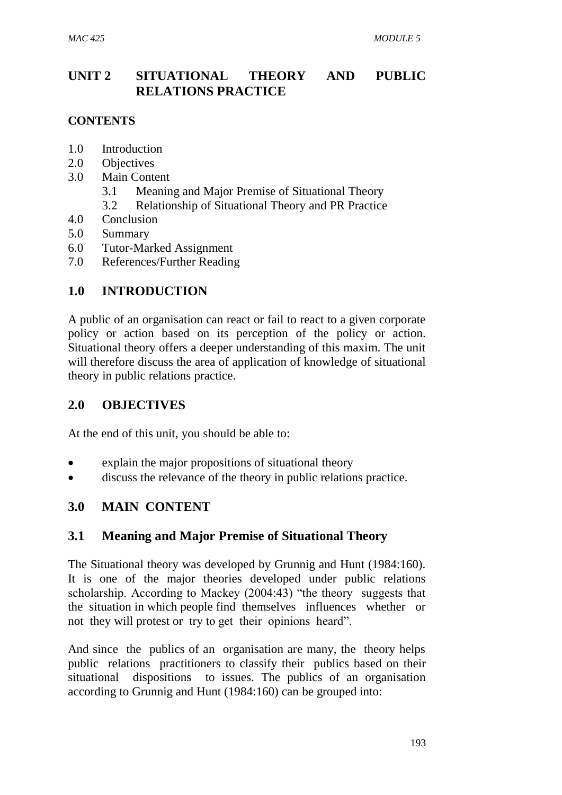# **UNIT 2 SITUATIONAL THEORY AND PUBLIC RELATIONS PRACTICE**

#### **CONTENTS**

- 1.0 Introduction
- 2.0 Objectives
- 3.0 Main Content
	- 3.1 Meaning and Major Premise of Situational Theory
	- 3.2 Relationship of Situational Theory and PR Practice
- 4.0 Conclusion
- 5.0 Summary
- 6.0 Tutor-Marked Assignment
- 7.0 References/Further Reading

## **1.0 INTRODUCTION**

A public of an organisation can react or fail to react to a given corporate policy or action based on its perception of the policy or action. Situational theory offers a deeper understanding of this maxim. The unit will therefore discuss the area of application of knowledge of situational theory in public relations practice.

## **2.0 OBJECTIVES**

At the end of this unit, you should be able to:

- explain the major propositions of situational theory
- discuss the relevance of the theory in public relations practice.

# **3.0 MAIN CONTENT**

## **3.1 Meaning and Major Premise of Situational Theory**

The Situational theory was developed by Grunnig and Hunt (1984:160). It is one of the major theories developed under public relations scholarship. According to Mackey (2004:43) "the theory suggests that the situation in which people find themselves influences whether or not they will protest or try to get their opinions heard".

And since the publics of an organisation are many, the theory helps public relations practitioners to classify their publics based on their situational dispositions to issues. The publics of an organisation according to Grunnig and Hunt (1984:160) can be grouped into: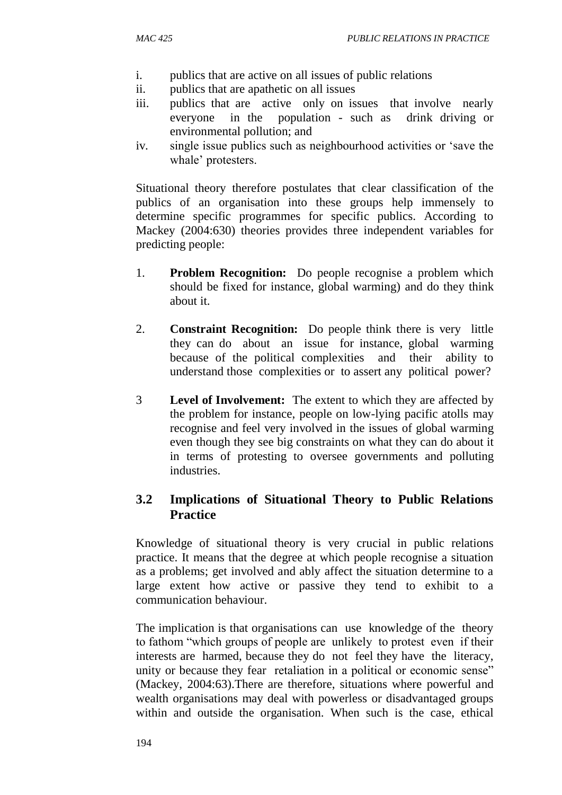- i. publics that are active on all issues of public relations
- ii. publics that are apathetic on all issues
- iii. publics that are active only on issues that involve nearly everyone in the population - such as drink driving or environmental pollution; and
- iv. single issue publics such as neighbourhood activities or 'save the whale' protesters.

Situational theory therefore postulates that clear classification of the publics of an organisation into these groups help immensely to determine specific programmes for specific publics. According to Mackey (2004:630) theories provides three independent variables for predicting people:

- 1. **Problem Recognition:** Do people recognise a problem which should be fixed for instance, global warming) and do they think about it.
- 2. **Constraint Recognition:** Do people think there is very little they can do about an issue for instance, global warming because of the political complexities and their ability to understand those complexities or to assert any political power?
- 3 **Level of Involvement:** The extent to which they are affected by the problem for instance, people on low-lying pacific atolls may recognise and feel very involved in the issues of global warming even though they see big constraints on what they can do about it in terms of protesting to oversee governments and polluting industries.

## **3.2 Implications of Situational Theory to Public Relations Practice**

Knowledge of situational theory is very crucial in public relations practice. It means that the degree at which people recognise a situation as a problems; get involved and ably affect the situation determine to a large extent how active or passive they tend to exhibit to a communication behaviour.

The implication is that organisations can use knowledge of the theory to fathom "which groups of people are unlikely to protest even if their interests are harmed, because they do not feel they have the literacy, unity or because they fear retaliation in a political or economic sense" (Mackey, 2004:63).There are therefore, situations where powerful and wealth organisations may deal with powerless or disadvantaged groups within and outside the organisation. When such is the case, ethical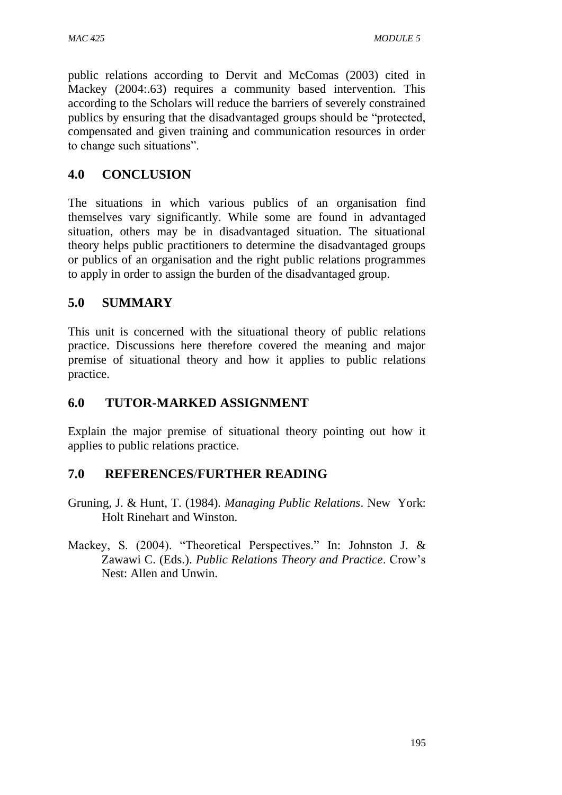public relations according to Dervit and McComas (2003) cited in Mackey (2004:.63) requires a community based intervention. This according to the Scholars will reduce the barriers of severely constrained publics by ensuring that the disadvantaged groups should be "protected, compensated and given training and communication resources in order to change such situations".

## **4.0 CONCLUSION**

The situations in which various publics of an organisation find themselves vary significantly. While some are found in advantaged situation, others may be in disadvantaged situation. The situational theory helps public practitioners to determine the disadvantaged groups or publics of an organisation and the right public relations programmes to apply in order to assign the burden of the disadvantaged group.

## **5.0 SUMMARY**

This unit is concerned with the situational theory of public relations practice. Discussions here therefore covered the meaning and major premise of situational theory and how it applies to public relations practice.

## **6.0 TUTOR-MARKED ASSIGNMENT**

Explain the major premise of situational theory pointing out how it applies to public relations practice.

- Gruning, J. & Hunt, T. (1984). *Managing Public Relations*. New York: Holt Rinehart and Winston.
- Mackey, S. (2004). "Theoretical Perspectives." In: Johnston J. & Zawawi C. (Eds.). *Public Relations Theory and Practice*. Crow's Nest: Allen and Unwin.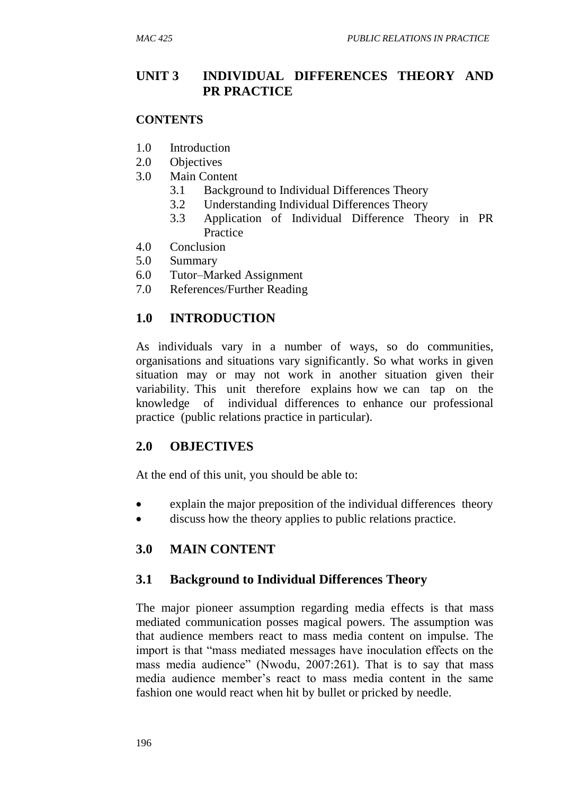## **UNIT 3 INDIVIDUAL DIFFERENCES THEORY AND PR PRACTICE**

#### **CONTENTS**

- 1.0 Introduction
- 2.0 Objectives
- 3.0 Main Content
	- 3.1 Background to Individual Differences Theory
	- 3.2 Understanding Individual Differences Theory
	- 3.3 Application of Individual Difference Theory in PR Practice
- 4.0 Conclusion
- 5.0 Summary
- 6.0 Tutor–Marked Assignment
- 7.0 References/Further Reading

## **1.0 INTRODUCTION**

As individuals vary in a number of ways, so do communities, organisations and situations vary significantly. So what works in given situation may or may not work in another situation given their variability. This unit therefore explains how we can tap on the knowledge of individual differences to enhance our professional practice (public relations practice in particular).

## **2.0 OBJECTIVES**

At the end of this unit, you should be able to:

- explain the major preposition of the individual differences theory
- discuss how the theory applies to public relations practice.

## **3.0 MAIN CONTENT**

## **3.1 Background to Individual Differences Theory**

The major pioneer assumption regarding media effects is that mass mediated communication posses magical powers. The assumption was that audience members react to mass media content on impulse. The import is that "mass mediated messages have inoculation effects on the mass media audience" (Nwodu, 2007:261). That is to say that mass media audience member's react to mass media content in the same fashion one would react when hit by bullet or pricked by needle.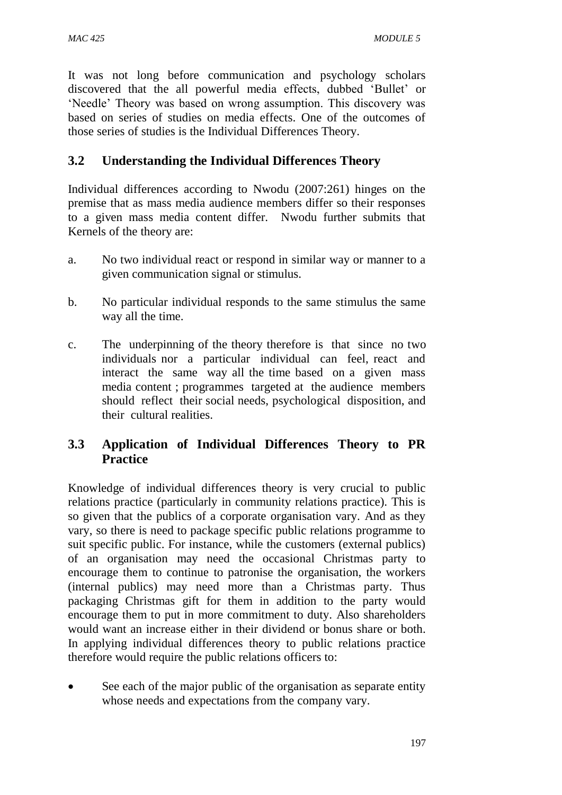It was not long before communication and psychology scholars discovered that the all powerful media effects, dubbed 'Bullet' or 'Needle' Theory was based on wrong assumption. This discovery was based on series of studies on media effects. One of the outcomes of those series of studies is the Individual Differences Theory.

## **3.2 Understanding the Individual Differences Theory**

Individual differences according to Nwodu (2007:261) hinges on the premise that as mass media audience members differ so their responses to a given mass media content differ. Nwodu further submits that Kernels of the theory are:

- a. No two individual react or respond in similar way or manner to a given communication signal or stimulus.
- b. No particular individual responds to the same stimulus the same way all the time.
- c. The underpinning of the theory therefore is that since no two individuals nor a particular individual can feel, react and interact the same way all the time based on a given mass media content ; programmes targeted at the audience members should reflect their social needs, psychological disposition, and their cultural realities.

## **3.3 Application of Individual Differences Theory to PR Practice**

Knowledge of individual differences theory is very crucial to public relations practice (particularly in community relations practice). This is so given that the publics of a corporate organisation vary. And as they vary, so there is need to package specific public relations programme to suit specific public. For instance, while the customers (external publics) of an organisation may need the occasional Christmas party to encourage them to continue to patronise the organisation, the workers (internal publics) may need more than a Christmas party. Thus packaging Christmas gift for them in addition to the party would encourage them to put in more commitment to duty. Also shareholders would want an increase either in their dividend or bonus share or both. In applying individual differences theory to public relations practice therefore would require the public relations officers to:

• See each of the major public of the organisation as separate entity whose needs and expectations from the company vary.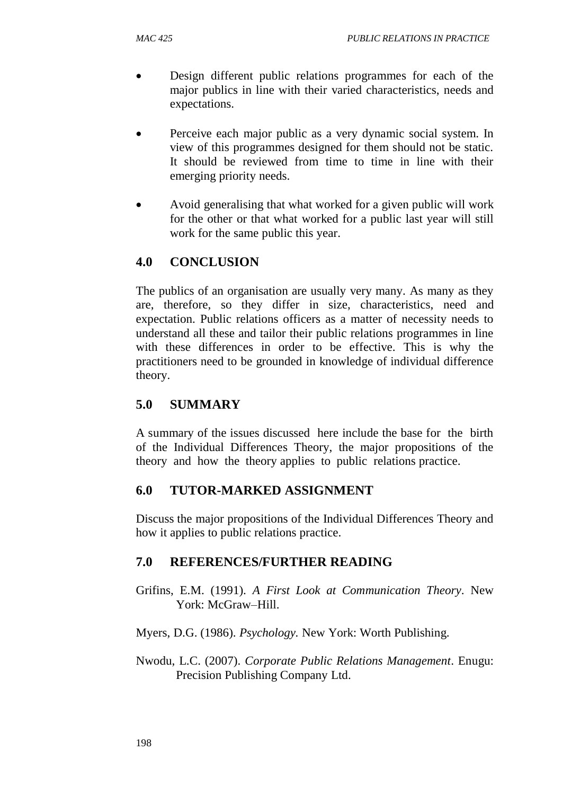- Design different public relations programmes for each of the major publics in line with their varied characteristics, needs and expectations.
- Perceive each major public as a very dynamic social system. In view of this programmes designed for them should not be static. It should be reviewed from time to time in line with their emerging priority needs.
- Avoid generalising that what worked for a given public will work for the other or that what worked for a public last year will still work for the same public this year.

# **4.0 CONCLUSION**

The publics of an organisation are usually very many. As many as they are, therefore, so they differ in size, characteristics, need and expectation. Public relations officers as a matter of necessity needs to understand all these and tailor their public relations programmes in line with these differences in order to be effective. This is why the practitioners need to be grounded in knowledge of individual difference theory.

# **5.0 SUMMARY**

A summary of the issues discussed here include the base for the birth of the Individual Differences Theory, the major propositions of the theory and how the theory applies to public relations practice.

# **6.0 TUTOR-MARKED ASSIGNMENT**

Discuss the major propositions of the Individual Differences Theory and how it applies to public relations practice.

# **7.0 REFERENCES/FURTHER READING**

Grifins, E.M. (1991). *A First Look at Communication Theory*. New York: McGraw–Hill.

Myers, D.G. (1986). *Psychology.* New York: Worth Publishing.

Nwodu, L.C. (2007). *Corporate Public Relations Management*. Enugu: Precision Publishing Company Ltd.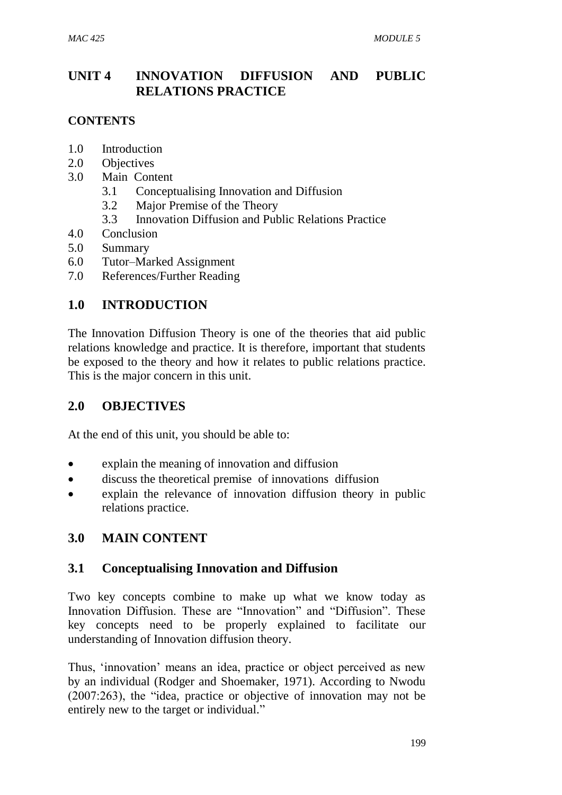# **UNIT 4 INNOVATION DIFFUSION AND PUBLIC RELATIONS PRACTICE**

#### **CONTENTS**

- 1.0 Introduction
- 2.0 Objectives
- 3.0 Main Content
	- 3.1 Conceptualising Innovation and Diffusion
	- 3.2 Major Premise of the Theory
	- 3.3 Innovation Diffusion and Public Relations Practice
- 4.0 Conclusion
- 5.0 Summary
- 6.0 Tutor–Marked Assignment
- 7.0 References/Further Reading

### **1.0 INTRODUCTION**

The Innovation Diffusion Theory is one of the theories that aid public relations knowledge and practice. It is therefore, important that students be exposed to the theory and how it relates to public relations practice. This is the major concern in this unit.

### **2.0 OBJECTIVES**

At the end of this unit, you should be able to:

- explain the meaning of innovation and diffusion
- discuss the theoretical premise of innovations diffusion
- explain the relevance of innovation diffusion theory in public relations practice.

### **3.0 MAIN CONTENT**

### **3.1 Conceptualising Innovation and Diffusion**

Two key concepts combine to make up what we know today as Innovation Diffusion. These are "Innovation" and "Diffusion". These key concepts need to be properly explained to facilitate our understanding of Innovation diffusion theory.

Thus, 'innovation' means an idea, practice or object perceived as new by an individual (Rodger and Shoemaker, 1971). According to Nwodu (2007:263), the "idea, practice or objective of innovation may not be entirely new to the target or individual."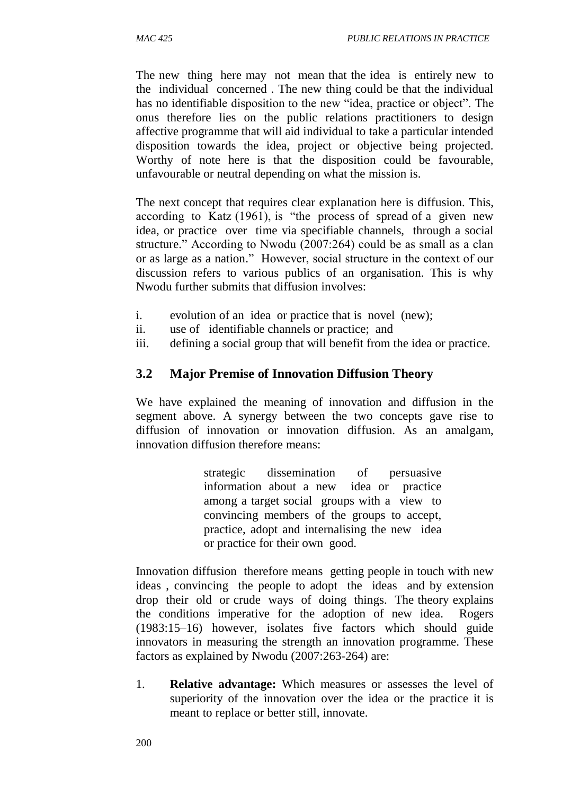The new thing here may not mean that the idea is entirely new to the individual concerned . The new thing could be that the individual has no identifiable disposition to the new "idea, practice or object". The onus therefore lies on the public relations practitioners to design affective programme that will aid individual to take a particular intended disposition towards the idea, project or objective being projected. Worthy of note here is that the disposition could be favourable, unfavourable or neutral depending on what the mission is.

The next concept that requires clear explanation here is diffusion. This, according to Katz (1961), is "the process of spread of a given new idea, or practice over time via specifiable channels, through a social structure." According to Nwodu (2007:264) could be as small as a clan or as large as a nation." However, social structure in the context of our discussion refers to various publics of an organisation. This is why Nwodu further submits that diffusion involves:

- i. evolution of an idea or practice that is novel (new);
- ii. use of identifiable channels or practice; and
- iii. defining a social group that will benefit from the idea or practice.

### **3.2 Major Premise of Innovation Diffusion Theory**

We have explained the meaning of innovation and diffusion in the segment above. A synergy between the two concepts gave rise to diffusion of innovation or innovation diffusion. As an amalgam, innovation diffusion therefore means:

> strategic dissemination of persuasive information about a new idea or practice among a target social groups with a view to convincing members of the groups to accept, practice, adopt and internalising the new idea or practice for their own good.

Innovation diffusion therefore means getting people in touch with new ideas , convincing the people to adopt the ideas and by extension drop their old or crude ways of doing things. The theory explains the conditions imperative for the adoption of new idea. Rogers (1983:15–16) however, isolates five factors which should guide innovators in measuring the strength an innovation programme. These factors as explained by Nwodu (2007:263-264) are:

1. **Relative advantage:** Which measures or assesses the level of superiority of the innovation over the idea or the practice it is meant to replace or better still, innovate.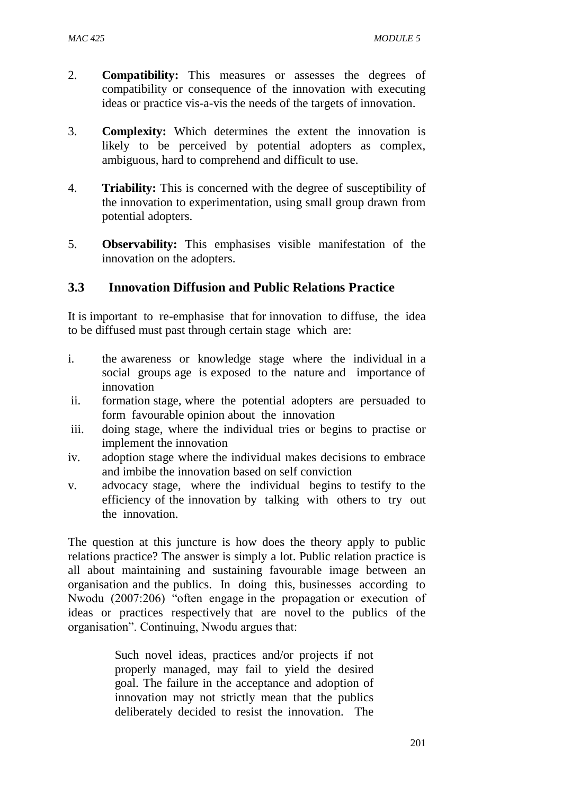- 2. **Compatibility:** This measures or assesses the degrees of compatibility or consequence of the innovation with executing ideas or practice vis-a-vis the needs of the targets of innovation.
- 3. **Complexity:** Which determines the extent the innovation is likely to be perceived by potential adopters as complex, ambiguous, hard to comprehend and difficult to use.
- 4. **Triability:** This is concerned with the degree of susceptibility of the innovation to experimentation, using small group drawn from potential adopters.
- 5. **Observability:** This emphasises visible manifestation of the innovation on the adopters.

### **3.3 Innovation Diffusion and Public Relations Practice**

It is important to re-emphasise that for innovation to diffuse, the idea to be diffused must past through certain stage which are:

- i. the awareness or knowledge stage where the individual in a social groups age is exposed to the nature and importance of innovation
- ii. formation stage, where the potential adopters are persuaded to form favourable opinion about the innovation
- iii. doing stage, where the individual tries or begins to practise or implement the innovation
- iv. adoption stage where the individual makes decisions to embrace and imbibe the innovation based on self conviction
- v. advocacy stage, where the individual begins to testify to the efficiency of the innovation by talking with others to try out the innovation.

The question at this juncture is how does the theory apply to public relations practice? The answer is simply a lot. Public relation practice is all about maintaining and sustaining favourable image between an organisation and the publics. In doing this, businesses according to Nwodu (2007:206) "often engage in the propagation or execution of ideas or practices respectively that are novel to the publics of the organisation". Continuing, Nwodu argues that:

> Such novel ideas, practices and/or projects if not properly managed, may fail to yield the desired goal. The failure in the acceptance and adoption of innovation may not strictly mean that the publics deliberately decided to resist the innovation. The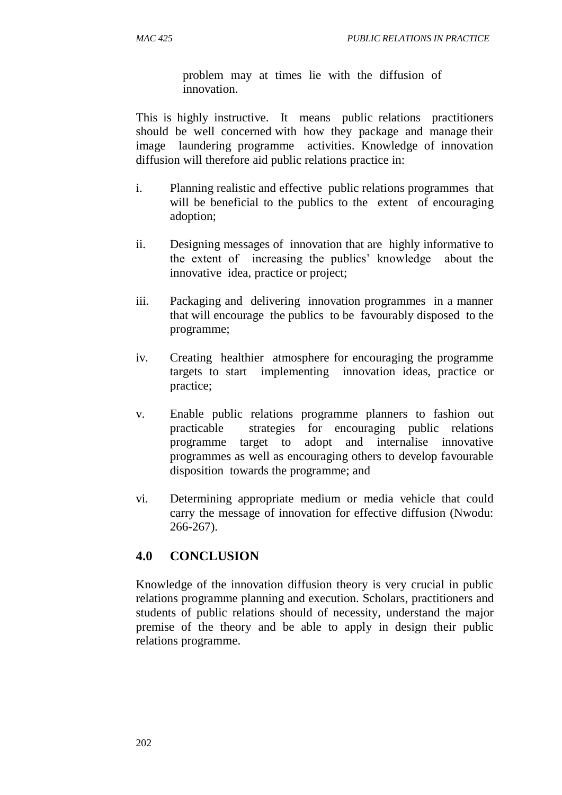problem may at times lie with the diffusion of innovation.

This is highly instructive. It means public relations practitioners should be well concerned with how they package and manage their image laundering programme activities. Knowledge of innovation diffusion will therefore aid public relations practice in:

- i. Planning realistic and effective public relations programmes that will be beneficial to the publics to the extent of encouraging adoption;
- ii. Designing messages of innovation that are highly informative to the extent of increasing the publics' knowledge about the innovative idea, practice or project;
- iii. Packaging and delivering innovation programmes in a manner that will encourage the publics to be favourably disposed to the programme;
- iv. Creating healthier atmosphere for encouraging the programme targets to start implementing innovation ideas, practice or practice;
- v. Enable public relations programme planners to fashion out practicable strategies for encouraging public relations programme target to adopt and internalise innovative programmes as well as encouraging others to develop favourable disposition towards the programme; and
- vi. Determining appropriate medium or media vehicle that could carry the message of innovation for effective diffusion (Nwodu: 266-267).

### **4.0 CONCLUSION**

Knowledge of the innovation diffusion theory is very crucial in public relations programme planning and execution. Scholars, practitioners and students of public relations should of necessity, understand the major premise of the theory and be able to apply in design their public relations programme.